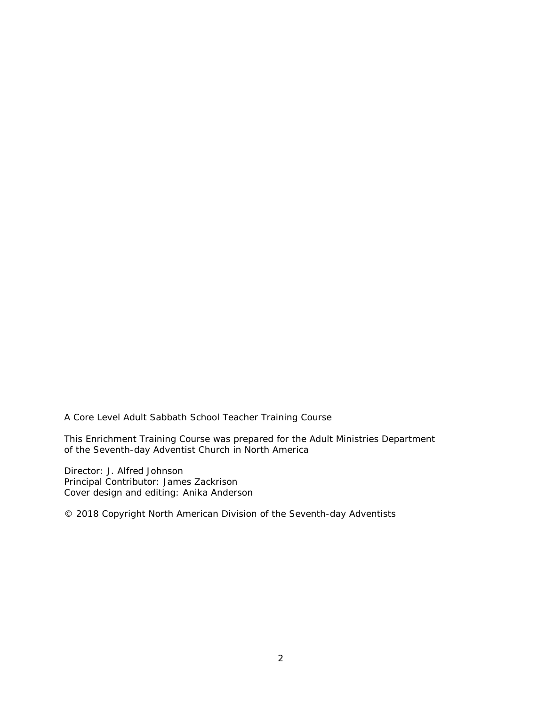A Core Level Adult Sabbath School Teacher Training Course

This Enrichment Training Course was prepared for the Adult Ministries Department of the Seventh-day Adventist Church in North America

Director: J. Alfred Johnson Principal Contributor: James Zackrison Cover design and editing: Anika Anderson

© 2018 Copyright North American Division of the Seventh-day Adventists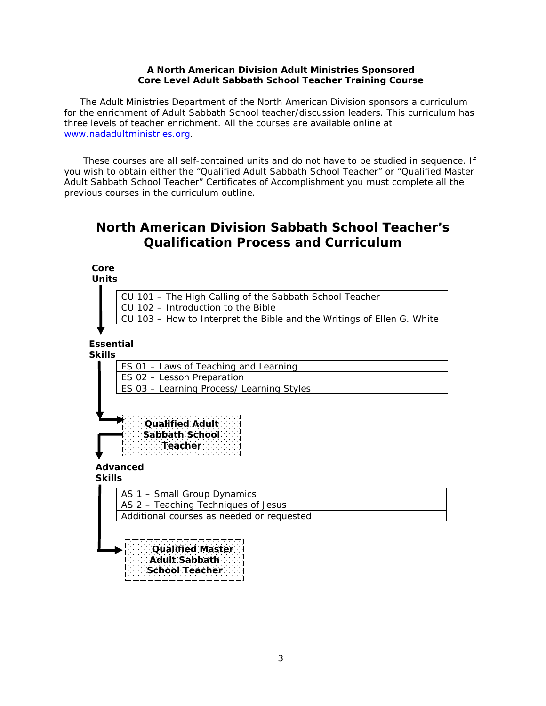## **A North American Division Adult Ministries Sponsored Core Level Adult Sabbath School Teacher Training Course**

The Adult Ministries Department of the North American Division sponsors a curriculum for the enrichment of Adult Sabbath School teacher/discussion leaders. This curriculum has three levels of teacher enrichment. All the courses are available online at www.nadadultministries.org.

These courses are all self-contained units and do not have to be studied in sequence. If you wish to obtain either the "Qualified Adult Sabbath School Teacher" or "Qualified Master Adult Sabbath School Teacher" *Certificates of Accomplishment* you must complete all the previous courses in the curriculum outline.

# **North American Division Sabbath School Teacher's Qualification Process and Curriculum**

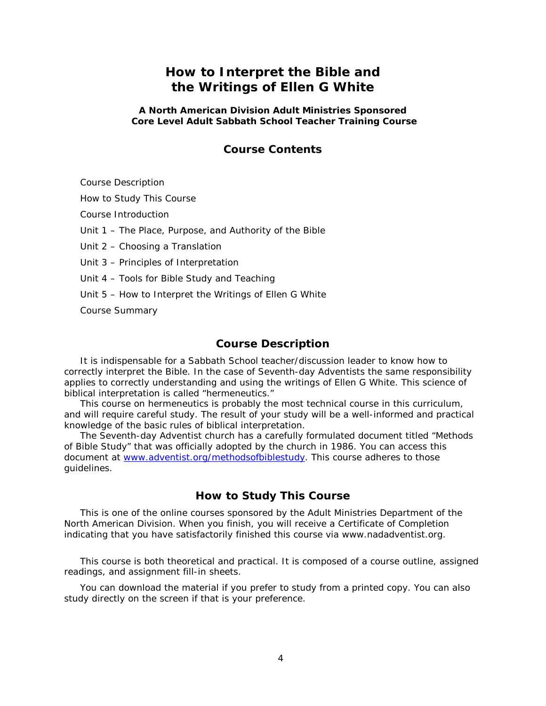# **How to Interpret the Bible and the Writings of Ellen G White**

### **A North American Division Adult Ministries Sponsored Core Level Adult Sabbath School Teacher Training Course**

## **Course Contents**

Course Description

How to Study This Course

Course Introduction

Unit 1 – The Place, Purpose, and Authority of the Bible

Unit 2 – Choosing a Translation

Unit 3 – Principles of Interpretation

Unit 4 – Tools for Bible Study and Teaching

Unit 5 – How to Interpret the Writings of Ellen G White

Course Summary

## **Course Description**

It is indispensable for a Sabbath School teacher/discussion leader to know how to correctly interpret the Bible. In the case of Seventh-day Adventists the same responsibility applies to correctly understanding and using the writings of Ellen G White. This science of biblical interpretation is called "hermeneutics."

This course on hermeneutics is probably the most technical course in this curriculum, and will require careful study. The result of your study will be a well-informed and practical knowledge of the basic rules of biblical interpretation.

The Seventh-day Adventist church has a carefully formulated document titled "Methods of Bible Study" that was officially adopted by the church in 1986. You can access this document at [www.adventist.org/methodsofbiblestudy](https://www.adventist.org/en/information/official-statements/documents/article/go/-/methods-of-bible-study/)*.* This course adheres to those guidelines.

## **How to Study This Course**

This is one of the online courses sponsored by the Adult Ministries Department of the North American Division. When you finish, you will receive a Certificate of Completion indicating that you have satisfactorily finished this course via www.nadadventist.org.

This course is both theoretical and practical. It is composed of a course outline, assigned readings, and assignment fill-in sheets.

You can download the material if you prefer to study from a printed copy. You can also study directly on the screen if that is your preference.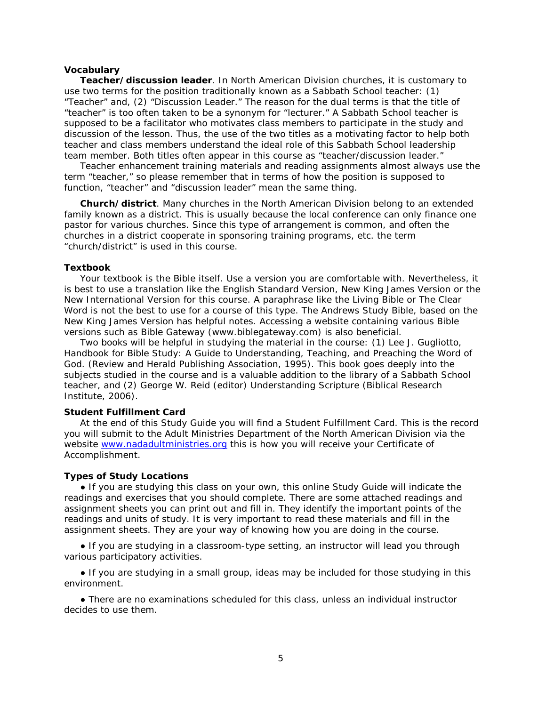#### **Vocabulary**

**Teacher/discussion leader**. In North American Division churches, it is customary to use two terms for the position traditionally known as a Sabbath School teacher: (1) "Teacher" and, (2) "Discussion Leader." The reason for the dual terms is that the title of "teacher" is too often taken to be a synonym for "lecturer." A Sabbath School teacher is supposed to be a facilitator who motivates class members to participate in the study and discussion of the lesson. Thus, the use of the two titles as a motivating factor to help both teacher and class members understand the ideal role of this Sabbath School leadership team member. Both titles often appear in this course as "teacher/discussion leader."

Teacher enhancement training materials and reading assignments almost always use the term "teacher," so please remember that in terms of how the position is supposed to function, "teacher" and "discussion leader" mean the same thing.

**Church/district**. Many churches in the North American Division belong to an extended family known as a district. This is usually because the local conference can only finance one pastor for various churches. Since this type of arrangement is common, and often the churches in a district cooperate in sponsoring training programs, etc. the term "church/district" is used in this course.

#### **Textbook**

Your textbook is the Bible itself. Use a version you are comfortable with. Nevertheless, it is best to use a translation like the *English Standard Version*, *New King James Version* or the *New International Version* for this course. A paraphrase like the *Living Bible* or *The Clear Word* is not the best to use for a course of this type. The *Andrews Study Bible*, based on the *New King James Version* has helpful notes. Accessing a website containing various Bible versions such as Bible Gateway (*[www.biblegateway.com](http://www.biblegateway.com/)*) is also beneficial.

Two books will be helpful in studying the material in the course: (1) Lee J. Gugliotto, *Handbook for Bible Study: A Guide to Understanding, Teaching, and Preaching the Word of God*. (Review and Herald Publishing Association, 1995). This book goes deeply into the subjects studied in the course and is a valuable addition to the library of a Sabbath School teacher, and (2) George W. Reid (editor) *Understanding Scripture* (Biblical Research Institute, 2006).

### **Student Fulfillment Card**

At the end of this Study Guide you will find a Student Fulfillment Card. This is the record you will submit to the Adult Ministries Department of the North American Division via the website [www.nadadultministries.org](http://www.nadadultministries.org/) this is how you will receive your Certificate of Accomplishment.

### **Types of Study Locations**

● If you are studying this class on your own, this online Study Guide will indicate the readings and exercises that you should complete. There are some attached readings and assignment sheets you can print out and fill in. They identify the important points of the readings and units of study. It is very important to read these materials and fill in the assignment sheets. They are your way of knowing how you are doing in the course.

• If you are studying in a classroom-type setting, an instructor will lead you through various participatory activities.

• If you are studying in a small group, ideas may be included for those studying in this environment.

● There are no examinations scheduled for this class, unless an individual instructor decides to use them.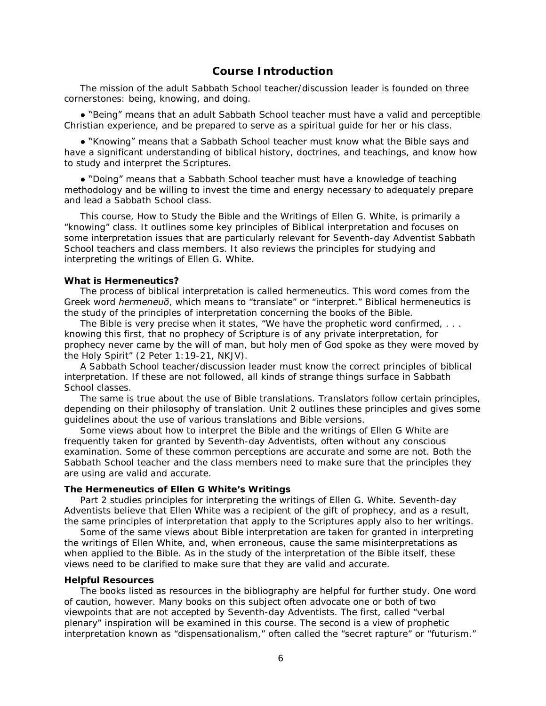## **Course Introduction**

The mission of the adult Sabbath School teacher/discussion leader is founded on three cornerstones: being, knowing, and doing.

● "Being" means that an adult Sabbath School teacher must have a valid and perceptible Christian experience, and be prepared to serve as a spiritual guide for her or his class.

● "Knowing" means that a Sabbath School teacher must know what the Bible says and have a significant understanding of biblical history, doctrines, and teachings, and know how to study and interpret the Scriptures.

● "Doing" means that a Sabbath School teacher must have a knowledge of teaching methodology and be willing to invest the time and energy necessary to adequately prepare and lead a Sabbath School class.

This course, *How to Study the Bible and the Writings of Ellen G. White*, is primarily a "knowing" class. It outlines some key principles of Biblical interpretation and focuses on some interpretation issues that are particularly relevant for Seventh-day Adventist Sabbath School teachers and class members. It also reviews the principles for studying and interpreting the writings of Ellen G. White.

#### **What is Hermeneutics?**

The process of biblical interpretation is called hermeneutics. This word comes from the Greek word *hermeneuō*, which means to "translate" or "interpret." Biblical hermeneutics is the study of the principles of interpretation concerning the books of the Bible.

The Bible is very precise when it states, "We have the prophetic word confirmed, ... knowing this first, that no prophecy of Scripture is of any private interpretation, for prophecy never came by the will of man, but holy men of God spoke as they were moved by the Holy Spirit" (2 Peter 1:19-21, NKJV).

A Sabbath School teacher/discussion leader must know the correct principles of biblical interpretation. If these are not followed, all kinds of strange things surface in Sabbath School classes.

The same is true about the use of Bible translations. Translators follow certain principles, depending on their philosophy of translation. Unit 2 outlines these principles and gives some guidelines about the use of various translations and Bible versions.

Some views about how to interpret the Bible and the writings of Ellen G White are frequently taken for granted by Seventh-day Adventists, often without any conscious examination. Some of these common perceptions are accurate and some are not. Both the Sabbath School teacher and the class members need to make sure that the principles they are using are valid and accurate.

#### **The Hermeneutics of Ellen G White's Writings**

Part 2 studies principles for interpreting the writings of Ellen G. White. Seventh-day Adventists believe that Ellen White was a recipient of the gift of prophecy, and as a result, the same principles of interpretation that apply to the Scriptures apply also to her writings.

Some of the same views about Bible interpretation are taken for granted in interpreting the writings of Ellen White, and, when erroneous, cause the same misinterpretations as when applied to the Bible. As in the study of the interpretation of the Bible itself, these views need to be clarified to make sure that they are valid and accurate.

#### **Helpful Resources**

The books listed as resources in the bibliography are helpful for further study. One word of caution, however. Many books on this subject often advocate one or both of two viewpoints that are not accepted by Seventh-day Adventists. The first, called "verbal plenary" inspiration will be examined in this course. The second is a view of prophetic interpretation known as "dispensationalism," often called the "secret rapture" or "futurism."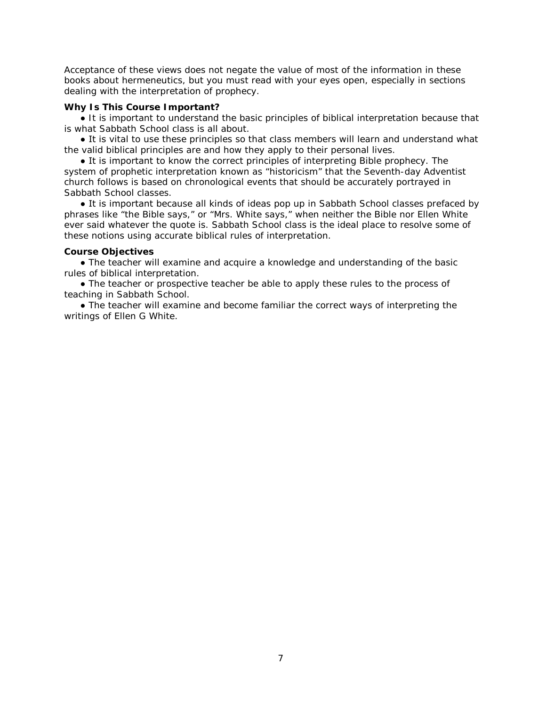Acceptance of these views does not negate the value of most of the information in these books about hermeneutics, but you must read with your eyes open, especially in sections dealing with the interpretation of prophecy.

## **Why Is This Course Important?**

• It is important to understand the basic principles of biblical interpretation because that is what Sabbath School class is all about.

• It is vital to use these principles so that class members will learn and understand what the valid biblical principles are and how they apply to their personal lives.

● It is important to know the correct principles of interpreting Bible prophecy. The system of prophetic interpretation known as "historicism" that the Seventh-day Adventist church follows is based on chronological events that should be accurately portrayed in Sabbath School classes.

● It is important because all kinds of ideas pop up in Sabbath School classes prefaced by phrases like "the Bible says," or "Mrs. White says," when neither the Bible nor Ellen White ever said whatever the quote is. Sabbath School class is the ideal place to resolve some of these notions using accurate biblical rules of interpretation.

## **Course Objectives**

• The teacher will examine and acquire a knowledge and understanding of the basic rules of biblical interpretation.

● The teacher or prospective teacher be able to apply these rules to the process of teaching in Sabbath School.

• The teacher will examine and become familiar the correct ways of interpreting the writings of Ellen G White.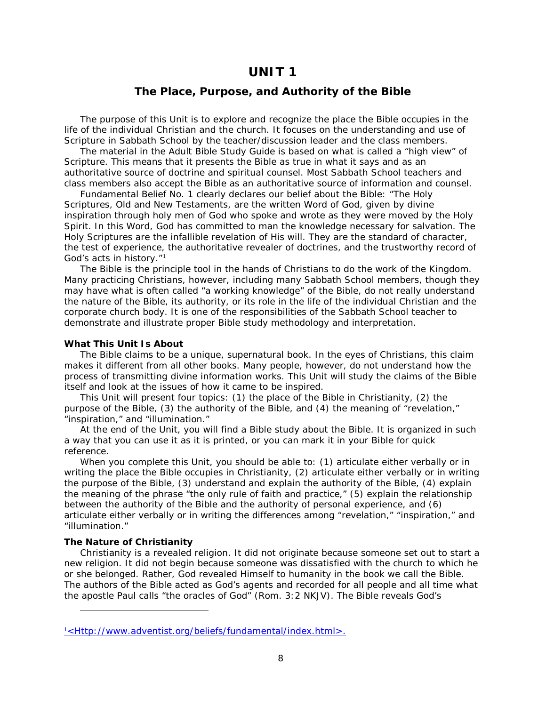## **UNIT 1**

## **The Place, Purpose, and Authority of the Bible**

The purpose of this Unit is to explore and recognize the place the Bible occupies in the life of the individual Christian and the church. It focuses on the understanding and use of Scripture in Sabbath School by the teacher/discussion leader and the class members.

The material in the *Adult Bible Study Guide* is based on what is called a "high view" of Scripture. This means that it presents the Bible as true in what it says and as an authoritative source of doctrine and spiritual counsel. Most Sabbath School teachers and class members also accept the Bible as an authoritative source of information and counsel.

*Fundamental Belief No. 1* clearly declares our belief about the Bible: "The Holy Scriptures, Old and New Testaments, are the written Word of God, given by divine inspiration through holy men of God who spoke and wrote as they were moved by the Holy Spirit. In this Word, God has committed to man the knowledge necessary for salvation. The Holy Scriptures are the infallible revelation of His will. They are the standard of character, the test of experience, the authoritative revealer of doctrines, and the trustworthy record of God's acts in history."[1](#page-6-0)

The Bible is the principle tool in the hands of Christians to do the work of the Kingdom. Many practicing Christians, however, including many Sabbath School members, though they may have what is often called "a working knowledge" of the Bible, do not really understand the nature of the Bible, its authority, or its role in the life of the individual Christian and the corporate church body. It is one of the responsibilities of the Sabbath School teacher to demonstrate and illustrate proper Bible study methodology and interpretation.

#### **What This Unit Is About**

The Bible claims to be a unique, supernatural book. In the eyes of Christians, this claim makes it different from all other books. Many people, however, do not understand how the process of transmitting divine information works. This Unit will study the claims of the Bible itself and look at the issues of how it came to be inspired.

This Unit will present four topics: (1) the place of the Bible in Christianity, (2) the purpose of the Bible, (3) the authority of the Bible, and (4) the meaning of "revelation," "inspiration," and "illumination."

At the end of the Unit, you will find a Bible study about the Bible. It is organized in such a way that you can use it as it is printed, or you can mark it in your Bible for quick reference.

When you complete this Unit, you should be able to: (1) articulate either verbally or in writing the place the Bible occupies in Christianity, (2) articulate either verbally or in writing the purpose of the Bible, (3) understand and explain the authority of the Bible, (4) explain the meaning of the phrase "the only rule of faith and practice," (5) explain the relationship between the authority of the Bible and the authority of personal experience, and (6) articulate either verbally or in writing the differences among "revelation," "inspiration," and "illumination."

#### **The Nature of Christianity**

i,

Christianity is a revealed religion. It did not originate because someone set out to start a new religion. It did not begin because someone was dissatisfied with the church to which he or she belonged. Rather, God revealed Himself to humanity in the book we call the Bible. The authors of the Bible acted as God's agents and recorded for all people and all time what the apostle Paul calls "the oracles of God" (Rom. 3:2 NKJV). The Bible reveals God's

<span id="page-6-0"></span><sup>1</sup> <Http://www.adventist.org/beliefs/fundamental/index.html>.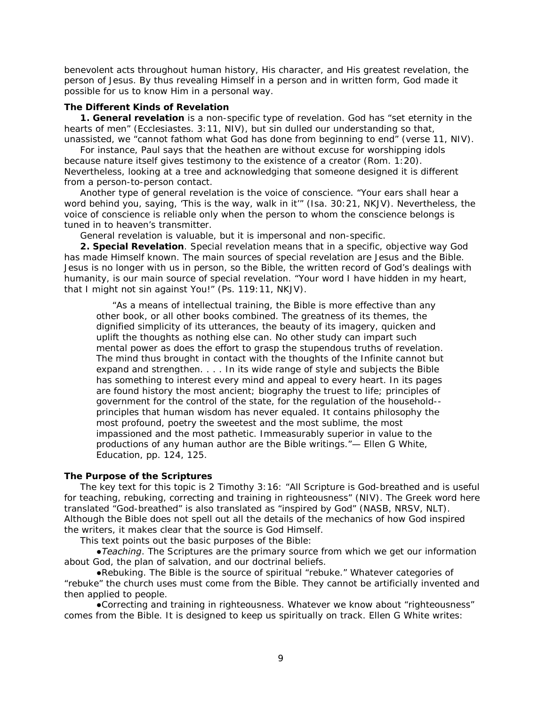benevolent acts throughout human history, His character, and His greatest revelation, the person of Jesus. By thus revealing Himself in a person and in written form, God made it possible for us to know Him in a personal way.

#### **The Different Kinds of Revelation**

*1. General revelation* is a non-specific type of revelation. God has "set eternity in the hearts of men" (Ecclesiastes. 3:11, NIV), but sin dulled our understanding so that, unassisted, we "cannot fathom what God has done from beginning to end" (verse 11, NIV).

For instance, Paul says that the heathen are without excuse for worshipping idols because nature itself gives testimony to the existence of a creator (Rom. 1:20). Nevertheless, looking at a tree and acknowledging that someone designed it is different from a person-to-person contact.

Another type of general revelation is the voice of conscience. "Your ears shall hear a word behind you, saying, 'This is the way, walk in it'" (Isa. 30:21, NKJV). Nevertheless, the voice of conscience is reliable only when the person to whom the conscience belongs is tuned in to heaven's transmitter.

General revelation is valuable, but it is impersonal and non-specific.

*2. Special Revelation*. Special revelation means that in a specific, objective way God has made Himself known. The main sources of special revelation are Jesus and the Bible. Jesus is no longer with us in person, so the Bible, the written record of God's dealings with humanity, is our main source of special revelation. "Your word I have hidden in my heart, that I might not sin against You!" (Ps. 119:11, NKJV).

"As a means of intellectual training, the Bible is more effective than any other book, or all other books combined. The greatness of its themes, the dignified simplicity of its utterances, the beauty of its imagery, quicken and uplift the thoughts as nothing else can. No other study can impart such mental power as does the effort to grasp the stupendous truths of revelation. The mind thus brought in contact with the thoughts of the Infinite cannot but expand and strengthen. . . . In its wide range of style and subjects the Bible has something to interest every mind and appeal to every heart. In its pages are found history the most ancient; biography the truest to life; principles of government for the control of the state, for the regulation of the household- principles that human wisdom has never equaled. It contains philosophy the most profound, poetry the sweetest and the most sublime, the most impassioned and the most pathetic. Immeasurably superior in value to the productions of any human author are the Bible writings."— Ellen G White, *Education*, pp. 124, 125.

#### **The Purpose of the Scriptures**

The key text for this topic is 2 Timothy 3:16: "All Scripture is God-breathed and is useful for teaching, rebuking, correcting and training in righteousness" (NIV). The Greek word here translated "God-breathed" is also translated as "inspired by God" (NASB, NRSV, NLT). Although the Bible does not spell out all the details of the mechanics of how God inspired the writers, it makes clear that the source is God Himself.

This text points out the basic purposes of the Bible:

*●Teaching*. The Scriptures are the primary source from which we get our information about God, the plan of salvation, and our doctrinal beliefs.

●*Rebuking*. The Bible is the source of spiritual "rebuke." Whatever categories of "rebuke" the church uses must come from the Bible. They cannot be artificially invented and then applied to people.

●*Correcting and training in righteousness*. Whatever we know about "righteousness" comes from the Bible. It is designed to keep us spiritually on track. Ellen G White writes: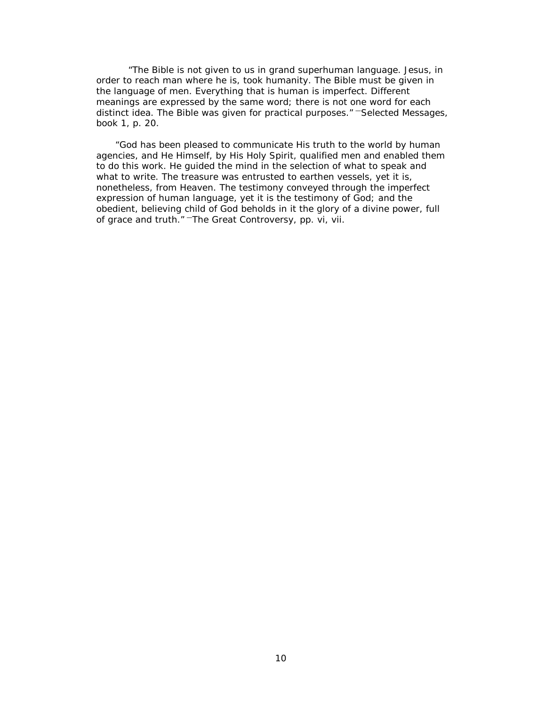"The Bible is not given to us in grand superhuman language. Jesus, in order to reach man where he is, took humanity. The Bible must be given in the language of men. Everything that is human is imperfect. Different meanings are expressed by the same word; there is not one word for each distinct idea. The Bible was given for practical purposes." —*Selected Messages*, book 1, p. 20.

"God has been pleased to communicate His truth to the world by human agencies, and He Himself, by His Holy Spirit, qualified men and enabled them to do this work. He guided the mind in the selection of what to speak and what to write. The treasure was entrusted to earthen vessels, yet it is, nonetheless, from Heaven. The testimony conveyed through the imperfect expression of human language, yet it is the testimony of God; and the obedient, believing child of God beholds in it the glory of a divine power, full of grace and truth." —*The Great Controversy*, pp. vi, vii.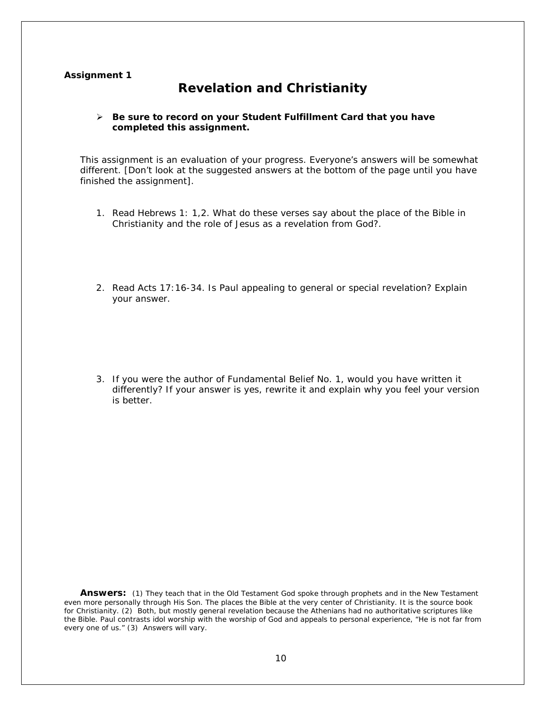## **Assignment 1**

# **Revelation and Christianity**

## *Be sure to record on your* **Student Fulfillment Card** *that you have completed this assignment.*

This assignment is an evaluation of your progress. Everyone's answers will be somewhat different. *[Don't look at the suggested answers at the bottom of the page until you have finished the assignment]*.

- 1. Read Hebrews 1: 1,2. What do these verses say about the place of the Bible in Christianity and the role of Jesus as a revelation from God?.
- 2. Read Acts 17:16-34. Is Paul appealing to general or special revelation? Explain your answer.
- 3. If you were the author of Fundamental Belief No. 1, would you have written it differently? If your answer is yes, rewrite it and explain why you feel your version is better.

Answers: (1) They teach that in the Old Testament God spoke through prophets and in the New Testament even more personally through His Son. The places the Bible at the very center of Christianity. It is the source book for Christianity. (2) Both, but mostly general revelation because the Athenians had no authoritative scriptures like the Bible. Paul contrasts idol worship with the worship of God and appeals to personal experience, "He is not far from every one of us." (3) Answers will vary.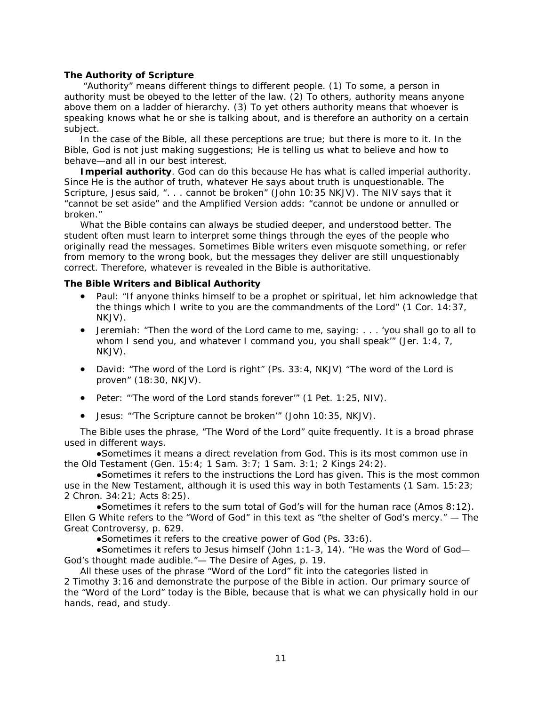### **The Authority of Scripture**

"Authority" means different things to different people. (1) To some, a person in authority must be obeyed to the letter of the law. (2) To others, authority means anyone above them on a ladder of hierarchy. (3) To yet others authority means that whoever is speaking knows what he or she is talking about, and is therefore an authority on a certain subject.

In the case of the Bible, all these perceptions are true; but there is more to it. In the Bible, God is not just making suggestions; He is telling us what to believe and how to behave—and all in our best interest.

*Imperial authority*. God can do this because He has what is called *imperial authority*. Since He is the author of truth, whatever He says about truth is unquestionable. The Scripture, Jesus said, ". . . cannot be broken" (John 10:35 NKJV). The NIV says that it "cannot be set aside" and the *Amplified Version* adds: "cannot be undone *or* annulled *or* broken."

What the Bible contains can always be studied deeper, and understood better. The student often must learn to interpret some things through the eyes of the people who originally read the messages. Sometimes Bible writers even misquote something, or refer from memory to the wrong book, but the messages they deliver are still unquestionably correct. Therefore, whatever is revealed in the Bible is authoritative.

#### **The Bible Writers and Biblical Authority**

- Paul: "If anyone thinks himself to be a prophet or spiritual, let him acknowledge that the things which I write to you are the commandments of the Lord" (1 Cor. 14:37, NKJV).
- Jeremiah: "Then the word of the Lord came to me, saying: . . . 'you shall go to all to whom I send you, and whatever I command you, you shall speak'" (Jer. 1:4, 7, NKJV).
- David: "The word of the Lord is right" (Ps. 33:4, NKJV) "The word of the Lord is proven" (18:30, NKJV).
- Peter: "'The word of the Lord stands forever'" (1 Pet. 1:25, NIV).
- Jesus: "'The Scripture cannot be broken'" (John 10:35, NKJV).

The Bible uses the phrase, "The Word of the Lord" quite frequently. It is a broad phrase used in different ways.

●Sometimes it means a direct revelation from God. This is its most common use in the Old Testament (Gen. 15:4; 1 Sam. 3:7; 1 Sam. 3:1; 2 Kings 24:2).

●Sometimes it refers to the instructions the Lord has given. This is the most common use in the New Testament, although it is used this way in both Testaments (1 Sam. 15:23; 2 Chron. 34:21; Acts 8:25).

●Sometimes it refers to the sum total of God's will for the human race (Amos 8:12). Ellen G White refers to the "Word of God" in this text as "the shelter of God's mercy." — The *Great Controversy*, p. 629.

●Sometimes it refers to the creative power of God (Ps. 33:6).

●Sometimes it refers to Jesus himself (John 1:1-3, 14). "He was the Word of God— God's thought made audible."— *The Desire of Ages,* p. 19.

All these uses of the phrase "Word of the Lord" fit into the categories listed in 2 Timothy 3:16 and demonstrate the purpose of the Bible in action. Our primary source of the "Word of the Lord" today is the Bible, because that is what we can physically hold in our hands, read, and study.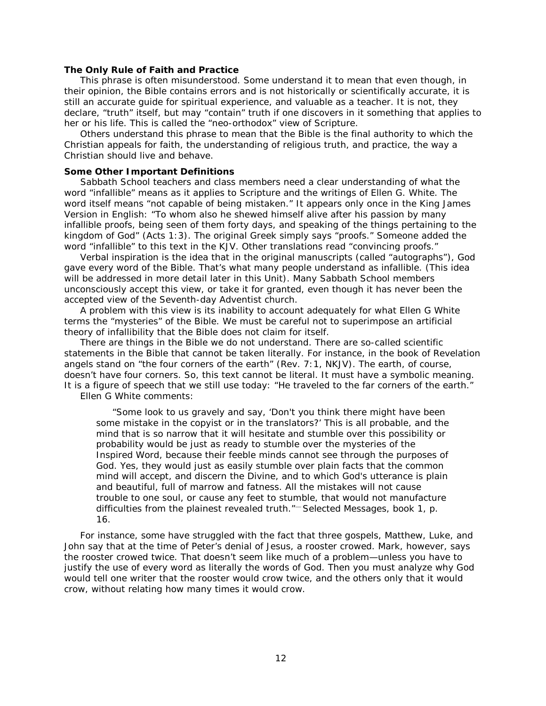#### **The Only Rule of Faith and Practice**

This phrase is often misunderstood. Some understand it to mean that even though, in their opinion, the Bible contains errors and is not historically or scientifically accurate, it is still an accurate guide for spiritual experience, and valuable as a teacher. It is not, they declare, "truth" itself, but may "contain" truth if one discovers in it something that applies to her or his life. This is called the "neo-orthodox" view of Scripture.

Others understand this phrase to mean that the Bible is the final authority to which the Christian appeals for faith, the understanding of religious truth, and practice, the way a Christian should live and behave.

#### **Some Other Important Definitions**

Sabbath School teachers and class members need a clear understanding of what the word "infallible" means as it applies to Scripture and the writings of Ellen G. White. The word itself means "not capable of being mistaken." It appears only once in the King James Version in English: "To whom also he shewed himself alive after his passion by many *infallible* proofs, being seen of them forty days, and speaking of the things pertaining to the kingdom of God" (Acts 1:3). The original Greek simply says "proofs." Someone added the word "infallible" to this text in the KJV. Other translations read "convincing proofs."

*Verbal inspiration* is the idea that in the original manuscripts (called "autographs"), God gave every word of the Bible. That's what many people understand as infallible. (This idea will be addressed in more detail later in this Unit). Many Sabbath School members unconsciously accept this view, or take it for granted, even though it has never been the accepted view of the Seventh-day Adventist church.

A problem with this view is its inability to account adequately for what Ellen G White terms the "mysteries" of the Bible. We must be careful not to superimpose an artificial theory of infallibility that the Bible does not claim for itself.

There are things in the Bible we do not understand. There are so-called scientific statements in the Bible that cannot be taken literally. For instance, in the book of Revelation angels stand on "the four corners of the earth" (Rev. 7:1, NKJV). The earth, of course, doesn't have four corners. So, this text cannot be literal. It must have a symbolic meaning. It is a figure of speech that we still use today: "He traveled to the far corners of the earth."

Ellen G White comments:

"Some look to us gravely and say, 'Don't you think there might have been some mistake in the copyist or in the translators?' This is all probable, and the mind that is so narrow that it will hesitate and stumble over this possibility or probability would be just as ready to stumble over the mysteries of the Inspired Word, because their feeble minds cannot see through the purposes of God. Yes, they would just as easily stumble over plain facts that the common mind will accept, and discern the Divine, and to which God's utterance is plain and beautiful, full of marrow and fatness. All the mistakes will not cause trouble to one soul, or cause any feet to stumble, that would not manufacture difficulties from the plainest revealed truth."— *Selected Messages*, book 1, p. 16.

For instance, some have struggled with the fact that three gospels, Matthew, Luke, and John say that at the time of Peter's denial of Jesus, a rooster crowed. Mark, however, says the rooster crowed *twice*. That doesn't seem like much of a problem—unless you have to justify the use of every word as literally the words of God. Then you must analyze why God would tell one writer that the rooster would crow twice, and the others only that it would crow, without relating how many times it would crow.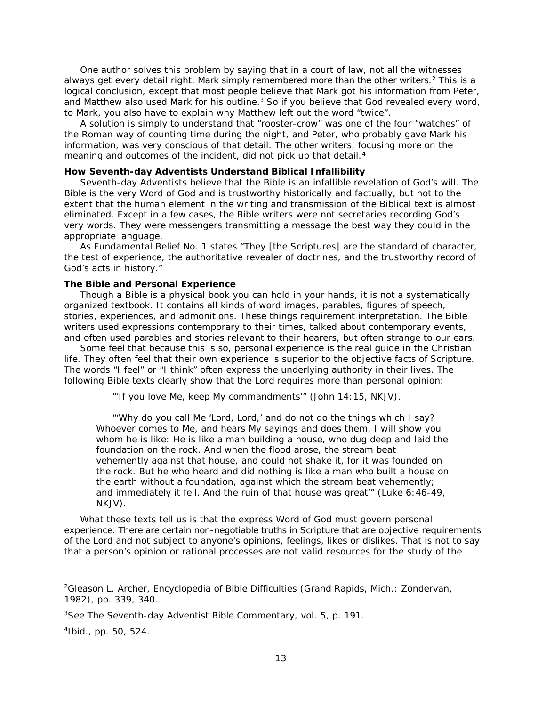One author solves this problem by saying that in a court of law, not all the witnesses always get every detail right. Mark simply remembered more than the other writers.<sup>[2](#page-12-0)</sup> This is a logical conclusion, except that most people believe that Mark got his information from Peter, and Matthew also used Mark for his outline. $3$  So if you believe that God revealed every word, to Mark, you also have to explain why Matthew left out the word "twice".

A solution is simply to understand that "rooster-crow" was one of the four "watches" of the Roman way of counting time during the night, and Peter, who probably gave Mark his information, was very conscious of that detail. The other writers, focusing more on the meaning and outcomes of the incident, did not pick up that detail.<sup>[4](#page-12-2)</sup>

## **How Seventh-day Adventists Understand Biblical Infallibility**

Seventh-day Adventists believe that the Bible is an infallible revelation of God's will. The Bible is the very Word of God and is trustworthy historically and factually, but not to the extent that the human element in the writing and transmission of the Biblical text is almost eliminated. Except in a few cases, the Bible writers were not secretaries recording God's very words. They were messengers transmitting a message the best way they could in the appropriate language.

As *Fundamental Belief* No. 1 states "They [the Scriptures] are the standard of character, the test of experience, the authoritative revealer of doctrines, and the trustworthy record of God's acts in history."

## **The Bible and Personal Experience**

Though a Bible is a physical book you can hold in your hands, it is not a systematically organized textbook. It contains all kinds of word images, parables, figures of speech, stories, experiences, and admonitions. These things requirement interpretation. The Bible writers used expressions contemporary to their times, talked about contemporary events, and often used parables and stories relevant to their hearers, but often strange to our ears.

Some feel that because this is so, personal experience is the real guide in the Christian life. They often feel that their own experience is superior to the objective facts of Scripture. The words "I feel" or "I think" often express the underlying authority in their lives. The following Bible texts clearly show that the Lord requires more than personal opinion:

"'If you love Me, keep My commandments'" (John 14:15, NKJV).

"'Why do you call Me 'Lord, Lord,' and do not do the things which I say? Whoever comes to Me, and hears My sayings and does them, I will show you whom he is like: He is like a man building a house, who dug deep and laid the foundation on the rock. And when the flood arose, the stream beat vehemently against that house, and could not shake it, for it was founded on the rock. But he who heard and did nothing is like a man who built a house on the earth without a foundation, against which the stream beat vehemently; and immediately it fell. And the ruin of that house was great'" (Luke 6:46-49, NKJV).

What these texts tell us is that the express Word of God must govern personal experience. *There are certain non-negotiable truths in Scripture that are objective requirements of the Lord and not subject to anyone's opinions, feelings, likes or dislikes*. That is not to say that a person's opinion or rational processes are not valid resources for the study of the

i,

<span id="page-12-0"></span><sup>2</sup>Gleason L. Archer, *Encyclopedia of Bible Difficulties* (Grand Rapids, Mich.: Zondervan, 1982), pp. 339, 340.

<span id="page-12-1"></span><sup>3</sup>See *The Seventh-day Adventist Bible Commentary,* vol. 5, p. 191.

<span id="page-12-2"></span><sup>4</sup>Ibid., pp. 50, 524.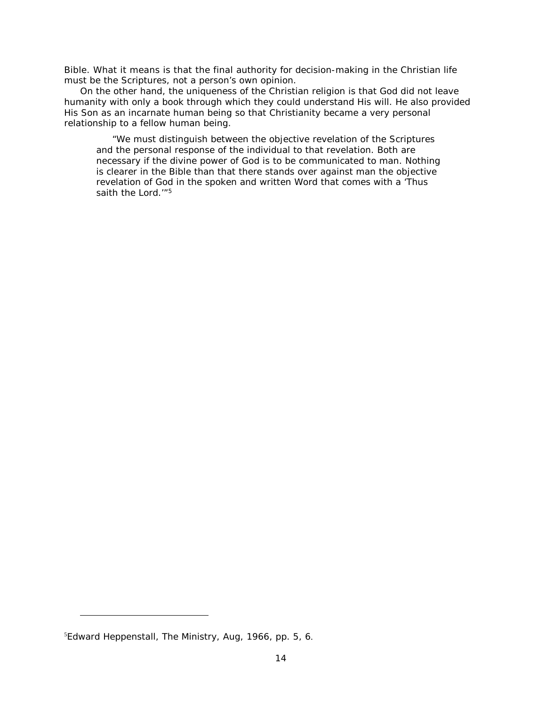Bible. What it means is that the final authority for decision-making in the Christian life must be the Scriptures, not a person's own opinion.

On the other hand, the uniqueness of the Christian religion is that God did not leave humanity with only a book through which they could understand His will. He also provided His Son as an incarnate human being so that Christianity became a very personal relationship to a fellow human being.

"We must distinguish between the objective revelation of the Scriptures and the personal response of the individual to that revelation. Both are necessary if the divine power of God is to be communicated to man. Nothing is clearer in the Bible than that there stands over against man the objective revelation of God in the spoken and written Word that comes with a 'Thus saith the Lord."<sup>[5](#page-13-0)</sup>

i,

<span id="page-13-0"></span><sup>5</sup> Edward Heppenstall, *The Ministry*, Aug, 1966, pp. 5, 6.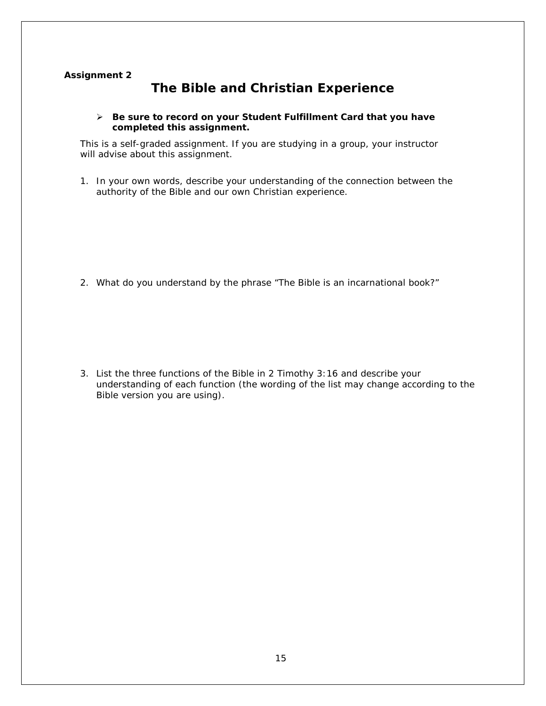## **Assignment 2**

# **The Bible and Christian Experience**

## *Be sure to record on your* **Student Fulfillment Card** *that you have completed this assignment.*

This is a self-graded assignment. If you are studying in a group, your instructor will advise about this assignment.

1. In your own words, describe your understanding of the connection between the authority of the Bible and our own Christian experience.

2. What do you understand by the phrase "The Bible is an incarnational book?"

3. List the three functions of the Bible in 2 Timothy 3:16 and describe your understanding of each function (the wording of the list may change according to the Bible version you are using).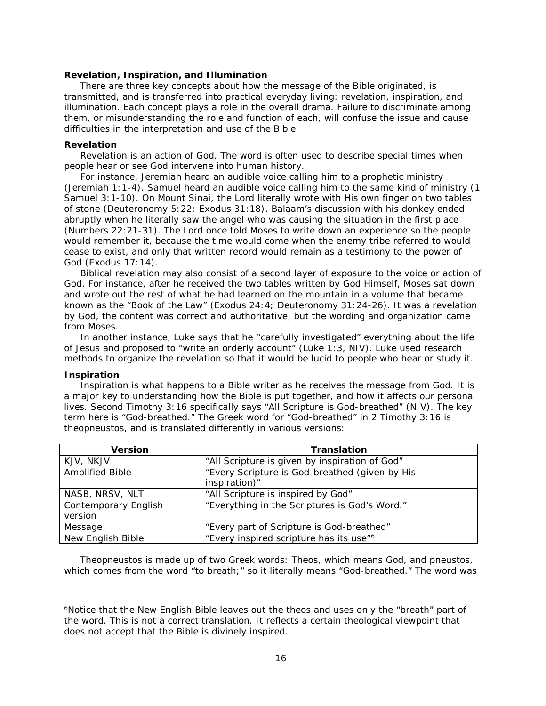#### **Revelation, Inspiration, and Illumination**

There are three key concepts about how the message of the Bible originated, is transmitted, and is transferred into practical everyday living: revelation, inspiration, and illumination. Each concept plays a role in the overall drama. Failure to discriminate among them, or misunderstanding the role and function of each, will confuse the issue and cause difficulties in the interpretation and use of the Bible.

#### **Revelation**

Revelation is an action of God. The word is often used to describe special times when people hear or see God intervene into human history.

For instance, Jeremiah heard an audible voice calling him to a prophetic ministry (Jeremiah 1:1-4). Samuel heard an audible voice calling him to the same kind of ministry (1 Samuel 3:1-10). On Mount Sinai, the Lord literally wrote with His own finger on two tables of stone (Deuteronomy 5:22; Exodus 31:18). Balaam's discussion with his donkey ended abruptly when he literally saw the angel who was causing the situation in the first place (Numbers 22:21-31). The Lord once told Moses to write down an experience so the people would remember it, because the time would come when the enemy tribe referred to would cease to exist, and only that written record would remain as a testimony to the power of God (Exodus 17:14).

Biblical revelation may also consist of a second layer of exposure to the voice or action of God. For instance, after he received the two tables written by God Himself, Moses sat down and wrote out the rest of what he had learned on the mountain in a volume that became known as the "Book of the Law" (Exodus 24:4; Deuteronomy 31:24-26). It was a revelation by God, the content was correct and authoritative, but the wording and organization came from Moses.

In another instance, Luke says that he ''carefully investigated" everything about the life of Jesus and proposed to "write an orderly account" (Luke 1:3, NIV). Luke used research methods to organize the revelation so that it would be lucid to people who hear or study it.

#### **Inspiration**

i,

Inspiration is what happens to a Bible writer as he receives the message from God. It is a major key to understanding how the Bible is put together, and how it affects our personal lives. Second Timothy 3:16 specifically says "All Scripture is God-breathed" (NIV). The key term here is "God-breathed." The Greek word for "God-breathed" in 2 Timothy 3:16 is *theopneustos,* and is translated differently in various versions:

| <b>Version</b>                  | <b>Translation</b>                                              |
|---------------------------------|-----------------------------------------------------------------|
| KJV, NKJV                       | "All Scripture is given by inspiration of God"                  |
| Amplified Bible                 | "Every Scripture is God-breathed (given by His<br>inspiration)" |
| NASB, NRSV, NLT                 | "All Scripture is inspired by God"                              |
| Contemporary English<br>version | "Everything in the Scriptures is God's Word."                   |
| Message                         | "Every part of Scripture is God-breathed"                       |
| New English Bible               | "Every inspired scripture has its use" <sup>6</sup>             |

*Theopneustos* is made up of two Greek words: *Theos*, which means God, and *pneustos*, which comes from the word "to breath;" so it literally means "God-breathed." The word was

<span id="page-15-0"></span><sup>6</sup>Notice that the *New English Bible* leaves out the *theos* and uses only the "breath" part of the word. This is not a correct translation. It reflects a certain theological viewpoint that does not accept that the Bible is divinely inspired.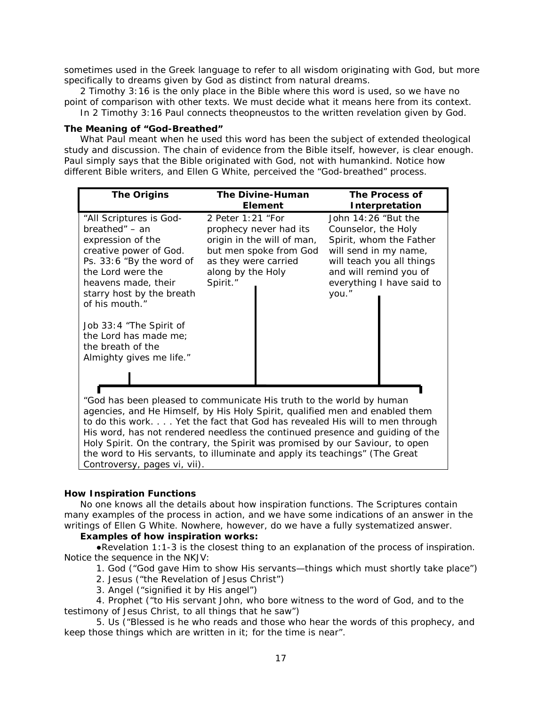sometimes used in the Greek language to refer to all wisdom originating with God, but more specifically to dreams given by God as distinct from natural dreams.

2 Timothy 3:16 is the only place in the Bible where this word is used, so we have no point of comparison with other texts. We must decide what it means here from its context.

In 2 Timothy 3:16 Paul connects *theopneustos* to the written revelation given by God.

#### **The Meaning of "God-Breathed"**

What Paul meant when he used this word has been the subject of extended theological study and discussion. The chain of evidence from the Bible itself, however, is clear enough. Paul simply says that the Bible originated with God, not with humankind. Notice how different Bible writers, and Ellen G White, perceived the "God-breathed" process.

| <b>The Origins</b>                                                                                                                                                                                                                                                                                                                                                                                                                                                                  | <b>The Divine-Human</b><br><b>Element</b>                                                                                                                    | The Process of<br>Interpretation                                                                                                                                                              |  |
|-------------------------------------------------------------------------------------------------------------------------------------------------------------------------------------------------------------------------------------------------------------------------------------------------------------------------------------------------------------------------------------------------------------------------------------------------------------------------------------|--------------------------------------------------------------------------------------------------------------------------------------------------------------|-----------------------------------------------------------------------------------------------------------------------------------------------------------------------------------------------|--|
| "All Scriptures is God-<br>$breathed'' - an$<br>expression of the<br>creative power of God.<br>Ps. 33:6 "By the word of<br>the Lord were the<br>heavens made, their<br>starry host by the breath<br>of his mouth."<br>Job 33:4 "The Spirit of<br>the Lord has made me;<br>the breath of the<br>Almighty gives me life."                                                                                                                                                             | 2 Peter 1:21 "For<br>prophecy never had its<br>origin in the will of man,<br>but men spoke from God<br>as they were carried<br>along by the Holy<br>Spirit." | John $14:26$ "But the<br>Counselor, the Holy<br>Spirit, whom the Father<br>will send in my name,<br>will teach you all things<br>and will remind you of<br>everything I have said to<br>you." |  |
| "God has been pleased to communicate His truth to the world by human<br>agencies, and He Himself, by His Holy Spirit, qualified men and enabled them<br>to do this work Yet the fact that God has revealed His will to men through<br>His word, has not rendered needless the continued presence and guiding of the<br>Holy Spirit. On the contrary, the Spirit was promised by our Saviour, to open<br>the word to His servants, to illuminate and apply its teachings" (The Great |                                                                                                                                                              |                                                                                                                                                                                               |  |

*Controversy,* pages vi, vii).

## **How Inspiration Functions**

No one knows all the details about how inspiration functions. The Scriptures contain many examples of the process in action, and we have some indications of an answer in the writings of Ellen G White. Nowhere, however, do we have a fully systematized answer.

## *Examples of how inspiration works:*

●Revelation 1:1-3 is the closest thing to an explanation of the process of inspiration. Notice the sequence in the NKJV:

1. God ("God gave Him to show His servants—things which must shortly take place")

- 2. Jesus ("the Revelation of Jesus Christ")
- 3. Angel ("signified it by His angel")

4. Prophet ("to His servant John, who bore witness to the word of God, and to the testimony of Jesus Christ, to all things that he saw")

5. Us ("Blessed is he who reads and those who hear the words of this prophecy, and keep those things which are written in it; for the time is near".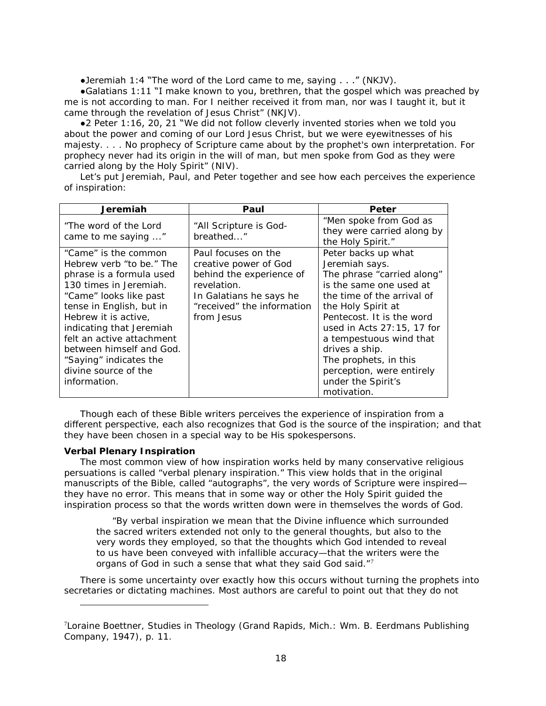•Jeremiah 1:4 "The word of the Lord came to me, saying  $\dots$ ." (NKJV).

●Galatians 1:11 "I make known to you, brethren, that the gospel which was preached by me is not according to man. For I neither received it from man, nor was I taught it, but it came through the revelation of Jesus Christ" (NKJV).

●2 Peter 1:16, 20, 21 "We did not follow cleverly invented stories when we told you about the power and coming of our Lord Jesus Christ, but we were eyewitnesses of his majesty. . . . No prophecy of Scripture came about by the prophet's own interpretation. For prophecy never had its origin in the will of man, but men spoke from God as they were carried along by the Holy Spirit" (NIV).

Let's put Jeremiah, Paul, and Peter together and see how each perceives the experience of inspiration:

| Jeremiah                                                                                                                                                                                                                                                                                                                                    | Paul                                                                                                                                                           | Peter                                                                                                                                                                                                                                                                                                                                                    |
|---------------------------------------------------------------------------------------------------------------------------------------------------------------------------------------------------------------------------------------------------------------------------------------------------------------------------------------------|----------------------------------------------------------------------------------------------------------------------------------------------------------------|----------------------------------------------------------------------------------------------------------------------------------------------------------------------------------------------------------------------------------------------------------------------------------------------------------------------------------------------------------|
| "The word of the Lord"<br>came to me saying "                                                                                                                                                                                                                                                                                               | "All Scripture is God-<br>breathed"                                                                                                                            | "Men spoke from God as<br>they were carried along by<br>the Holy Spirit."                                                                                                                                                                                                                                                                                |
| "Came" is the common<br>Hebrew verb "to be." The<br>phrase is a formula used<br>130 times in Jeremiah.<br>"Came" looks like past<br>tense in English, but in<br>Hebrew it is active,<br>indicating that Jeremiah<br>felt an active attachment<br>between himself and God.<br>"Saying" indicates the<br>divine source of the<br>information. | Paul focuses on the<br>creative power of God<br>behind the experience of<br>revelation.<br>In Galatians he says he<br>"received" the information<br>from Jesus | Peter backs up what<br>Jeremiah says.<br>The phrase "carried along"<br>is the same one used at<br>the time of the arrival of<br>the Holy Spirit at<br>Pentecost. It is the word<br>used in Acts $27:15$ , 17 for<br>a tempestuous wind that<br>drives a ship.<br>The prophets, in this<br>perception, were entirely<br>under the Spirit's<br>motivation. |

Though each of these Bible writers perceives the experience of inspiration from a different perspective, each also recognizes that God is the source of the inspiration; and that they have been chosen in a special way to be His spokespersons.

## **Verbal Plenary Inspiration**

i,

The most common view of how inspiration works held by many conservative religious persuations is called "verbal plenary inspiration." This view holds that in the original manuscripts of the Bible, called "autographs", the very words of Scripture were inspired they have no error. This means that in some way or other the Holy Spirit guided the inspiration process so that the words written down were in themselves the words of God.

"By verbal inspiration we mean that the Divine influence which surrounded the sacred writers extended not only to the general thoughts, but also to the very words they employed, so that the thoughts which God intended to reveal to us have been conveyed with infallible accuracy—that the writers were the organs of God in such a sense that what they said God said."[7](#page-17-0)

There is some uncertainty over exactly how this occurs without turning the prophets into secretaries or dictating machines. Most authors are careful to point out that they do not

<span id="page-17-0"></span><sup>7</sup> Loraine Boettner, *Studies in Theology* (Grand Rapids, Mich.: Wm. B. Eerdmans Publishing Company, 1947), p. 11.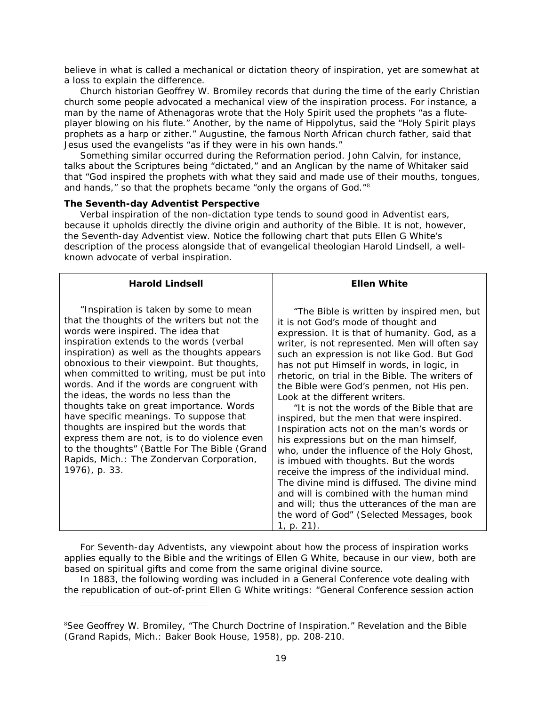believe in what is called a mechanical or dictation theory of inspiration, yet are somewhat at a loss to explain the difference.

Church historian Geoffrey W. Bromiley records that during the time of the early Christian church some people advocated a mechanical view of the inspiration process. For instance, a man by the name of Athenagoras wrote that the Holy Spirit used the prophets "as a fluteplayer blowing on his flute." Another, by the name of Hippolytus, said the "Holy Spirit plays prophets as a harp or zither." Augustine, the famous North African church father, said that Jesus used the evangelists "as if they were in his own hands."

Something similar occurred during the Reformation period. John Calvin, for instance, talks about the Scriptures being "dictated," and an Anglican by the name of Whitaker said that "God inspired the prophets with what they said and made use of their mouths, tongues, and hands," so that the prophets became "only the organs of God."[8](#page-18-0)

## **The Seventh-day Adventist Perspective**

i,

Verbal inspiration of the non-dictation type tends to sound good in Adventist ears, because it upholds directly the divine origin and authority of the Bible. It is not, however, the Seventh-day Adventist view. Notice the following chart that puts Ellen G White's description of the process alongside that of evangelical theologian Harold Lindsell, a wellknown advocate of verbal inspiration.

| <b>Harold Lindsell</b>                                                                                                                                                                                                                                                                                                                                                                                                                                                                                                                                                                                                                                                                                         | <b>Ellen White</b>                                                                                                                                                                                                                                                                                                                                                                                                                                                                                                                                                                                                                                                                                                                                                                                                                                                                                                                                       |
|----------------------------------------------------------------------------------------------------------------------------------------------------------------------------------------------------------------------------------------------------------------------------------------------------------------------------------------------------------------------------------------------------------------------------------------------------------------------------------------------------------------------------------------------------------------------------------------------------------------------------------------------------------------------------------------------------------------|----------------------------------------------------------------------------------------------------------------------------------------------------------------------------------------------------------------------------------------------------------------------------------------------------------------------------------------------------------------------------------------------------------------------------------------------------------------------------------------------------------------------------------------------------------------------------------------------------------------------------------------------------------------------------------------------------------------------------------------------------------------------------------------------------------------------------------------------------------------------------------------------------------------------------------------------------------|
| "Inspiration is taken by some to mean<br>that the thoughts of the writers but not the<br>words were inspired. The idea that<br>inspiration extends to the words (verbal<br>inspiration) as well as the thoughts appears<br>obnoxious to their viewpoint. But thoughts,<br>when committed to writing, must be put into<br>words. And if the words are congruent with<br>the ideas, the words no less than the<br>thoughts take on great importance. Words<br>have specific meanings. To suppose that<br>thoughts are inspired but the words that<br>express them are not, is to do violence even<br>to the thoughts" (Battle For The Bible (Grand<br>Rapids, Mich.: The Zondervan Corporation,<br>1976), p. 33. | "The Bible is written by inspired men, but<br>it is not God's mode of thought and<br>expression. It is that of humanity. God, as a<br>writer, is not represented. Men will often say<br>such an expression is not like God. But God<br>has not put Himself in words, in logic, in<br>rhetoric, on trial in the Bible. The writers of<br>the Bible were God's penmen, not His pen.<br>Look at the different writers.<br>"It is not the words of the Bible that are<br>inspired, but the men that were inspired.<br>Inspiration acts not on the man's words or<br>his expressions but on the man himself,<br>who, under the influence of the Holy Ghost,<br>is imbued with thoughts. But the words<br>receive the impress of the individual mind.<br>The divine mind is diffused. The divine mind<br>and will is combined with the human mind<br>and will; thus the utterances of the man are<br>the word of God" (Selected Messages, book<br>$1, p. 21$ . |

For Seventh-day Adventists, any viewpoint about how the process of inspiration works applies equally to the Bible and the writings of Ellen G White, because in our view, both are based on spiritual gifts and come from the same original divine source.

In 1883, the following wording was included in a General Conference vote dealing with the republication of out-of-print Ellen G White writings: "General Conference session action

<span id="page-18-0"></span><sup>8</sup> See Geoffrey W. Bromiley, "The Church Doctrine of Inspiration." *Revelation and the Bible* (Grand Rapids, Mich.: Baker Book House, 1958), pp. 208-210.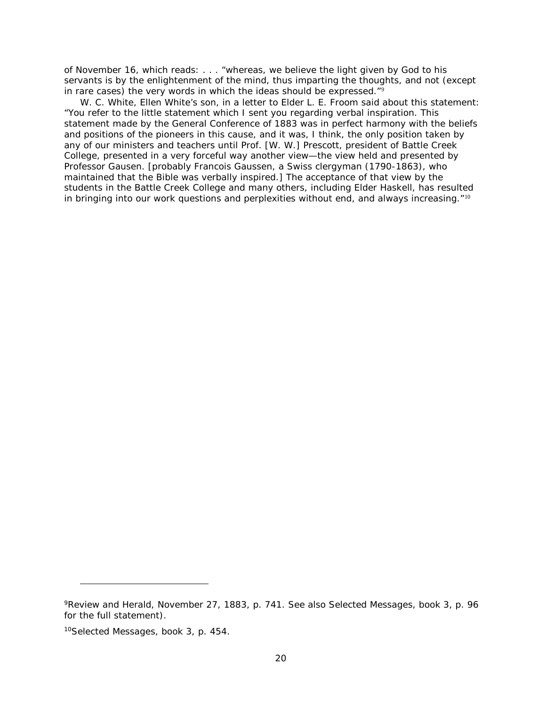of November 16, which reads: . . . "whereas, we believe the light given by God to his servants is by the enlightenment of the mind, thus imparting the thoughts, and not (except in rare cases) the very words in which the ideas should be expressed. $\mathbb{I}^{\mathfrak{g}}$ 

W. C. White, Ellen White's son, in a letter to Elder L. E. Froom said about this statement: "You refer to the little statement which I sent you regarding verbal inspiration. This statement made by the General Conference of 1883 was in perfect harmony with the beliefs and positions of the pioneers in this cause, and it was, I think, the only position taken by any of our ministers and teachers until Prof. [W. W.] Prescott, president of Battle Creek College, presented in a very forceful way another view—the view held and presented by Professor Gausen. [probably Francois Gaussen, a Swiss clergyman (1790-1863), who maintained that the Bible was verbally inspired.] The acceptance of that view by the students in the Battle Creek College and many others, including Elder Haskell, has resulted in bringing into our work questions and perplexities without end, and always increasing."<sup>[10](#page-19-1)</sup>

i,

<span id="page-19-0"></span><sup>9</sup>*Review and Herald,* November 27, 1883, p. 741. See also *Selected Messages,* book 3, p. 96 for the full statement).

<span id="page-19-1"></span><sup>10</sup>*Selected Messages,* book 3, p. 454.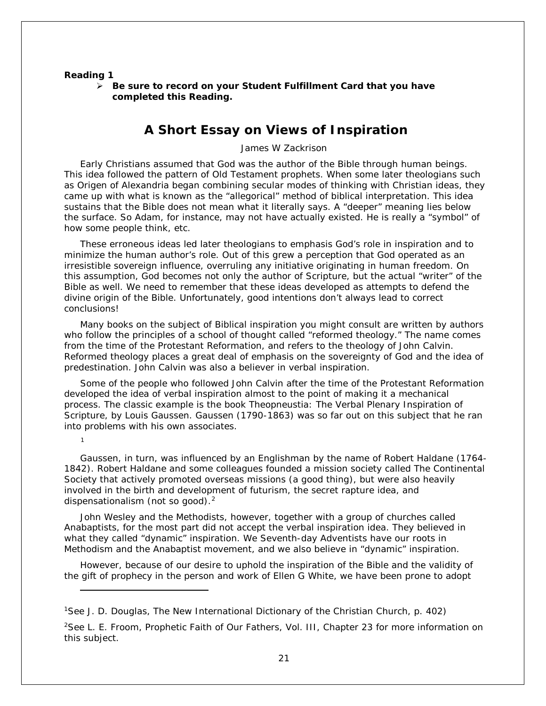#### **Reading 1**

[1](#page-20-0)

l

 *Be sure to record on your* **Student Fulfillment Card** *that you have completed this Reading.*

## **A Short Essay on Views of Inspiration**

James W Zackrison

Early Christians assumed that God was the author of the Bible through human beings. This idea followed the pattern of Old Testament prophets. When some later theologians such as Origen of Alexandria began combining secular modes of thinking with Christian ideas, they came up with what is known as the "allegorical" method of biblical interpretation. This idea sustains that the Bible does not mean what it literally says. A "deeper" meaning lies below the surface. So Adam, for instance, may not have actually existed. He is really a "symbol" of how some people think, etc.

These erroneous ideas led later theologians to emphasis God's role in inspiration and to minimize the human author's role. Out of this grew a perception that God operated as an irresistible sovereign influence, overruling any initiative originating in human freedom. On this assumption, God becomes not only the author of Scripture, but the actual "writer" of the Bible as well. We need to remember that these ideas developed as attempts to *defend the divine origin* of the Bible. Unfortunately, good intentions don't always lead to correct conclusions!

Many books on the subject of Biblical inspiration you might consult are written by authors who follow the principles of a school of thought called "reformed theology." The name comes from the time of the Protestant Reformation, and refers to the theology of John Calvin. Reformed theology places a great deal of emphasis on the sovereignty of God and the idea of predestination. John Calvin was also a believer in verbal inspiration.

Some of the people who followed John Calvin after the time of the Protestant Reformation developed the idea of verbal inspiration almost to the point of making it a mechanical process. The classic example is the book *Theopneustia: The Verbal Plenary Inspiration of Scripture*, by Louis Gaussen. Gaussen (1790-1863) was so far out on this subject that he ran into problems with his own associates.

Gaussen, in turn, was influenced by an Englishman by the name of Robert Haldane (1764- 1842). Robert Haldane and some colleagues founded a mission society called The Continental Society that actively promoted overseas missions (a good thing), but were also heavily involved in the birth and development of futurism, the secret rapture idea, and dispensationalism (not so good).<sup>[2](#page-20-1)</sup>

John Wesley and the Methodists, however, together with a group of churches called Anabaptists, for the most part did not accept the verbal inspiration idea. They believed in what they called "dynamic" inspiration. We Seventh-day Adventists have our roots in Methodism and the Anabaptist movement, and we also believe in "dynamic" inspiration.

However, because of our desire to uphold the inspiration of the Bible and the validity of the gift of prophecy in the person and work of Ellen G White, we have been prone to adopt

<span id="page-20-0"></span>1See J. D. Douglas, *The New International Dictionary of the Christian Church*, p. 402)

<span id="page-20-1"></span>2See L. E. Froom, *Prophetic Faith of Our Fathers*, Vol. III, Chapter 23 for more information on this subject.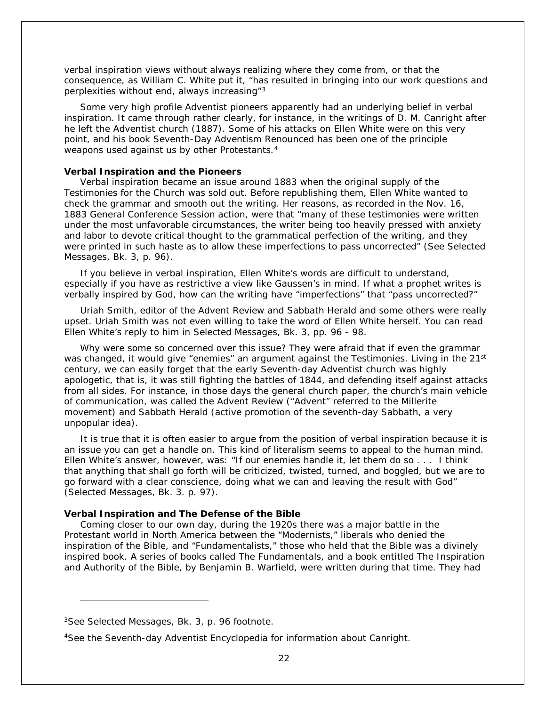verbal inspiration views without always realizing where they come from, or that the consequence, as William C. White put it, "has resulted in bringing into our work questions and perplexities without end, always increasing"[3](#page-21-0)

Some very high profile Adventist pioneers apparently had an underlying belief in verbal inspiration. It came through rather clearly, for instance, in the writings of D. M. Canright after he left the Adventist church (1887). Some of his attacks on Ellen White were on this very point, and his book *Seventh-Day Adventism Renounced* has been one of the principle weapons used against us by other Protestants.<sup>[4](#page-21-1)</sup>

#### **Verbal Inspiration and the Pioneers**

Verbal inspiration became an issue around 1883 when the original supply of the *Testimonies for the Church* was sold out. Before republishing them, Ellen White wanted to check the grammar and smooth out the writing. Her reasons, as recorded in the Nov. 16, 1883 General Conference Session action, were that "many of these testimonies were written under the most unfavorable circumstances, the writer being too heavily pressed with anxiety and labor to devote critical thought to the grammatical perfection of the writing, and they were printed in such haste as to allow these imperfections to pass uncorrected" (See *Selected Messages*, Bk. 3, p. 96).

If you believe in verbal inspiration, Ellen White's words are difficult to understand, especially if you have as restrictive a view like Gaussen's in mind. If what a prophet writes is verbally inspired by God, how can the writing have "imperfections" that "pass uncorrected?"

Uriah Smith, editor of the *Advent Review and Sabbath Herald* and some others were really upset. Uriah Smith was not even willing to take the word of Ellen White herself. You can read Ellen White's reply to him in *Selected Messages*, Bk. 3, pp. 96 - 98.

Why were some so concerned over this issue? They were afraid that if even the grammar was changed, it would give "enemies" an argument against the Testimonies. Living in the 21<sup>st</sup> century, we can easily forget that the early Seventh-day Adventist church was highly apologetic, that is, it was still fighting the battles of 1844, and defending itself against attacks from all sides. For instance, in those days the general church paper, the church's main vehicle of communication, was called the *Advent Review* ("Advent" referred to the Millerite movement) and *Sabbath Herald* (active promotion of the seventh-day Sabbath, a very unpopular idea).

It is true that it is often easier to argue from the position of verbal inspiration because it is an issue you can get a handle on. This kind of literalism seems to appeal to the human mind. Ellen White's answer, however, was: "If our enemies handle it, let them do so . . . I think that anything that shall go forth will be criticized, twisted, turned, and boggled, but we are to go forward with a clear conscience, doing what we can and leaving the result with God" (*Selected Messages*, Bk. 3. p. 97).

#### **Verbal Inspiration and The Defense of the Bible**

Coming closer to our own day, during the 1920s there was a major battle in the Protestant world in North America between the "Modernists," liberals who denied the inspiration of the Bible, and "Fundamentalists," those who held that the Bible was a divinely inspired book. A series of books called *The Fundamentals*, and a book entitled *The Inspiration and Authority of the Bible*, by Benjamin B. Warfield, were written during that time. They had

l

<span id="page-21-0"></span><sup>3</sup>See *Selected Messages*, Bk. 3, p. 96 footnote.

<span id="page-21-1"></span><sup>4</sup>See the *Seventh-day Adventist Encyclopedia* for information about Canright.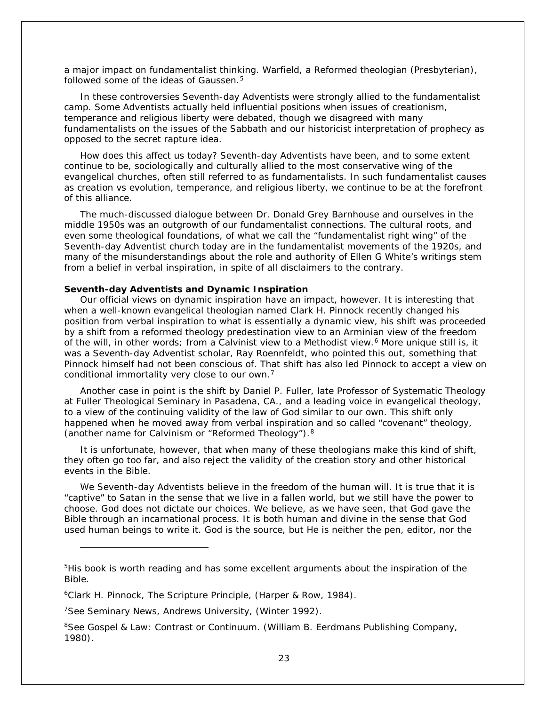a major impact on fundamentalist thinking. Warfield, a Reformed theologian (Presbyterian), followed some of the ideas of Gaussen.<sup>[5](#page-22-0)</sup>

In these controversies Seventh-day Adventists were strongly allied to the fundamentalist camp. Some Adventists actually held influential positions when issues of creationism, temperance and religious liberty were debated, though we disagreed with many fundamentalists on the issues of the Sabbath and our historicist interpretation of prophecy as opposed to the secret rapture idea.

How does this affect us today? Seventh-day Adventists have been, and to some extent continue to be, sociologically and culturally allied to the most conservative wing of the evangelical churches, often still referred to as fundamentalists. In such fundamentalist causes as creation vs evolution, temperance, and religious liberty, we continue to be at the forefront of this alliance.

The much-discussed dialogue between Dr. Donald Grey Barnhouse and ourselves in the middle 1950s was an outgrowth of our fundamentalist connections. The cultural roots, and even some theological foundations, of what we call the "fundamentalist right wing" of the Seventh-day Adventist church today are in the fundamentalist movements of the 1920s, and many of the misunderstandings about the role and authority of Ellen G White's writings stem from a belief in verbal inspiration, in spite of all disclaimers to the contrary.

#### **Seventh-day Adventists and Dynamic Inspiration**

Our official views on dynamic inspiration have an impact, however. It is interesting that when a well-known evangelical theologian named Clark H. Pinnock recently changed his position from verbal inspiration to what is essentially a dynamic view, his shift was proceeded by a shift from a reformed theology predestination view to an Arminian view of the freedom of the will, in other words; from a Calvinist view to a Methodist view.<sup>[6](#page-22-1)</sup> More unique still is, it was a Seventh-day Adventist scholar, Ray Roennfeldt, who pointed this out, something that Pinnock himself had not been conscious of. That shift has also led Pinnock to accept a view on conditional immortality very close to our own.[7](#page-22-2)

Another case in point is the shift by Daniel P. Fuller, late Professor of Systematic Theology at Fuller Theological Seminary in Pasadena, CA., and a leading voice in evangelical theology, to a view of the continuing validity of the law of God similar to our own. This shift only happened when he moved away from verbal inspiration and so called "covenant" theology, (another name for Calvinism or "Reformed Theology").[8](#page-22-3)

It is unfortunate, however, that when many of these theologians make this kind of shift, they often go too far, and also reject the validity of the creation story and other historical events in the Bible.

We Seventh-day Adventists believe in the freedom of the human will. It is true that it is "captive" to Satan in the sense that we live in a fallen world, but we still have the power to choose. God does not dictate our choices. We believe, as we have seen, that God gave the Bible through an incarnational process. It is both human and divine in the sense that God used human beings to write it. God is the source, but He is neither the pen, editor, nor the

l

<span id="page-22-0"></span><sup>&</sup>lt;sup>5</sup>His book is worth reading and has some excellent arguments about the inspiration of the Bible.

<span id="page-22-1"></span><sup>6</sup>Clark H. Pinnock, *The Scripture Principle*, (Harper & Row, 1984).

<span id="page-22-2"></span><sup>7</sup>See *Seminary News,* Andrews University, (Winter 1992).

<span id="page-22-3"></span><sup>8</sup>See *Gospel & Law: Contrast or Continuum*. (William B. Eerdmans Publishing Company, 1980).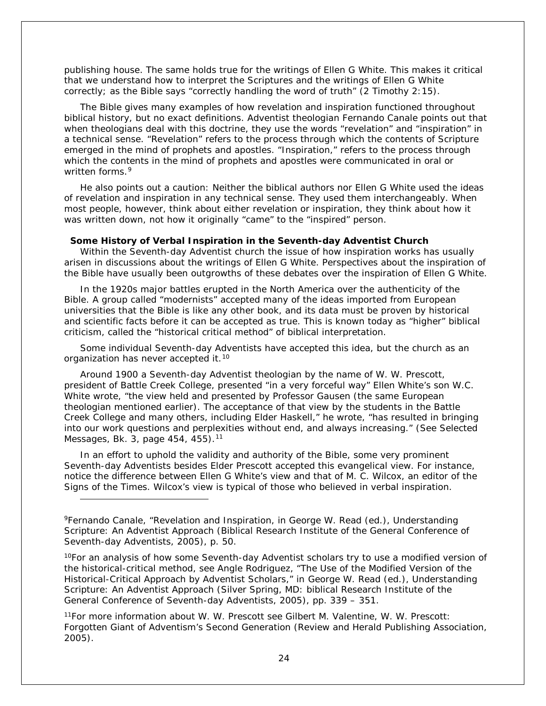publishing house. The same holds true for the writings of Ellen G White. This makes it critical that we understand how to interpret the Scriptures and the writings of Ellen G White correctly; as the Bible says "correctly handling the word of truth" (2 Timothy 2:15).

The Bible gives many examples of how revelation and inspiration functioned throughout biblical history, but no exact definitions. Adventist theologian Fernando Canale points out that when theologians deal with this doctrine, they use the words "revelation" and "inspiration" in a technical sense. "Revelation" refers to the process through which the contents of Scripture emerged in the mind of prophets and apostles. "Inspiration," refers to the process through which the contents in the mind of prophets and apostles were communicated in oral or written forms.<sup>[9](#page-23-0)</sup>

He also points out a caution: Neither the biblical authors nor Ellen G White used the ideas of revelation and inspiration in any technical sense. They used them interchangeably. When most people, however, think about either revelation or inspiration, they think about how it was written down, not how it originally "came" to the "inspired" person.

#### **Some History of Verbal Inspiration in the Seventh-day Adventist Church**

Within the Seventh-day Adventist church the issue of how inspiration works has usually arisen in discussions about the writings of Ellen G White. Perspectives about the inspiration of the Bible have usually been outgrowths of these debates over the inspiration of Ellen G White.

In the 1920s major battles erupted in the North America over the authenticity of the Bible. A group called "modernists" accepted many of the ideas imported from European universities that the Bible is like any other book, and its data must be proven by historical and scientific facts before it can be accepted as true. This is known today as "higher" biblical criticism, called the "historical critical method" of biblical interpretation.

Some individual Seventh-day Adventists have accepted this idea, but the church as an organization has never accepted it.<sup>[10](#page-23-1)</sup>

Around 1900 a Seventh-day Adventist theologian by the name of W. W. Prescott, president of Battle Creek College, presented "in a very forceful way" Ellen White's son W.C. White wrote, "the view held and presented by Professor Gausen (the same European theologian mentioned earlier). The acceptance of that view by the students in the Battle Creek College and many others, including Elder Haskell," he wrote, "has resulted in bringing into our work questions and perplexities without end, and always increasing." (See *Selected Messages*, Bk. 3, page 454, 455).<sup>[11](#page-23-2)</sup>

In an effort to uphold the validity and authority of the Bible, some very prominent Seventh-day Adventists besides Elder Prescott accepted this evangelical view. For instance, notice the difference between Ellen G White's view and that of M. C. Wilcox, an editor of the *Signs of the Times*. Wilcox's view is typical of those who believed in verbal inspiration.

l

<span id="page-23-1"></span> $10$ For an analysis of how some Seventh-day Adventist scholars try to use a modified version of the historical-critical method, see Angle Rodriguez, "The Use of the Modified Version of the Historical-Critical Approach by Adventist Scholars," in George W. Read (ed.), *Understanding Scripture: An Adventist Approach* (Silver Spring, MD: biblical Research Institute of the General Conference of Seventh-day Adventists, 2005), pp. 339 – 351.

<span id="page-23-2"></span>11For more information about W. W. Prescott see Gilbert M. Valentine, W. W. Prescott: *Forgotten Giant of Adventism's Second Generation* (Review and Herald Publishing Association, 2005).

<span id="page-23-0"></span><sup>9</sup>Fernando Canale, "Revelation and Inspiration, in George W. Read (ed.), *Understanding Scripture: An Adventist Approach* (Biblical Research Institute of the General Conference of Seventh-day Adventists, 2005), p. 50.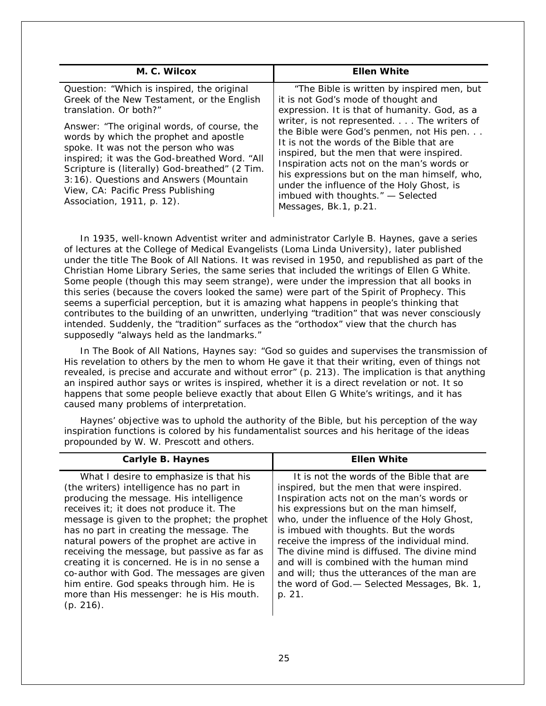| M. C. Wilcox                                                                                                                                                                                                                                                                                                                                                                                                                                                        | <b>Ellen White</b>                                                                                                                                                                                                                                                                                                                                                                                                                                                                                                              |
|---------------------------------------------------------------------------------------------------------------------------------------------------------------------------------------------------------------------------------------------------------------------------------------------------------------------------------------------------------------------------------------------------------------------------------------------------------------------|---------------------------------------------------------------------------------------------------------------------------------------------------------------------------------------------------------------------------------------------------------------------------------------------------------------------------------------------------------------------------------------------------------------------------------------------------------------------------------------------------------------------------------|
| Question: "Which is inspired, the original<br>Greek of the New Testament, or the English<br>translation. Or both?"<br>Answer: "The original words, of course, the<br>words by which the prophet and apostle<br>spoke. It was not the person who was<br>inspired; it was the God-breathed Word. "All<br>Scripture is (literally) God-breathed" (2 Tim.<br>3:16). Questions and Answers (Mountain<br>View, CA: Pacific Press Publishing<br>Association, 1911, p. 12). | "The Bible is written by inspired men, but<br>it is not God's mode of thought and<br>expression. It is that of humanity. God, as a<br>writer, is not represented. The writers of<br>the Bible were God's penmen, not His pen<br>It is not the words of the Bible that are<br>inspired, but the men that were inspired.<br>Inspiration acts not on the man's words or<br>his expressions but on the man himself, who,<br>under the influence of the Holy Ghost, is<br>imbued with thoughts." - Selected<br>Messages, Bk.1, p.21. |

In 1935, well-known Adventist writer and administrator Carlyle B. Haynes, gave a series of lectures at the College of Medical Evangelists (Loma Linda University), later published under the title *The Book of All Nations*. It was revised in 1950, and republished as part of the Christian Home Library Series, the same series that included the writings of Ellen G White. Some people (though this may seem strange), were under the impression that all books in this series (because the covers looked the same) were part of the Spirit of Prophecy. This seems a superficial perception, but it is amazing what happens in people's thinking that contributes to the building of an unwritten, underlying "tradition" that was never consciously intended. Suddenly, the "tradition" surfaces as the "orthodox" view that the church has supposedly "always held as the landmarks."

In *The Book of All Nations*, Haynes say: "God so guides and supervises the transmission of His revelation to others by the men to whom He gave it that their writing, even of things not revealed, is precise and accurate and without error" (p. 213). The implication is that anything an inspired author says or writes is inspired, whether it is a direct revelation or not. It so happens that some people believe exactly that about Ellen G White's writings, and it has caused many problems of interpretation.

Haynes' objective was to uphold the authority of the Bible, but his perception of the way inspiration functions is colored by his fundamentalist sources and his heritage of the ideas propounded by W. W. Prescott and others.

| Carlyle B. Haynes                                                                                                                                                                                                                                                                                                                                                                                                                                                                                                                                                           | <b>Ellen White</b>                                                                                                                                                                                                                                                                                                                                                                                                                                                                                                           |
|-----------------------------------------------------------------------------------------------------------------------------------------------------------------------------------------------------------------------------------------------------------------------------------------------------------------------------------------------------------------------------------------------------------------------------------------------------------------------------------------------------------------------------------------------------------------------------|------------------------------------------------------------------------------------------------------------------------------------------------------------------------------------------------------------------------------------------------------------------------------------------------------------------------------------------------------------------------------------------------------------------------------------------------------------------------------------------------------------------------------|
| What I desire to emphasize is that his<br>(the writers) intelligence has no part in<br>producing the message. His intelligence<br>receives it; it does not produce it. The<br>message is given to the prophet; the prophet<br>has no part in creating the message. The<br>natural powers of the prophet are active in<br>receiving the message, but passive as far as<br>creating it is concerned. He is in no sense a<br>co-author with God. The messages are given<br>him entire. God speaks through him. He is<br>more than His messenger: he is His mouth.<br>(p. 216). | It is not the words of the Bible that are<br>inspired, but the men that were inspired.<br>Inspiration acts not on the man's words or<br>his expressions but on the man himself,<br>who, under the influence of the Holy Ghost,<br>is imbued with thoughts. But the words<br>receive the impress of the individual mind.<br>The divine mind is diffused. The divine mind<br>and will is combined with the human mind<br>and will: thus the utterances of the man are<br>the word of God.— Selected Messages, Bk. 1,<br>p. 21. |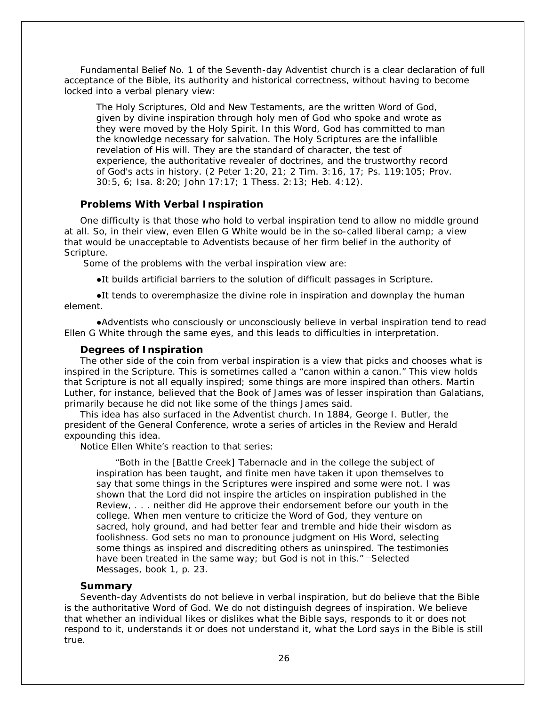*Fundamental Belief No. 1* of the Seventh-day Adventist church is a clear declaration of full acceptance of the Bible, its authority and historical correctness, without having to become locked into a verbal plenary view:

The Holy Scriptures, Old and New Testaments, are the written Word of God, given by divine inspiration through holy men of God who spoke and wrote as they were moved by the Holy Spirit. In this Word, God has committed to man the knowledge necessary for salvation. The Holy Scriptures are the infallible revelation of His will. They are the standard of character, the test of experience, the authoritative revealer of doctrines, and the trustworthy record of God's acts in history. (2 Peter 1:20, 21; 2 Tim. 3:16, 17; Ps. 119:105; Prov. 30:5, 6; Isa. 8:20; John 17:17; 1 Thess. 2:13; Heb. 4:12).

## **Problems With Verbal Inspiration**

One difficulty is that those who hold to verbal inspiration tend to allow no middle ground at all. So, in their view, even Ellen G White would be in the so-called liberal camp; a view that would be unacceptable to Adventists because of her firm belief in the authority of Scripture.

Some of the problems with the verbal inspiration view are:

●It builds artificial barriers to the solution of difficult passages in Scripture.

●It tends to overemphasize the divine role in inspiration and downplay the human element.

●Adventists who consciously or unconsciously believe in verbal inspiration tend to read Ellen G White through the same eyes, and this leads to difficulties in interpretation.

### **Degrees of Inspiration**

The other side of the coin from verbal inspiration is a view that picks and chooses what is inspired in the Scripture. This is sometimes called a "canon within a canon." This view holds that Scripture is not all equally inspired; some things are more inspired than others. Martin Luther, for instance, believed that the Book of James was of lesser inspiration than Galatians, primarily because he did not like some of the things James said.

This idea has also surfaced in the Adventist church. In 1884, George I. Butler, the president of the General Conference, wrote a series of articles in the *Review and Herald* expounding this idea.

Notice Ellen White's reaction to that series:

"Both in the [Battle Creek] Tabernacle and in the college the subject of inspiration has been taught, and finite men have taken it upon themselves to say that some things in the Scriptures were inspired and some were not. I was shown that the Lord did not inspire the articles on inspiration published in the Review, . . . neither did He approve their endorsement before our youth in the college. When men venture to criticize the Word of God, they venture on sacred, holy ground, and had better fear and tremble and hide their wisdom as foolishness. God sets no man to pronounce judgment on His Word, selecting some things as inspired and discrediting others as uninspired. The testimonies have been treated in the same way; but God is not in this." —*Selected Messages*, book 1, p. 23.

## **Summary**

Seventh-day Adventists do not believe in verbal inspiration, but do believe that the Bible is the authoritative Word of God. We do not distinguish degrees of inspiration. We believe that whether an individual likes or dislikes what the Bible says, responds to it or does not respond to it, understands it or does not understand it, what the Lord says in the Bible is still true.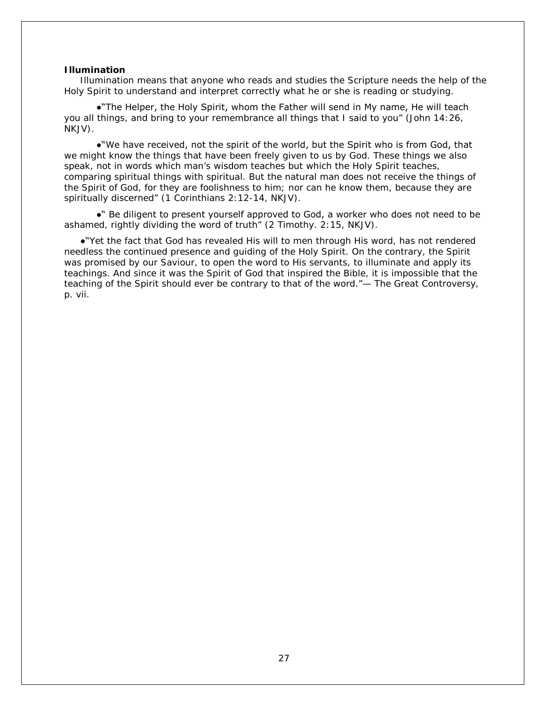#### **Illumination**

Illumination means that anyone who reads and studies the Scripture needs the help of the Holy Spirit to understand and interpret correctly what he or she is reading or studying.

●"The Helper, the Holy Spirit, whom the Father will send in My name, He will teach you all things, and bring to your remembrance all things that I said to you" (John 14:26, NKJV).

●"We have received, not the spirit of the world, but the Spirit who is from God, that we might know the things that have been freely given to us by God. These things we also speak, not in words which man's wisdom teaches but which the Holy Spirit teaches, comparing spiritual things with spiritual. But the natural man does not receive the things of the Spirit of God, for they are foolishness to him; nor can he know them, because they are spiritually discerned" (1 Corinthians 2:12-14, NKJV).

●" Be diligent to present yourself approved to God, a worker who does not need to be ashamed, rightly dividing the word of truth" (2 Timothy. 2:15, NKJV).

●"Yet the fact that God has revealed His will to men through His word, has not rendered needless the continued presence and guiding of the Holy Spirit. On the contrary, the Spirit was promised by our Saviour, to open the word to His servants, to illuminate and apply its teachings. And since it was the Spirit of God that inspired the Bible, it is impossible that the teaching of the Spirit should ever be contrary to that of the word."— *The Great Controversy*, p. vii.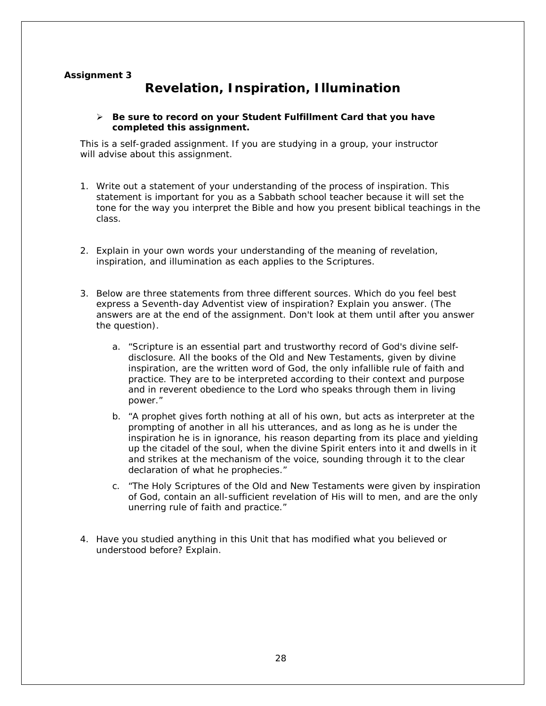## **Assignment 3**

# **Revelation, Inspiration, Illumination**

## *Be sure to record on your* **Student Fulfillment Card** *that you have completed this assignment.*

This is a self-graded assignment. If you are studying in a group, your instructor will advise about this assignment.

- 1. Write out a statement of your understanding of the process of inspiration. This statement is important for you as a Sabbath school teacher because it will set the tone for the way you interpret the Bible and how you present biblical teachings in the class.
- 2. Explain in your own words your understanding of the meaning of revelation, inspiration, and illumination as each applies to the Scriptures.
- 3. Below are three statements from three different sources. Which do you feel best express a Seventh-day Adventist view of inspiration? Explain you answer. (The answers are at the end of the assignment. Don't look at them until after you answer the question).
	- a. "Scripture is an essential part and trustworthy record of God's divine selfdisclosure. All the books of the Old and New Testaments, given by divine inspiration, are the written word of God, the only infallible rule of faith and practice. They are to be interpreted according to their context and purpose and in reverent obedience to the Lord who speaks through them in living power."
	- b. "A prophet gives forth nothing at all of his own, but acts as interpreter at the prompting of another in all his utterances, and as long as he is under the inspiration he is in ignorance, his reason departing from its place and yielding up the citadel of the soul, when the divine Spirit enters into it and dwells in it and strikes at the mechanism of the voice, sounding through it to the clear declaration of what he prophecies."
	- c. "The Holy Scriptures of the Old and New Testaments were given by inspiration of God, contain an all-sufficient revelation of His will to men, and are the only unerring rule of faith and practice."
- 4. Have you studied anything in this Unit that has modified what you believed or understood before? Explain.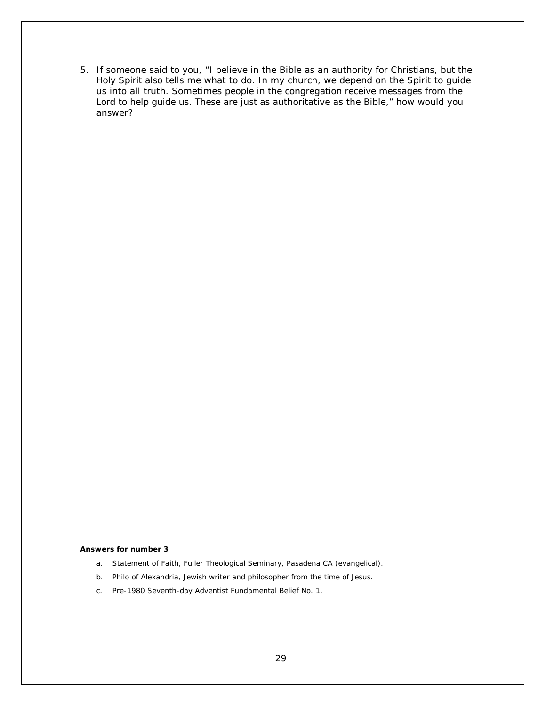5. If someone said to you, "I believe in the Bible as an authority for Christians, but the Holy Spirit also tells me what to do. In my church, we depend on the Spirit to guide us into all truth. Sometimes people in the congregation receive messages from the Lord to help guide us. These are just as authoritative as the Bible," how would you answer?

#### **Answers for number 3**

- a. Statement of Faith, Fuller Theological Seminary, Pasadena CA (evangelical).
- b. Philo of Alexandria, Jewish writer and philosopher from the time of Jesus.
- c. Pre-1980 Seventh-day Adventist Fundamental Belief No. 1.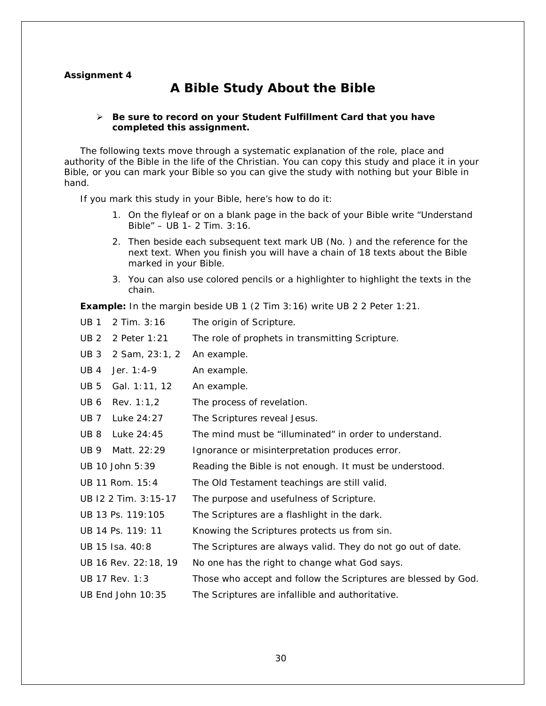## **Assignment 4**

# **A Bible Study About the Bible**

## *Be sure to record on your* **Student Fulfillment Card** *that you have completed this assignment.*

The following texts move through a systematic explanation of the role, place and authority of the Bible in the life of the Christian. You can copy this study and place it in your Bible, or you can mark your Bible so you can give the study with nothing but your Bible in hand.

If you mark this study in your Bible, here's how to do it:

- 1. On the flyleaf or on a blank page in the back of your Bible write "Understand Bible" – UB 1- 2 Tim. 3:16.
- 2. Then beside each subsequent text mark UB (No. ) and the reference for the next text. When you finish you will have a chain of 18 texts about the Bible marked in your Bible.
- 3. You can also use colored pencils or a highlighter to highlight the texts in the chain.

**Example:** In the margin beside UB 1 (2 Tim 3:16) write UB 2 2 Peter 1:21.

| <b>UB1</b><br>2 Tim. 3:16         | The origin of Scripture.                                       |
|-----------------------------------|----------------------------------------------------------------|
| 2 Peter 1:21<br>UB <sub>2</sub>   | The role of prophets in transmitting Scripture.                |
| UB <sub>3</sub><br>2 Sam, 23:1, 2 | An example.                                                    |
| UB <sub>4</sub><br>Jer. 1:4-9     | An example.                                                    |
| UB <sub>5</sub><br>Gal. 1:11, 12  | An example.                                                    |
| UB 6<br>Rev. $1:1,2$              | The process of revelation.                                     |
| <b>UB7</b><br>Luke 24:27          | The Scriptures reveal Jesus.                                   |
| UB <sub>8</sub><br>Luke 24:45     | The mind must be "illuminated" in order to understand.         |
| UB 9<br>Matt. 22:29               | Ignorance or misinterpretation produces error.                 |
| UB 10 John 5:39                   | Reading the Bible is not enough. It must be understood.        |
| UB 11 Rom. 15:4                   | The Old Testament teachings are still valid.                   |
| UB 12 2 Tim. 3:15-17              | The purpose and usefulness of Scripture.                       |
| UB 13 Ps. 119:105                 | The Scriptures are a flashlight in the dark.                   |
| UB 14 Ps. 119: 11                 | Knowing the Scriptures protects us from sin.                   |
| UB 15 Isa. 40:8                   | The Scriptures are always valid. They do not go out of date.   |
| UB 16 Rev. 22:18, 19              | No one has the right to change what God says.                  |
| UB 17 Rev. 1:3                    | Those who accept and follow the Scriptures are blessed by God. |
| UB End John 10:35                 | The Scriptures are infallible and authoritative.               |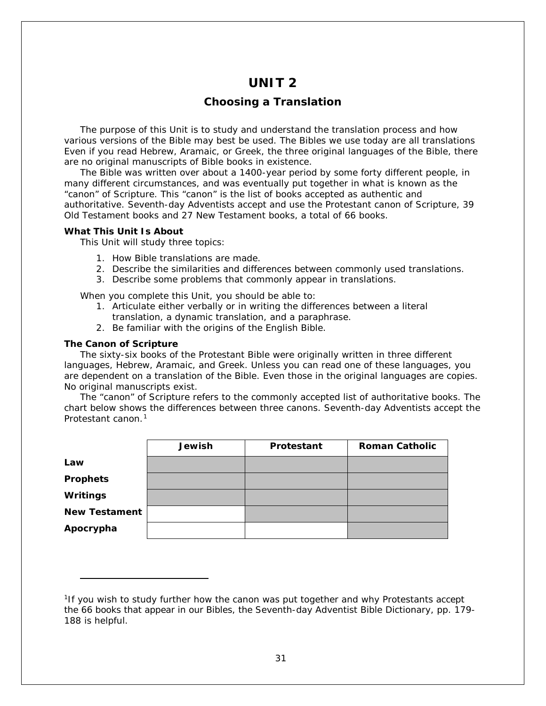# **UNIT 2**

## **Choosing a Translation**

The purpose of this Unit is to study and understand the translation process and how various versions of the Bible may best be used. The Bibles we use today are all translations Even if you read Hebrew, Aramaic, or Greek, the three original languages of the Bible, there are no original manuscripts of Bible books in existence.

The Bible was written over about a 1400-year period by some forty different people, in many different circumstances, and was eventually put together in what is known as the "canon" of Scripture. This "canon" is the list of books accepted as authentic and authoritative. Seventh-day Adventists accept and use the Protestant canon of Scripture, 39 Old Testament books and 27 New Testament books, a total of 66 books.

## **What This Unit Is About**

This Unit will study three topics:

- 1. How Bible translations are made.
- 2. Describe the similarities and differences between commonly used translations.
- 3. Describe some problems that commonly appear in translations.

When you complete this Unit, you should be able to:

- 1. Articulate either verbally or in writing the differences between a literal translation, a dynamic translation, and a paraphrase.
- 2. Be familiar with the origins of the English Bible.

## **The Canon of Scripture**

i,

The sixty-six books of the Protestant Bible were originally written in three different languages, Hebrew, Aramaic, and Greek. Unless you can read one of these languages, you are dependent on a translation of the Bible. Even those in the original languages are copies. No original manuscripts exist.

The "canon" of Scripture refers to the commonly accepted list of authoritative books. The chart below shows the differences between three canons. Seventh-day Adventists accept the Protestant canon.[1](#page-30-0)

|                      | <b>Jewish</b> | Protestant | <b>Roman Catholic</b> |
|----------------------|---------------|------------|-----------------------|
| Law                  |               |            |                       |
| <b>Prophets</b>      |               |            |                       |
| Writings             |               |            |                       |
| <b>New Testament</b> |               |            |                       |
| Apocrypha            |               |            |                       |

<span id="page-30-0"></span><sup>&</sup>lt;sup>1</sup>If you wish to study further how the canon was put together and why Protestants accept the 66 books that appear in our Bibles, the *Seventh-day Adventist Bible Dictionary*, pp. 179- 188 is helpful.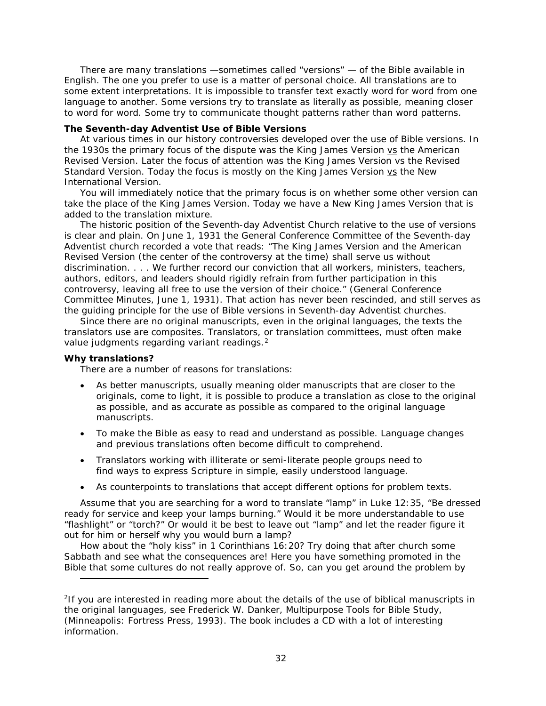There are many translations —sometimes called "versions" — of the Bible available in English. The one you prefer to use is a matter of personal choice. All translations are to some extent interpretations. It is impossible to transfer text exactly word for word from one language to another. Some versions try to translate as literally as possible, meaning closer to word for word. Some try to communicate thought patterns rather than word patterns.

## **The Seventh-day Adventist Use of Bible Versions**

At various times in our history controversies developed over the use of Bible versions. In the 1930s the primary focus of the dispute was the King James Version vs the American Revised Version. Later the focus of attention was the King James Version vs the Revised Standard Version. Today the focus is mostly on the King James Version vs the New International Version.

You will immediately notice that the primary focus is on whether some other version can take the place of the King James Version. Today we have a New King James Version that is added to the translation mixture.

The historic position of the Seventh-day Adventist Church relative to the use of versions is clear and plain. On June 1, 1931 the General Conference Committee of the Seventh-day Adventist church recorded a vote that reads: "The King James Version and the American Revised Version (the center of the controversy at the time) shall serve us without discrimination. . . . We further record our conviction that all workers, ministers, teachers, authors, editors, and leaders should rigidly refrain from further participation in this controversy, leaving all free to use the version of their choice." (General Conference Committee Minutes, June 1, 1931). That action has never been rescinded, and still serves as the guiding principle for the use of Bible versions in Seventh-day Adventist churches.

Since there are no original manuscripts, even in the original languages, the texts the translators use are composites. Translators, or translation committees, must often make value judgments regarding variant readings.<sup>[2](#page-31-0)</sup>

## **Why translations?**

i,

There are a number of reasons for translations:

- As better manuscripts, usually meaning older manuscripts that are closer to the originals, come to light, it is possible to produce a translation as close to the original as possible, and as accurate as possible as compared to the original language manuscripts.
- To make the Bible as easy to read and understand as possible. Language changes and previous translations often become difficult to comprehend.
- Translators working with illiterate or semi-literate people groups need to find ways to express Scripture in simple, easily understood language.
- As counterpoints to translations that accept different options for problem texts.

Assume that you are searching for a word to translate "lamp" in Luke 12:35, "Be dressed ready for service and keep your lamps burning." Would it be more understandable to use "flashlight" or "torch?" Or would it be best to leave out "lamp" and let the reader figure it out for him or herself why you would burn a lamp?

How about the "holy kiss" in 1 Corinthians 16:20? Try doing that after church some Sabbath and see what the consequences are! Here you have something promoted in the Bible that some cultures do not really approve of. So, can you get around the problem by

<span id="page-31-0"></span><sup>&</sup>lt;sup>2</sup>If you are interested in reading more about the details of the use of biblical manuscripts in the original languages, see Frederick W. Danker, *Multipurpose Tools for Bible Study*, (Minneapolis: Fortress Press, 1993). The book includes a CD with a lot of interesting information.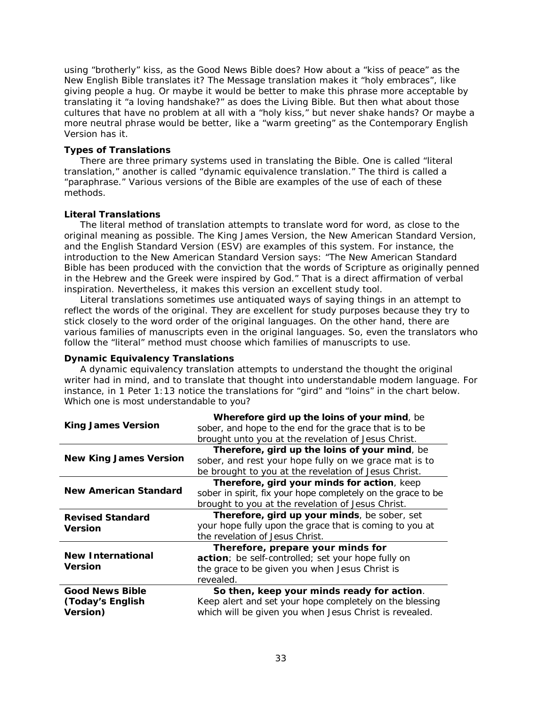using "brotherly" kiss, as the *Good News Bible* does? How about a "kiss of peace" as the *New English Bible* translates it? The *Message* translation makes it "holy embraces", like giving people a hug. Or maybe it would be better to make this phrase more acceptable by translating it "a loving handshake?" as does the *Living Bibl*e. But then what about those cultures that have no problem at all with a "holy kiss," but never shake hands? Or maybe a more neutral phrase would be better, like a "warm greeting" as the *Contemporary English Version* has it.

## **Types of Translations**

There are three primary systems used in translating the Bible. One is called "literal translation," another is called "dynamic equivalence translation." The third is called a "paraphrase." Various versions of the Bible are examples of the use of each of these methods.

## **Literal Translations**

The literal method of translation attempts to translate word for word, as close to the original meaning as possible. The King James Version, the New American Standard Version, and the English Standard Version (ESV) are examples of this system. For instance, the introduction to the New American Standard Version says: "The New American Standard Bible has been produced with the conviction that the words of Scripture as originally penned in the Hebrew and the Greek were inspired by God." That is a direct affirmation of verbal inspiration. Nevertheless, it makes this version an excellent study tool.

Literal translations sometimes use antiquated ways of saying things in an attempt to reflect the words of the original. They are excellent for study purposes because they try to stick closely to the word order of the original languages. On the other hand, there are various families of manuscripts even in the original languages. So, even the translators who follow the "literal" method must choose which families of manuscripts to use.

**Dynamic Equivalency Translations**

A dynamic equivalency translation attempts to understand the *thought* the original writer had in mind, and to translate that thought into understandable modem language. For instance, in 1 Peter 1:13 notice the translations for "gird" and "loins" in the chart below. Which one is most understandable to you?

|                               | Wherefore gird up the loins of your mind, be                 |
|-------------------------------|--------------------------------------------------------------|
| <b>King James Version</b>     | sober, and hope to the end for the grace that is to be       |
|                               | brought unto you at the revelation of Jesus Christ.          |
|                               | Therefore, gird up the loins of your mind, be                |
| <b>New King James Version</b> | sober, and rest your hope fully on we grace mat is to        |
|                               | be brought to you at the revelation of Jesus Christ.         |
|                               | Therefore, gird your minds for action, keep                  |
| <b>New American Standard</b>  | sober in spirit, fix your hope completely on the grace to be |
|                               | brought to you at the revelation of Jesus Christ.            |
| <b>Revised Standard</b>       | Therefore, gird up your minds, be sober, set                 |
| <b>Version</b>                | your hope fully upon the grace that is coming to you at      |
|                               | the revelation of Jesus Christ.                              |
|                               | Therefore, prepare your minds for                            |
| <b>New International</b>      | action; be self-controlled; set your hope fully on           |
| <b>Version</b>                | the grace to be given you when Jesus Christ is               |
|                               | revealed.                                                    |
| <b>Good News Bible</b>        | So then, keep your minds ready for action.                   |
| (Today's English              | Keep alert and set your hope completely on the blessing      |
| <b>Version</b> )              | which will be given you when Jesus Christ is revealed.       |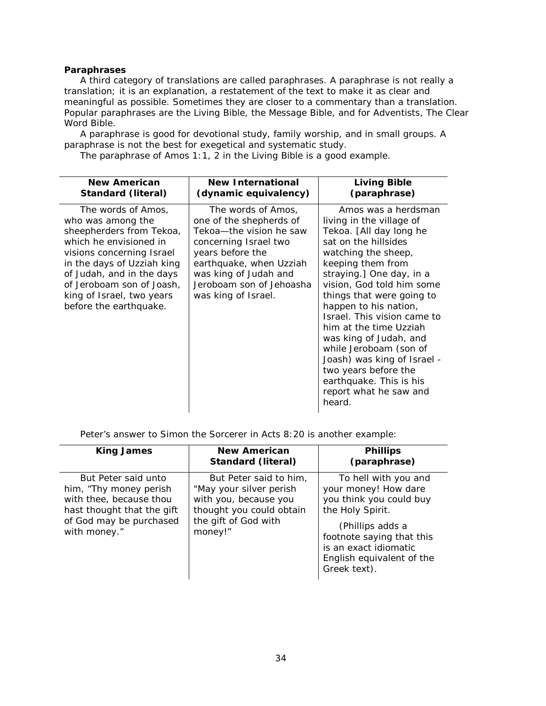## **Paraphrases**

A third category of translations are called paraphrases. A paraphrase is not really a translation; it is an explanation, a restatement of the text to make it as clear and meaningful as possible. Sometimes they are closer to a commentary than a translation. Popular paraphrases are the *Living Bible*, the *Message* Bible, and for Adventists, The *Clear Word* Bible.

A paraphrase is good for devotional study, family worship, and in small groups. A paraphrase is not the best for exegetical and systematic study.

The paraphrase of Amos 1:1, 2 in the *Living Bible* is a good example.

| <b>New American</b>                                                                                                                                                                                                                                                       | <b>New International</b>                                                                                                                                                                                                     | <b>Living Bible</b>                                                                                                                                                                                                                                                                                                                                                                                                                                                                              |
|---------------------------------------------------------------------------------------------------------------------------------------------------------------------------------------------------------------------------------------------------------------------------|------------------------------------------------------------------------------------------------------------------------------------------------------------------------------------------------------------------------------|--------------------------------------------------------------------------------------------------------------------------------------------------------------------------------------------------------------------------------------------------------------------------------------------------------------------------------------------------------------------------------------------------------------------------------------------------------------------------------------------------|
| Standard (literal)                                                                                                                                                                                                                                                        | (dynamic equivalency)                                                                                                                                                                                                        | (paraphrase)                                                                                                                                                                                                                                                                                                                                                                                                                                                                                     |
| The words of Amos,<br>who was among the<br>sheepherders from Tekoa,<br>which he envisioned in<br>visions concerning Israel<br>in the days of Uzziah king<br>of Judah, and in the days<br>of Jeroboam son of Joash,<br>king of Israel, two years<br>before the earthquake. | The words of Amos,<br>one of the shepherds of<br>Tekoa-the vision he saw<br>concerning Israel two<br>years before the<br>earthquake, when Uzziah<br>was king of Judah and<br>Jeroboam son of Jehoasha<br>was king of Israel. | Amos was a herdsman<br>living in the village of<br>Tekoa. [All day long he<br>sat on the hillsides<br>watching the sheep,<br>keeping them from<br>straying.] One day, in a<br>vision, God told him some<br>things that were going to<br>happen to his nation,<br>Israel. This vision came to<br>him at the time Uzziah<br>was king of Judah, and<br>while Jeroboam (son of<br>Joash) was king of Israel -<br>two years before the<br>earthquake. This is his<br>report what he saw and<br>heard. |

Peter's answer to Simon the Sorcerer in Acts 8:20 is another example:

| <b>King James</b>                                                                                                                                  | <b>New American</b><br><b>Standard (literal)</b>                                                                                          | <b>Phillips</b><br>(paraphrase)                                                                                                                                                                                    |
|----------------------------------------------------------------------------------------------------------------------------------------------------|-------------------------------------------------------------------------------------------------------------------------------------------|--------------------------------------------------------------------------------------------------------------------------------------------------------------------------------------------------------------------|
| But Peter said unto<br>him, "Thy money perish"<br>with thee, because thou<br>hast thought that the gift<br>of God may be purchased<br>with money." | But Peter said to him.<br>"May your silver perish<br>with you, because you<br>thought you could obtain<br>the gift of God with<br>money!" | To hell with you and<br>your money! How dare<br>you think you could buy<br>the Holy Spirit.<br>(Phillips adds a<br>footnote saying that this<br>is an exact idiomatic<br>English equivalent of the<br>Greek text). |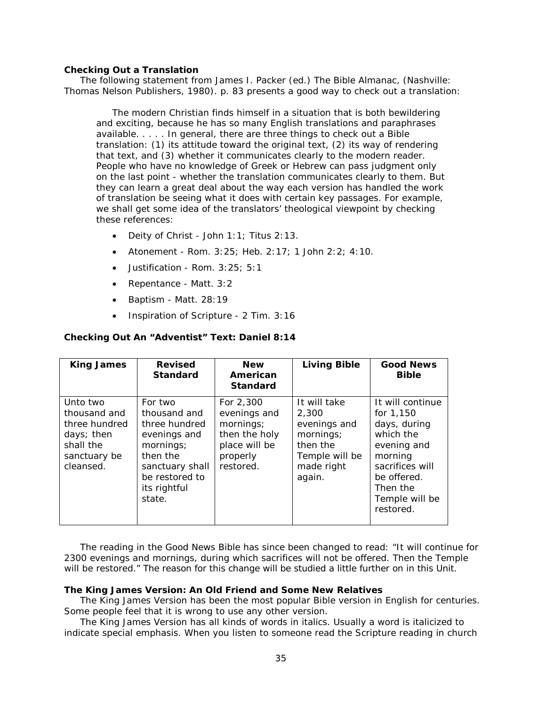### **Checking Out a Translation**

The following statement from James I. Packer (ed.) *The Bible Almanac*, (Nashville: Thomas Nelson Publishers, 1980). p. 83 presents a good way to check out a translation:

The modern Christian finds himself in a situation that is both bewildering and exciting, because he has so many English translations and paraphrases available. . . . . In general, there are three things to check out a Bible translation: (1) its attitude toward the original text, (2) its way of rendering that text, and (3) whether it communicates clearly to the modern reader. People who have no knowledge of Greek or Hebrew can pass judgment only on the last point - whether the translation communicates clearly to them. But they can learn a great deal about the way each version has handled the work of translation be seeing what it does with certain key passages. For example, we shall get some idea of the translators' theological viewpoint by checking these references:

- Deity of Christ John 1:1; Titus 2:13.
- Atonement Rom. 3:25; Heb. 2:17; 1 John 2:2; 4:10.
- Justification Rom. 3:25; 5:1
- Repentance Matt. 3:2
- Baptism Matt. 28:19
- Inspiration of Scripture 2 Tim. 3:16

#### **Checking Out An "Adventist" Text: Daniel 8:14**

| <b>King James</b>                                                                                 | <b>Revised</b><br><b>Standard</b>                                                                                                                | <b>New</b><br>American<br><b>Standard</b>                                                         | <b>Living Bible</b>                                                                                      | <b>Good News</b><br><b>Bible</b>                                                                                                                                  |
|---------------------------------------------------------------------------------------------------|--------------------------------------------------------------------------------------------------------------------------------------------------|---------------------------------------------------------------------------------------------------|----------------------------------------------------------------------------------------------------------|-------------------------------------------------------------------------------------------------------------------------------------------------------------------|
| Unto two<br>thousand and<br>three hundred<br>days; then<br>shall the<br>sanctuary be<br>cleansed. | For two<br>thousand and<br>three hundred<br>evenings and<br>mornings;<br>then the<br>sanctuary shall<br>be restored to<br>its rightful<br>state. | For 2,300<br>evenings and<br>mornings;<br>then the holy<br>place will be<br>properly<br>restored. | It will take<br>2,300<br>evenings and<br>mornings;<br>then the<br>Temple will be<br>made right<br>again. | It will continue<br>for 1,150<br>days, during<br>which the<br>evening and<br>morning<br>sacrifices will<br>be offered.<br>Then the<br>Temple will be<br>restored. |

The reading in the *Good News Bible* has since been changed to read: "It will continue for 2300 evenings and mornings, during which sacrifices will not be offered. Then the Temple will be restored." The reason for this change will be studied a little further on in this Unit.

#### **The King James Version: An Old Friend and Some New Relatives**

The King James Version has been the most popular Bible version in English for centuries. Some people feel that it is wrong to use any other version.

The King James Version has all kinds of words in *italics*. Usually a word is italicized to indicate special emphasis. When you listen to someone read the Scripture reading in church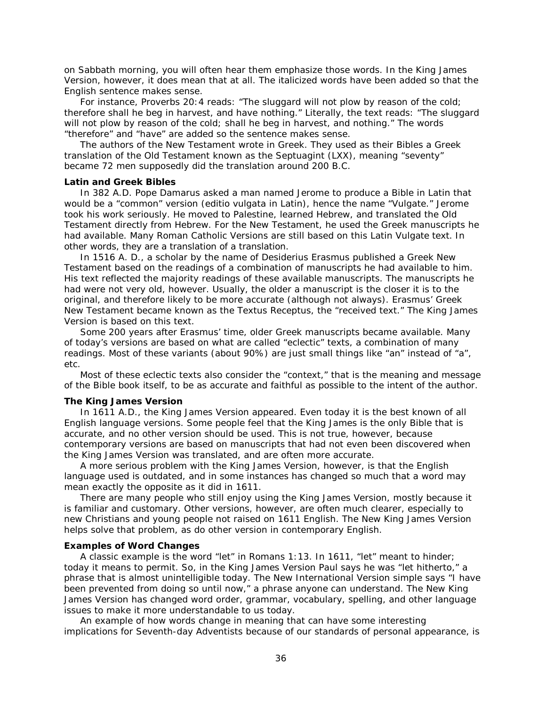on Sabbath morning, you will often hear them emphasize those words. In the King James Version, however, it does mean that at all. *The italicized words have been added so that the English sentence makes sense*.

For instance, Proverbs 20:4 reads: "The sluggard will not plow by reason of the cold; *therefore* shall he beg in harvest, and *have* nothing." Literally, the text reads: "The sluggard will not plow by reason of the cold; shall he beg in harvest, and nothing." The words "therefore" and "have" are added so the sentence makes sense.

The authors of the New Testament wrote in Greek. They used as their Bibles a Greek translation of the Old Testament known as the Septuagint (LXX), meaning "seventy" became 72 men supposedly did the translation around 200 B.C.

## **Latin and Greek Bibles**

In 382 A.D. Pope Damarus asked a man named Jerome to produce a Bible in Latin that would be a "common" version (*editio vulgata* in Latin), hence the name "Vulgate." Jerome took his work seriously. He moved to Palestine, learned Hebrew, and translated the Old Testament directly from Hebrew. For the New Testament, he used the Greek manuscripts he had available. Many Roman Catholic Versions are still based on this Latin Vulgate text. In other words, they are a translation of a translation.

In 1516 A. D., a scholar by the name of Desiderius Erasmus published a Greek New Testament based on the readings of a combination of manuscripts he had available to him. His text reflected the majority readings of these available manuscripts. The manuscripts he had were not very old, however. Usually, the older a manuscript is the closer it is to the original, and therefore likely to be more accurate (although not always). Erasmus' Greek New Testament became known as the *Textus Receptus*, the "received text." The King James Version is based on this text.

Some 200 years after Erasmus' time, older Greek manuscripts became available. Many of today's versions are based on what are called "eclectic" texts, a combination of many readings. Most of these variants (about 90%) are just small things like "an" instead of "a", etc.

Most of these eclectic texts also consider the "context," that is the meaning and message of the Bible book itself, to be as accurate and faithful as possible to the intent of the author.

#### **The King James Version**

In 1611 A.D., the King James Version appeared. Even today it is the best known of all English language versions. Some people feel that the King James is the only Bible that is accurate, and no other version should be used. This is not true, however, because contemporary versions are based on manuscripts that had not even been discovered when the King James Version was translated, and are often more accurate.

A more serious problem with the King James Version, however, is that the English language used is outdated, and in some instances has changed so much that a word may mean exactly the opposite as it did in 1611.

There are many people who still enjoy using the King James Version, mostly because it is familiar and customary. Other versions, however, are often much clearer, especially to new Christians and young people not raised on 1611 English. The New King James Version helps solve that problem, as do other version in contemporary English.

#### **Examples of Word Changes**

A classic example is the word "let" in Romans 1:13. In 1611, "let" meant to hinder; today it means to permit. So, in the King James Version Paul says he was "let hitherto," a phrase that is almost unintelligible today. The New International Version simple says "I have been prevented from doing so until now," a phrase anyone can understand. The New King James Version has changed word order, grammar, vocabulary, spelling, and other language issues to make it more understandable to us today.

An example of how words change in meaning that can have some interesting implications for Seventh-day Adventists because of our standards of personal appearance, is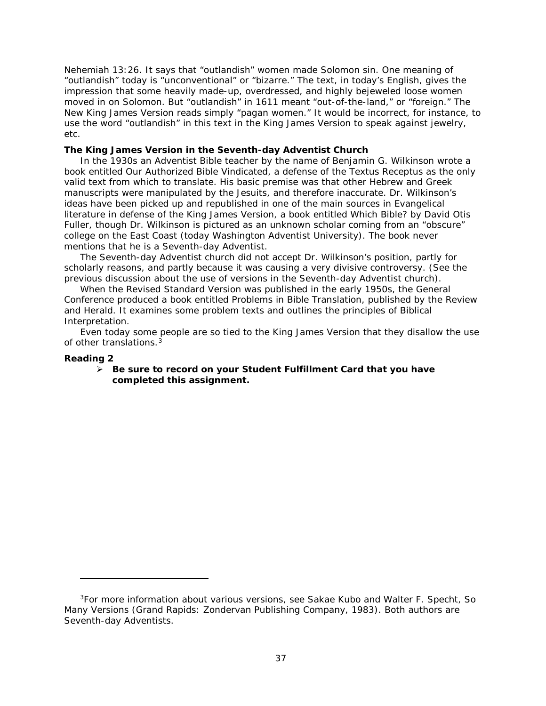Nehemiah 13:26. It says that "outlandish" women made Solomon sin. One meaning of "outlandish" today is "unconventional" or "bizarre." The text, in today's English, gives the impression that some heavily made-up, overdressed, and highly bejeweled loose women moved in on Solomon. But "outlandish" in 1611 meant "out-of-the-land," or "foreign." The New King James Version reads simply "pagan women." It would be incorrect, for instance, to use the word "outlandish" in this text in the King James Version to speak against jewelry, etc.

# **The King James Version in the Seventh-day Adventist Church**

In the 1930s an Adventist Bible teacher by the name of Benjamin G. Wilkinson wrote a book entitled *Our Authorized Bible Vindicated*, a defense of the *Textus Receptus* as the only valid text from which to translate. His basic premise was that other Hebrew and Greek manuscripts were manipulated by the Jesuits, and therefore inaccurate. Dr. Wilkinson's ideas have been picked up and republished in one of the main sources in Evangelical literature in defense of the King James Version, a book entitled *Which Bible?* by David Otis Fuller, though Dr. Wilkinson is pictured as an unknown scholar coming from an "obscure" college on the East Coast (today Washington Adventist University). The book never mentions that he is a Seventh-day Adventist.

The Seventh-day Adventist church did not accept Dr. Wilkinson's position, partly for scholarly reasons, and partly because it was causing a very divisive controversy. (See the previous discussion about the use of versions in the Seventh-day Adventist church).

When the Revised Standard Version was published in the early 1950s, the General Conference produced a book entitled *Problems in Bible Translation*, published by the Review and Herald. It examines some problem texts and outlines the principles of Biblical Interpretation.

Even today some people are so tied to the King James Version that they disallow the use of other translations.<sup>[3](#page-36-0)</sup>

# **Reading 2**

i,

# *Be sure to record on your* **Student Fulfillment Card** *that you have completed this assignment.*

<span id="page-36-0"></span><sup>3</sup>For more information about various versions, see Sakae Kubo and Walter F. Specht, *So Many Versions* (Grand Rapids: Zondervan Publishing Company, 1983). Both authors are Seventh-day Adventists.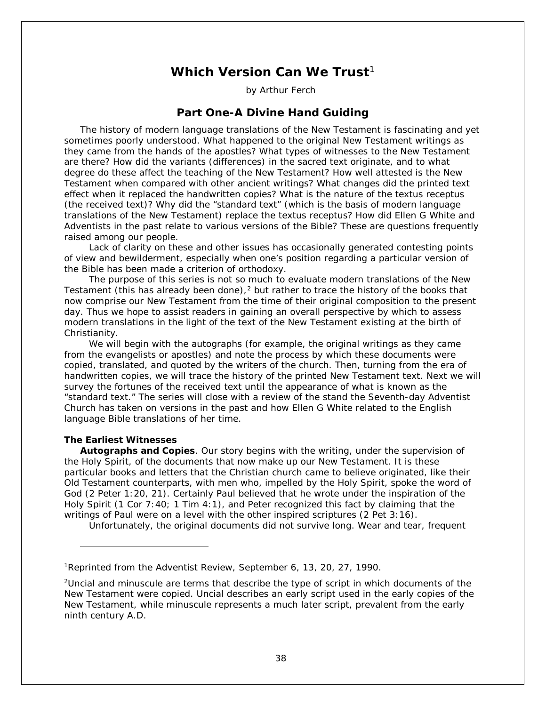# **Which Version Can We Trust**<sup>[1](#page-37-0)</sup>

by Arthur Ferch

# **Part One-A Divine Hand Guiding**

The history of modern language translations of the New Testament is fascinating and yet sometimes poorly understood. What happened to the original New Testament writings as they came from the hands of the apostles? What types of witnesses to the New Testament are there? How did the variants (differences) in the sacred text originate, and to what degree do these affect the teaching of the New Testament? How well attested is the New Testament when compared with other ancient writings? What changes did the printed text effect when it replaced the handwritten copies? What is the nature of the textus receptus (the received text)? Why did the "standard text" (which is the basis of modern language translations of the New Testament) replace the textus receptus? How did Ellen G White and Adventists in the past relate to various versions of the Bible? These are questions frequently raised among our people.

 Lack of clarity on these and other issues has occasionally generated contesting points of view and bewilderment, especially when one's position regarding a particular version of the Bible has been made a criterion of orthodoxy.

 The purpose of this series is not so much to evaluate modern translations of the New Testament (this has already been done), $<sup>2</sup>$  $<sup>2</sup>$  $<sup>2</sup>$  but rather to trace the history of the books that</sup> now comprise our New Testament from the time of their original composition to the present day. Thus we hope to assist readers in gaining an overall perspective by which to assess modern translations in the light of the text of the New Testament existing at the birth of Christianity.

 We will begin with the autographs (for example, the original writings as they came from the evangelists or apostles) and note the process by which these documents were copied, translated, and quoted by the writers of the church. Then, turning from the era of handwritten copies, we will trace the history of the printed New Testament text. Next we will survey the fortunes of the received text until the appearance of what is known as the "standard text." The series will close with a review of the stand the Seventh-day Adventist Church has taken on versions in the past and how Ellen G White related to the English language Bible translations of her time.

# **The Earliest Witnesses**

i,

**Autographs and Copies**. Our story begins with the writing, under the supervision of the Holy Spirit, of the documents that now make up our New Testament. It is these particular books and letters that the Christian church came to believe originated, like their Old Testament counterparts, with men who, impelled by the Holy Spirit, spoke the word of God (2 Peter 1:20, 21). Certainly Paul believed that he wrote under the inspiration of the Holy Spirit (1 Cor 7:40; 1 Tim 4:1), and Peter recognized this fact by claiming that the writings of Paul were on a level with the other inspired scriptures (2 Pet 3:16).

Unfortunately, the original documents did not survive long. Wear and tear, frequent

<span id="page-37-0"></span><sup>1</sup>Reprinted from the *Adventist Review*, September 6, 13, 20, 27, 1990.

<span id="page-37-1"></span><sup>2</sup>*Uncial* and *minuscule* are terms that describe the type of script in which documents of the New Testament were copied. *Uncial* describes an early script used in the early copies of the New Testament, while *minuscule* represents a much later script, prevalent from the early ninth century A.D.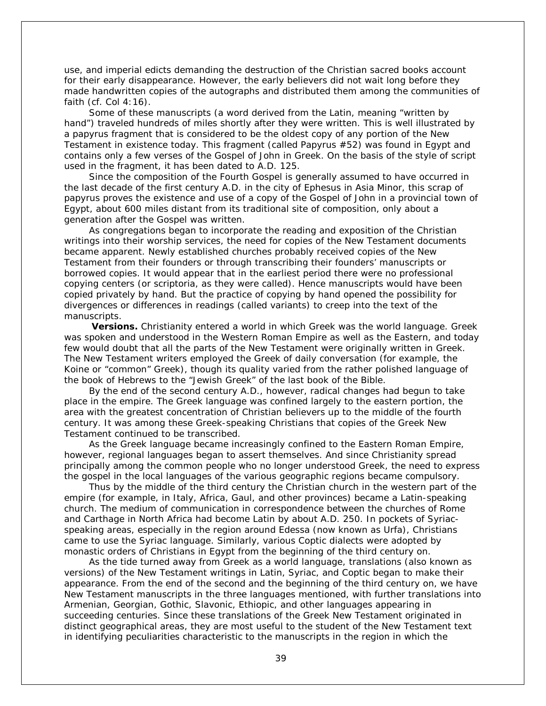use, and imperial edicts demanding the destruction of the Christian sacred books account for their early disappearance. However, the early believers did not wait long before they made handwritten copies of the autographs and distributed them among the communities of faith (cf. Col 4:16).

 Some of these manuscripts (a word derived from the Latin, meaning "written by hand") traveled hundreds of miles shortly after they were written. This is well illustrated by a papyrus fragment that is considered to be the oldest copy of any portion of the New Testament in existence today. This fragment (called Papyrus #52) was found in Egypt and contains only a few verses of the Gospel of John in Greek. On the basis of the style of script used in the fragment, it has been dated to A.D. 125.

 Since the composition of the Fourth Gospel is generally assumed to have occurred in the last decade of the first century A.D. in the city of Ephesus in Asia Minor, this scrap of papyrus proves the existence and use of a copy of the Gospel of John in a provincial town of Egypt, about 600 miles distant from its traditional site of composition, only about a generation after the Gospel was written.

 As congregations began to incorporate the reading and exposition of the Christian writings into their worship services, the need for copies of the New Testament documents became apparent. Newly established churches probably received copies of the New Testament from their founders or through transcribing their founders' manuscripts or borrowed copies. It would appear that in the earliest period there were no professional copying centers (or *scriptoria*, as they were called). Hence manuscripts would have been copied privately by hand. But the practice of copying by hand opened the possibility for divergences or differences in readings (called variants) to creep into the text of the manuscripts.

 **Versions.** Christianity entered a world in which Greek was the world language. Greek was spoken and understood in the Western Roman Empire as well as the Eastern, and today few would doubt that all the parts of the New Testament were originally written in Greek. The New Testament writers employed the Greek of daily conversation (for example, the Koine or "common" Greek), though its quality varied from the rather polished language of the book of Hebrews to the "Jewish Greek" of the last book of the Bible.

 By the end of the second century A.D., however, radical changes had begun to take place in the empire. The Greek language was confined largely to the eastern portion, the area with the greatest concentration of Christian believers up to the middle of the fourth century. It was among these Greek-speaking Christians that copies of the Greek New Testament continued to be transcribed.

 As the Greek language became increasingly confined to the Eastern Roman Empire, however, regional languages began to assert themselves. And since Christianity spread principally among the common people who no longer understood Greek, the need to express the gospel in the local languages of the various geographic regions became compulsory.

 Thus by the middle of the third century the Christian church in the western part of the empire (for example, in Italy, Africa, Gaul, and other provinces) became a Latin-speaking church. The medium of communication in correspondence between the churches of Rome and Carthage in North Africa had become Latin by about A.D. 250. In pockets of Syriacspeaking areas, especially in the region around Edessa (now known as Urfa), Christians came to use the Syriac language. Similarly, various Coptic dialects were adopted by monastic orders of Christians in Egypt from the beginning of the third century on.

 As the tide turned away from Greek as a world language, translations (also known as versions) of the New Testament writings in Latin, Syriac, and Coptic began to make their appearance. From the end of the second and the beginning of the third century on, we have New Testament manuscripts in the three languages mentioned, with further translations into Armenian, Georgian, Gothic, Slavonic, Ethiopic, and other languages appearing in succeeding centuries. Since these translations of the Greek New Testament originated in distinct geographical areas, they are most useful to the student of the New Testament text in identifying peculiarities characteristic to the manuscripts in the region in which the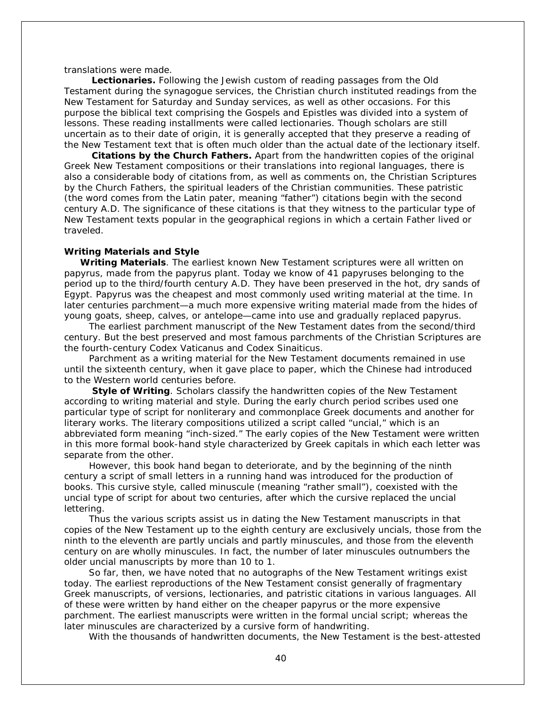translations were made.

 **Lectionaries.** Following the Jewish custom of reading passages from the Old Testament during the synagogue services, the Christian church instituted readings from the New Testament for Saturday and Sunday services, as well as other occasions. For this purpose the biblical text comprising the Gospels and Epistles was divided into a system of lessons. These reading installments were called lectionaries. Though scholars are still uncertain as to their date of origin, it is generally accepted that they preserve a reading of the New Testament text that is often much older than the actual date of the lectionary itself.

 **Citations by the Church Fathers.** Apart from the handwritten copies of the original Greek New Testament compositions or their translations into regional languages, there is also a considerable body of citations from, as well as comments on, the Christian Scriptures by the Church Fathers, the spiritual leaders of the Christian communities. These patristic (the word comes from the Latin *pater,* meaning "father") citations begin with the second century A.D. The significance of these citations is that they witness to the particular type of New Testament texts popular in the geographical regions in which a certain Father lived or traveled.

## **Writing Materials and Style**

**Writing Materials**. The earliest known New Testament scriptures were all written on papyrus, made from the papyrus plant. Today we know of 41 papyruses belonging to the period up to the third/fourth century A.D. They have been preserved in the hot, dry sands of Egypt. Papyrus was the cheapest and most commonly used writing material at the time. In later centuries parchment—a much more expensive writing material made from the hides of young goats, sheep, calves, or antelope—came into use and gradually replaced papyrus.

 The earliest parchment manuscript of the New Testament dates from the second/third century. But the best preserved and most famous parchments of the Christian Scriptures are the fourth-century *Codex Vaticanus* and *Codex Sinaiticus*.

 Parchment as a writing material for the New Testament documents remained in use until the sixteenth century, when it gave place to paper, which the Chinese had introduced to the Western world centuries before.

 **Style of Writing**. Scholars classify the handwritten copies of the New Testament according to writing material and style. During the early church period scribes used one particular type of script for nonliterary and commonplace Greek documents and another for literary works. The literary compositions utilized a script called "uncial," which is an abbreviated form meaning "inch-sized." The early copies of the New Testament were written in this more formal book-hand style characterized by Greek capitals in which each letter was separate from the other.

 However, this book hand began to deteriorate, and by the beginning of the ninth century a script of small letters in a running hand was introduced for the production of books. This cursive style, called *minuscule* (meaning "rather small"), coexisted with the uncial type of script for about two centuries, after which the cursive replaced the uncial lettering.

 Thus the various scripts assist us in dating the New Testament manuscripts in that copies of the New Testament up to the eighth century are exclusively *uncials*, those from the ninth to the eleventh are partly *uncials* and partly *minuscules*, and those from the eleventh century on are wholly *minuscules*. In fact, the number of later *minuscules* outnumbers the older uncial manuscripts by more than 10 to 1.

 So far, then, we have noted that no autographs of the New Testament writings exist today. The earliest reproductions of the New Testament consist generally of fragmentary Greek manuscripts, of versions, lectionaries, and patristic citations in various languages. All of these were written by hand either on the cheaper papyrus or the more expensive parchment. The earliest manuscripts were written in the formal uncial script; whereas the later *minuscules* are characterized by a cursive form of handwriting.

With the thousands of handwritten documents, the New Testament is the best-attested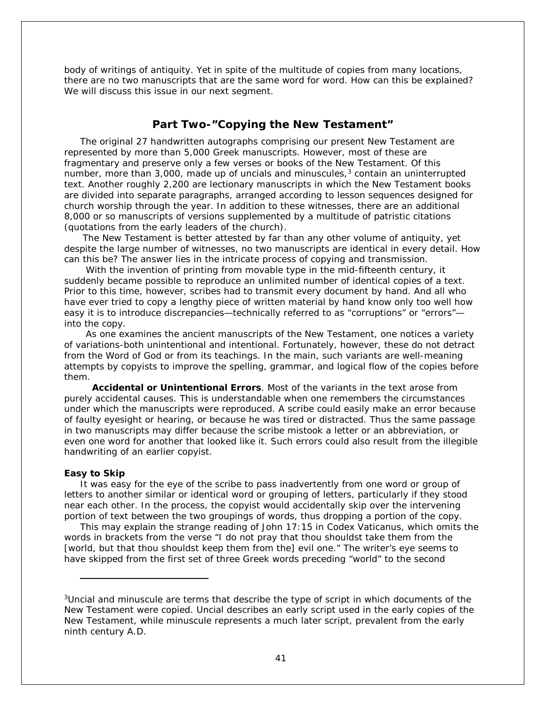body of writings of antiquity. Yet in spite of the multitude of copies from many locations, there are no two manuscripts that are the same word for word. How can this be explained? We will discuss this issue in our next segment.

# **Part Two***-***"Copying the New Testament"**

The original 27 handwritten autographs comprising our present New Testament are represented by more than 5,000 Greek manuscripts. However, most of these are fragmentary and preserve only a few verses or books of the New Testament. Of this number, more than [3](#page-40-0),000, made up of uncials and minuscules,<sup>3</sup> contain an uninterrupted text. Another roughly 2,200 are lectionary manuscripts in which the New Testament books are divided into separate paragraphs, arranged according to lesson sequences designed for church worship through the year. In addition to these witnesses, there are an additional 8,000 or so manuscripts of versions supplemented by a multitude of patristic citations (quotations from the early leaders of the church).

 The New Testament is better attested by far than any other volume of antiquity, yet despite the large number of witnesses, no two manuscripts are identical in every detail. How can this be? The answer lies in the intricate process of copying and transmission.

 With the invention of printing from movable type in the mid-fifteenth century, it suddenly became possible to reproduce an unlimited number of identical copies of a text. Prior to this time, however, scribes had to transmit every document by hand. And all who have ever tried to copy a lengthy piece of written material by hand know only too well how easy it is to introduce discrepancies—technically referred to as "corruptions" or "errors" into the copy.

 As one examines the ancient manuscripts of the New Testament, one notices a variety of variations-both unintentional and intentional. Fortunately, however, these do not detract from the Word of God or from its teachings. In the main, such variants are well-meaning attempts by copyists to improve the spelling, grammar, and logical flow of the copies before them.

 **Accidental or Unintentional Errors**. Most of the variants in the text arose from purely accidental causes. This is understandable when one remembers the circumstances under which the manuscripts were reproduced. A scribe could easily make an error because of faulty eyesight or hearing, or because he was tired or distracted. Thus the same passage in two manuscripts may differ because the scribe mistook a letter or an abbreviation, or even one word for another that looked like it. Such errors could also result from the illegible handwriting of an earlier copyist.

### **Easy to Skip**

i,

It was easy for the eye of the scribe to pass inadvertently from one word or group of letters to another similar or identical word or grouping of letters, particularly if they stood near each other. In the process, the copyist would accidentally skip over the intervening portion of text between the two groupings of words, thus dropping a portion of the copy.

This may explain the strange reading of John 17:15 in Codex Vaticanus, which omits the words in brackets from the verse "I do not pray that thou shouldst take them from the [world, but that thou shouldst keep them from the] evil one." The writer's eye seems to have skipped from the first set of three Greek words preceding "world" to the second

<span id="page-40-0"></span><sup>3</sup>*Uncial* and *minuscule* are terms that describe the type of script in which documents of the New Testament were copied. *Uncial* describes an early script used in the early copies of the New Testament, while *minuscule* represents a much later script, prevalent from the early ninth century A.D.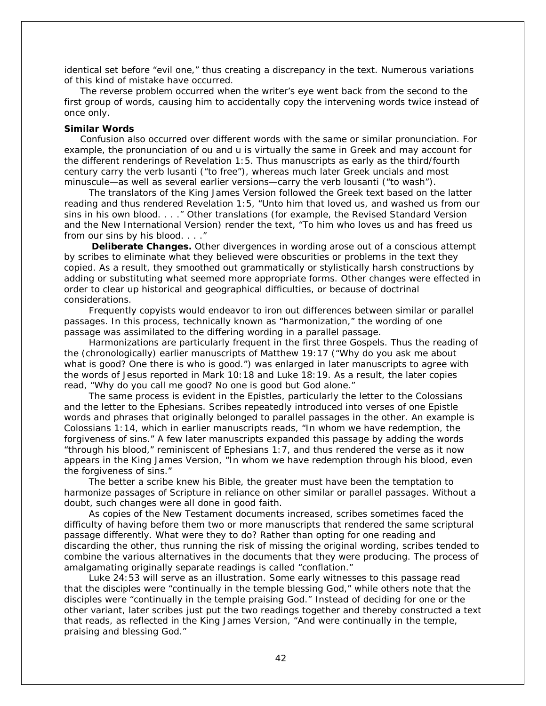identical set before "evil one," thus creating a discrepancy in the text. Numerous variations of this kind of mistake have occurred.

The reverse problem occurred when the writer's eye went back from the second to the first group of words, causing him to accidentally copy the intervening words twice instead of once only.

## **Similar Words**

Confusion also occurred over different words with the same or similar pronunciation. For example, the pronunciation of *ou* and *u* is virtually the same in Greek and may account for the different renderings of Revelation 1:5. Thus manuscripts as early as the third/fourth century carry the verb *lusanti* ("to free"), whereas much later Greek uncials and most minuscule*—*as well as several earlier versions*—*carry the verb *lousanti* ("to wash").

 The translators of the King James Version followed the Greek text based on the latter reading and thus rendered Revelation 1:5, "Unto him that loved us, and *washed* us from our sins in his own blood. . . ." Other translations (for example, the Revised Standard Version and the New International Version) render the text, "To him who loves us and has *freed* us from our sins by his blood. . . ."

 **Deliberate Changes.** Other divergences in wording arose out of a conscious attempt by scribes to eliminate what they believed were obscurities or problems in the text they copied. As a result, they smoothed out grammatically or stylistically harsh constructions by adding or substituting what seemed more appropriate forms. Other changes were effected in order to clear up historical and geographical difficulties, or because of doctrinal considerations.

 Frequently copyists would endeavor to iron out differences between similar or parallel passages. In this process, technically known as "harmonization," the wording of one passage was assimilated to the differing wording in a parallel passage.

 Harmonizations are particularly frequent in the first three Gospels. Thus the reading of the (chronologically) earlier manuscripts of Matthew 19:17 ("Why do you ask me about what is good? One there is who is good.") was enlarged in later manuscripts to agree with the words of Jesus reported in Mark 10:18 and Luke 18:19. As a result, the later copies read, "Why do you call me good? No one is good but God alone."

 The same process is evident in the Epistles, particularly the letter to the Colossians and the letter to the Ephesians. Scribes repeatedly introduced into verses of one Epistle words and phrases that originally belonged to parallel passages in the other. An example is Colossians 1:14, which in earlier manuscripts reads, "In whom we have redemption, the forgiveness of sins." A few later manuscripts expanded this passage by adding the words "through his blood," reminiscent of Ephesians 1:7, and thus rendered the verse as it now appears in the King James Version, "In whom we have redemption through his blood, even the forgiveness of sins."

 The better a scribe knew his Bible, the greater must have been the temptation to harmonize passages of Scripture in reliance on other similar or parallel passages. Without a doubt, such changes were all done in good faith.

 As copies of the New Testament documents increased, scribes sometimes faced the difficulty of having before them two or more manuscripts that rendered the same scriptural passage differently. What were they to do? Rather than opting for one reading and discarding the other, thus running the risk of missing the original wording, scribes tended to combine the various alternatives in the documents that they were producing. The process of amalgamating originally separate readings is called "conflation."

 Luke 24:53 will serve as an illustration. Some early witnesses to this passage read that the disciples were "continually in the temple *blessing* God," while others note that the disciples were "continually in the temple *praising* God." Instead of deciding for one or the other variant, later scribes just put the two readings together and thereby constructed a text that reads, as reflected in the King James Version, "And were continually in the temple, *praising* and *blessing* God."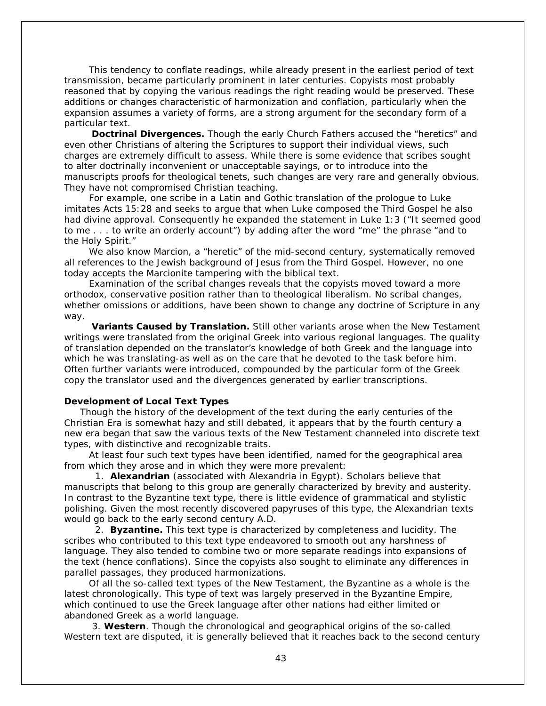This tendency to conflate readings, while already present in the earliest period of text transmission, became particularly prominent in later centuries. Copyists most probably reasoned that by copying the various readings the right reading would be preserved. These additions or changes characteristic of *harmonization* and *conflation,* particularly when the expansion assumes a variety of forms, are a strong argument for the secondary form of a particular text.

 **Doctrinal Divergences.** Though the early Church Fathers accused the "heretics" and even other Christians of altering the Scriptures to support their individual views, such charges are extremely difficult to assess. While there is some evidence that scribes sought to alter doctrinally inconvenient or unacceptable sayings, or to introduce into the manuscripts proofs for theological tenets, such changes are very rare and generally obvious. They have not compromised Christian teaching.

 For example, one scribe in a Latin and Gothic translation of the prologue to Luke imitates Acts 15:28 and seeks to argue that when Luke composed the Third Gospel he also had divine approval. Consequently he expanded the statement in Luke 1:3 ("It seemed good to me . . . to write an orderly account") by adding after the word "me" the phrase "and to the Holy Spirit."

We also know Marcion, a "heretic" of the mid-second century, systematically removed all references to the Jewish background of Jesus from the Third Gospel. However, no one today accepts the Marcionite tampering with the biblical text.

 Examination of the scribal changes reveals that the copyists moved toward a more orthodox, conservative position rather than to theological liberalism. No scribal changes, whether omissions or additions, have been shown to change any doctrine of Scripture in any way.

 **Variants Caused by Translation.** Still other variants arose when the New Testament writings were translated from the original Greek into various regional languages. The quality of translation depended on the translator's knowledge of both Greek and the language into which he was translating*-*as well as on the care that he devoted to the task before him. Often further variants were introduced, compounded by the particular form of the Greek copy the translator used and the divergences generated by earlier transcriptions.

## **Development of Local Text Types**

Though the history of the development of the text during the early centuries of the Christian Era is somewhat hazy and still debated, it appears that by the fourth century a new era began that saw the various texts of the New Testament channeled into discrete text types, with distinctive and recognizable traits.

 At least four such text types have been identified, named for the geographical area from which they arose and in which they were more prevalent:

 1. **Alexandrian** (associated with Alexandria in Egypt). Scholars believe that manuscripts that belong to this group are generally characterized by brevity and austerity. In contrast to the Byzantine text type, there is little evidence of grammatical and stylistic polishing. Given the most recently discovered papyruses of this type, the Alexandrian texts would go back to the early second century A.D.

 2. **Byzantine.** This text type is characterized by completeness and lucidity. The scribes who contributed to this text type endeavored to smooth out any harshness of language. They also tended to combine two or more separate readings into expansions of the text (hence conflations). Since the copyists also sought to eliminate any differences in parallel passages, they produced harmonizations.

 Of all the so-called text types of the New Testament, the Byzantine as a whole is the latest chronologically. This type of text was largely preserved in the Byzantine Empire, which continued to use the Greek language after other nations had either limited or abandoned Greek as a world language.

 3. **Western**. Though the chronological and geographical origins of the so-called Western text are disputed, it is generally believed that it reaches back to the second century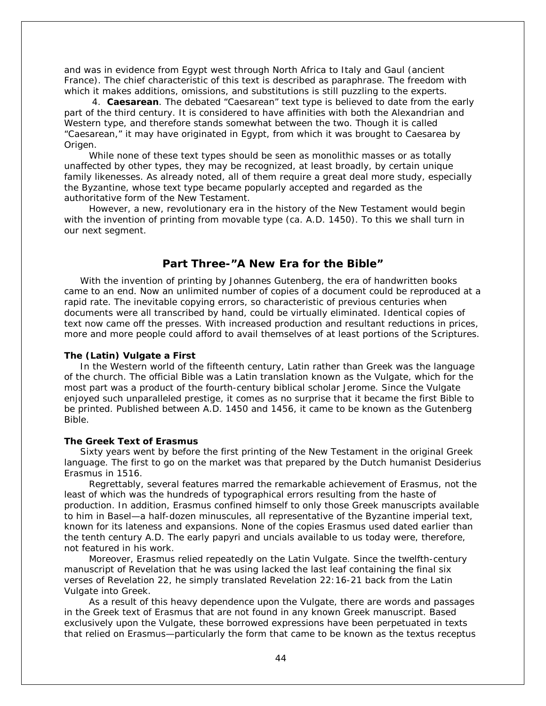and was in evidence from Egypt west through North Africa to Italy and Gaul (ancient France). The chief characteristic of this text is described as paraphrase. The freedom with which it makes additions, omissions, and substitutions is still puzzling to the experts.

 4. **Caesarean**. The debated "Caesarean" text type is believed to date from the early part of the third century. It is considered to have affinities with both the Alexandrian and Western type, and therefore stands somewhat between the two. Though it is called "Caesarean," it may have originated in Egypt, from which it was brought to Caesarea by Origen.

 While none of these text types should be seen as monolithic masses or as totally unaffected by other types, they may be recognized, at least broadly, by certain unique family likenesses. As already noted, all of them require a great deal more study, especially the Byzantine, whose text type became popularly accepted and regarded as the authoritative form of the New Testament.

 However, a new, revolutionary era in the history of the New Testament would begin with the invention of printing from movable type (ca. A.D. 1450). To this we shall turn in our next segment.

# **Part Three***-***"A New Era for the Bible"**

With the invention of printing by Johannes Gutenberg, the era of handwritten books came to an end. Now an unlimited number of copies of a document could be reproduced at a rapid rate. The inevitable copying errors, so characteristic of previous centuries when documents were all transcribed by hand, could be virtually eliminated. Identical copies of text now came off the presses. With increased production and resultant reductions in prices, more and more people could afford to avail themselves of at least portions of the Scriptures.

# **The (Latin) Vulgate a First**

In the Western world of the fifteenth century, Latin rather than Greek was the language of the church. The official Bible was a Latin translation known as the Vulgate, which for the most part was a product of the fourth-century biblical scholar Jerome. Since the Vulgate enjoyed such unparalleled prestige, it comes as no surprise that it became the first Bible to be printed. Published between A.D. 1450 and 1456, it came to be known as the Gutenberg Bible.

# **The Greek Text of Erasmus**

Sixty years went by before the first printing of the New Testament in the original Greek language. The first to go on the market was that prepared by the Dutch humanist Desiderius Erasmus in 1516.

 Regrettably, several features marred the remarkable achievement of Erasmus, not the least of which was the hundreds of typographical errors resulting from the haste of production. In addition, Erasmus confined himself to only those Greek manuscripts available to him in Basel—a half-dozen minuscules, all representative of the Byzantine imperial text, known for its lateness and expansions. None of the copies Erasmus used dated earlier than the tenth century A.D. The early papyri and uncials available to us today were, therefore, not featured in his work.

 Moreover, Erasmus relied repeatedly on the Latin Vulgate. Since the twelfth-century manuscript of Revelation that he was using lacked the last leaf containing the final six verses of Revelation 22, he simply translated Revelation 22:16-21 back from the Latin Vulgate into Greek.

 As a result of this heavy dependence upon the Vulgate, there are words and passages in the Greek text of Erasmus that are not found in any known Greek manuscript. Based exclusively upon the Vulgate, these borrowed expressions have been perpetuated in texts that relied on Erasmus—particularly the form that came to be known as the textus receptus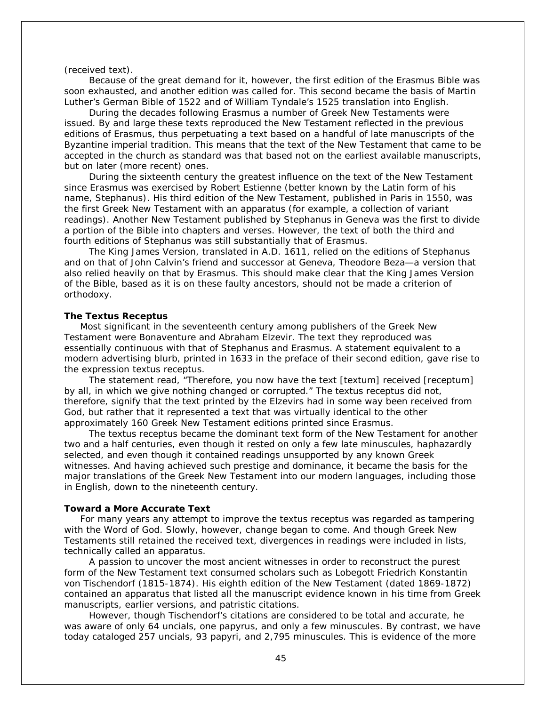## (received text).

 Because of the great demand for it, however, the first edition of the Erasmus Bible was soon exhausted, and another edition was called for. This second became the basis of Martin Luther's German Bible of 1522 and of William Tyndale's 1525 translation into English.

 During the decades following Erasmus a number of Greek New Testaments were issued. By and large these texts reproduced the New Testament reflected in the previous editions of Erasmus, thus perpetuating a text based on a handful of late manuscripts of the Byzantine imperial tradition. This means that the text of the New Testament that came to be accepted in the church as standard was that based not on the earliest available manuscripts, but on later (more recent) ones.

 During the sixteenth century the greatest influence on the text of the New Testament since Erasmus was exercised by Robert Estienne (better known by the Latin form of his name, Stephanus). His third edition of the New Testament, published in Paris in 1550, was the first Greek New Testament with an apparatus (for example, a collection of variant readings). Another New Testament published by Stephanus in Geneva was the first to divide a portion of the Bible into chapters and verses. However, the text of both the third and fourth editions of Stephanus was still substantially that of Erasmus.

 The King James Version, translated in A.D. 1611, relied on the editions of Stephanus and on that of John Calvin's friend and successor at Geneva, Theodore Beza—a version that also relied heavily on that by Erasmus. This should make clear that the King James Version of the Bible, based as it is on these faulty ancestors, should not be made a criterion of orthodoxy.

# **The Textus Receptus**

Most significant in the seventeenth century among publishers of the Greek New Testament were Bonaventure and Abraham Elzevir. The text they reproduced was essentially continuous with that of Stephanus and Erasmus. A statement equivalent to a modern advertising blurb, printed in 1633 in the preface of their second edition, gave rise to the expression textus receptus.

 The statement read, "Therefore, you now have the text [*textum*] received [*receptum*] by all, in which we give nothing changed or corrupted." The textus receptus did not, therefore, signify that the text printed by the Elzevirs had in some way been received from God, but rather that it represented a text that was virtually identical to the other approximately 160 Greek New Testament editions printed since Erasmus.

 The textus receptus became the dominant text form of the New Testament for another two and a half centuries, even though it rested on only a few late minuscules, haphazardly selected, and even though it contained readings unsupported by any known Greek witnesses. And having achieved such prestige and dominance, it became the basis for the major translations of the Greek New Testament into our modern languages, including those in English, down to the nineteenth century.

#### **Toward a More Accurate Text**

For many years any attempt to improve the textus receptus was regarded as tampering with the Word of God. Slowly, however, change began to come. And though Greek New Testaments still retained the received text, divergences in readings were included in lists, technically called an apparatus.

 A passion to uncover the most ancient witnesses in order to reconstruct the purest form of the New Testament text consumed scholars such as Lobegott Friedrich Konstantin von Tischendorf (1815-1874). His eighth edition of the New Testament (dated 1869-1872) contained an apparatus that listed all the manuscript evidence known in his time from Greek manuscripts, earlier versions, and patristic citations.

 However, though Tischendorf's citations are considered to be total and accurate, he was aware of only 64 uncials, one papyrus, and only a few minuscules. By contrast, we have today cataloged 257 uncials, 93 papyri, and 2,795 minuscules. This is evidence of the more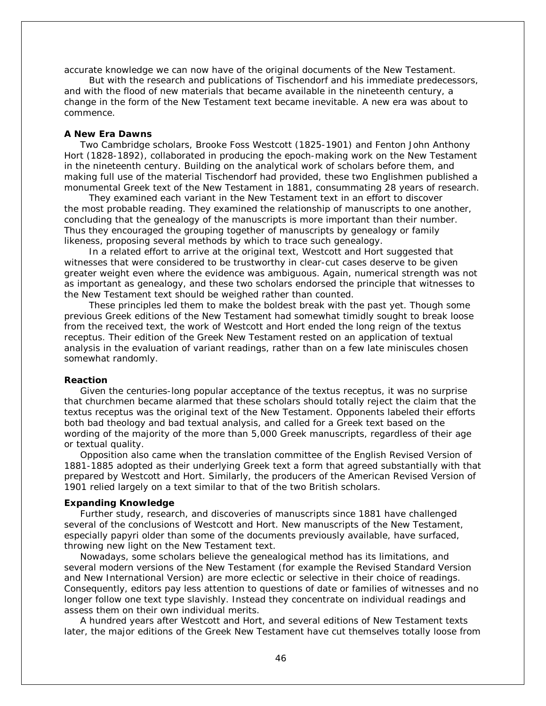accurate knowledge we can now have of the original documents of the New Testament.

 But with the research and publications of Tischendorf and his immediate predecessors, and with the flood of new materials that became available in the nineteenth century, a change in the form of the New Testament text became inevitable. A new era was about to commence.

## **A New Era Dawns**

Two Cambridge scholars, Brooke Foss Westcott (1825-1901) and Fenton John Anthony Hort (1828-1892), collaborated in producing the epoch-making work on the New Testament in the nineteenth century. Building on the analytical work of scholars before them, and making full use of the material Tischendorf had provided, these two Englishmen published a monumental Greek text of the New Testament in 1881, consummating 28 years of research.

 They examined each variant in the New Testament text in an effort to discover the most probable reading. They examined the relationship of manuscripts to one another, concluding that the genealogy of the manuscripts is more important than their number. Thus they encouraged the grouping together of manuscripts by genealogy or family likeness, proposing several methods by which to trace such genealogy.

 In a related effort to arrive at the original text, Westcott and Hort suggested that witnesses that were considered to be trustworthy in clear-cut cases deserve to be given greater weight even where the evidence was ambiguous. Again, numerical strength was not as important as genealogy, and these two scholars endorsed the principle that witnesses to the New Testament text should be weighed rather than counted.

 These principles led them to make the boldest break with the past yet. Though some previous Greek editions of the New Testament had somewhat timidly sought to break loose from the received text, the work of Westcott and Hort ended the long reign of the textus receptus. Their edition of the Greek New Testament rested on an application of textual analysis in the evaluation of variant readings, rather than on a few late miniscules chosen somewhat randomly.

### **Reaction**

Given the centuries-long popular acceptance of the textus receptus, it was no surprise that churchmen became alarmed that these scholars should totally reject the claim that the textus receptus was the original text of the New Testament. Opponents labeled their efforts both bad theology and bad textual analysis, and called for a Greek text based on the wording of the majority of the more than 5,000 Greek manuscripts, regardless of their age or textual quality.

Opposition also came when the translation committee of the English Revised Version of 1881-1885 adopted as their underlying Greek text a form that agreed substantially with that prepared by Westcott and Hort. Similarly, the producers of the American Revised Version of 1901 relied largely on a text similar to that of the two British scholars.

#### **Expanding Knowledge**

Further study, research, and discoveries of manuscripts since 1881 have challenged several of the conclusions of Westcott and Hort. New manuscripts of the New Testament, especially papyri older than some of the documents previously available, have surfaced, throwing new light on the New Testament text.

Nowadays, some scholars believe the genealogical method has its limitations, and several modern versions of the New Testament (for example the Revised Standard Version and New International Version) are more eclectic or selective in their choice of readings. Consequently, editors pay less attention to questions of date or families of witnesses and no longer follow one text type slavishly. Instead they concentrate on individual readings and assess them on their own individual merits.

A hundred years after Westcott and Hort, and several editions of New Testament texts later, the major editions of the Greek New Testament have cut themselves totally loose from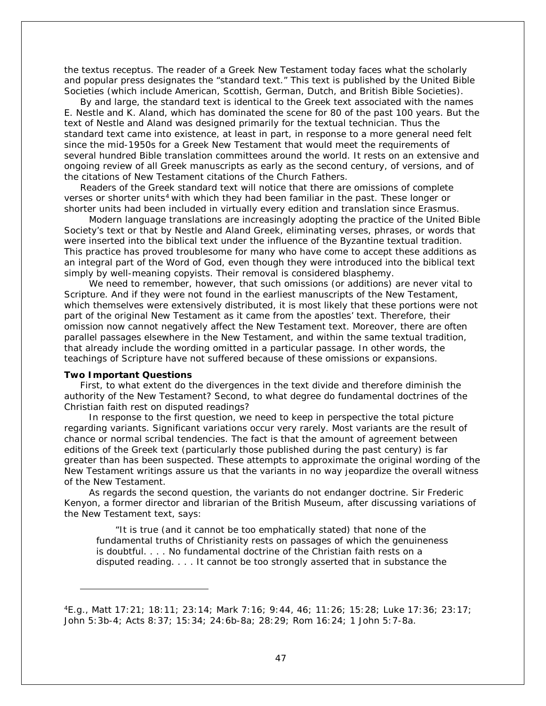the textus receptus. The reader of a Greek New Testament today faces what the scholarly and popular press designates the "standard text." This text is published by the United Bible Societies (which include American, Scottish, German, Dutch, and British Bible Societies).

By and large, the standard text is identical to the Greek text associated with the names E. Nestle and K. Aland, which has dominated the scene for 80 of the past 100 years. But the text of Nestle and Aland was designed primarily for the textual technician. Thus the standard text came into existence, at least in part, in response to a more general need felt since the mid-1950s for a Greek New Testament that would meet the requirements of several hundred Bible translation committees around the world. It rests on an extensive and ongoing review of all Greek manuscripts as early as the second century, of versions, and of the citations of New Testament citations of the Church Fathers.

Readers of the Greek standard text will notice that there are omissions of complete verses or shorter units<sup>[4](#page-46-0)</sup> with which they had been familiar in the past. These longer or shorter units had been included in virtually every edition and translation since Erasmus.

 Modern language translations are increasingly adopting the practice of the United Bible Society's text or that by Nestle and Aland Greek, eliminating verses, phrases, or words that were inserted into the biblical text under the influence of the Byzantine textual tradition. This practice has proved troublesome for many who have come to accept these additions as an integral part of the Word of God, even though they were introduced into the biblical text simply by well-meaning copyists. Their removal is considered blasphemy.

 We need to remember, however, that such omissions (or additions) are never vital to Scripture. And if they were not found in the earliest manuscripts of the New Testament, which themselves were extensively distributed, it is most likely that these portions were not part of the original New Testament as it came from the apostles' text. Therefore, their omission now cannot negatively affect the New Testament text. Moreover, there are often parallel passages elsewhere in the New Testament, and within the same textual tradition, that already include the wording omitted in a particular passage. In other words, the teachings of Scripture have not suffered because of these omissions or expansions.

#### **Two Important Questions**

i,

First, to what extent do the divergences in the text divide and therefore diminish the authority of the New Testament? Second, to what degree do fundamental doctrines of the Christian faith rest on disputed readings?

 In response to the first question, we need to keep in perspective the total picture regarding variants. Significant variations occur very rarely. Most variants are the result of chance or normal scribal tendencies. The fact is that the amount of agreement between editions of the Greek text (particularly those published during the past century) is far greater than has been suspected. These attempts to approximate the original wording of the New Testament writings assure us that *the variants in no way jeopardize the overall witness of the New Testament*.

 As regards the second question, the variants do not endanger doctrine. Sir Frederic Kenyon, a former director and librarian of the British Museum, after discussing variations of the New Testament text, says:

"It is true (and it cannot be too emphatically stated) that none of the fundamental truths of Christianity rests on passages of which the genuineness is doubtful. . . . No fundamental doctrine of the Christian faith rests on a disputed reading. . . . It cannot be too strongly asserted that in substance the

<span id="page-46-0"></span><sup>4</sup>E.g., Matt 17:21; 18:11; 23:14; Mark 7:16; 9:44, 46; 11:26; 15:28; Luke 17:36; 23:17; John 5:3b-4; Acts 8:37; 15:34; 24:6b-8a; 28:29; Rom 16:24; 1 John 5:7-8a.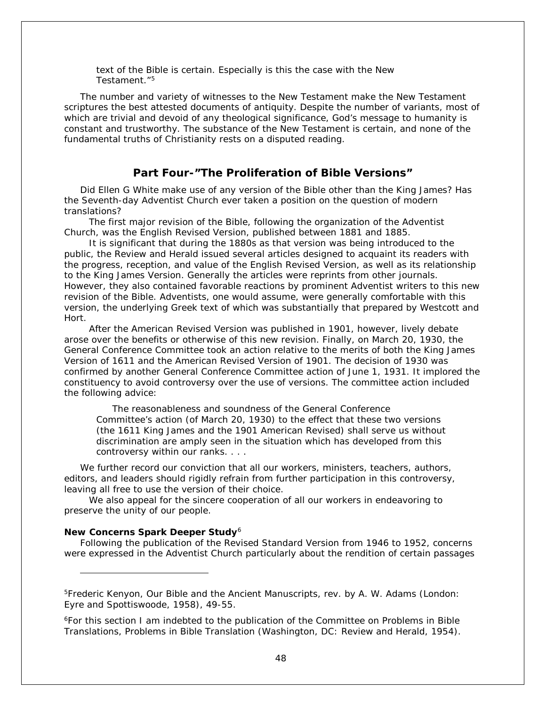text of the Bible is certain. Especially is this the case with the New Testament<sup>"[5](#page-47-0)</sup>

The number and variety of witnesses to the New Testament make the New Testament scriptures the best attested documents of antiquity. Despite the number of variants, most of which are trivial and devoid of any theological significance, God's message to humanity is constant and trustworthy. The substance of the New Testament is certain, and none of the fundamental truths of Christianity rests on a disputed reading.

# **Part Four***-***"The Proliferation of Bible Versions"**

Did Ellen G White make use of any version of the Bible other than the King James? Has the Seventh-day Adventist Church ever taken a position on the question of modern translations?

 The first major revision of the Bible, following the organization of the Adventist Church, was the English Revised Version, published between 1881 and 1885.

 It is significant that during the 1880s as that version was being introduced to the public, the Review and Herald issued several articles designed to acquaint its readers with the progress, reception, and value of the English Revised Version, as well as its relationship to the King James Version. Generally the articles were reprints from other journals. However, they also contained favorable reactions by prominent Adventist writers to this new revision of the Bible. Adventists, one would assume, were generally comfortable with this version, the underlying Greek text of which was substantially that prepared by Westcott and Hort.

 After the American Revised Version was published in 1901, however, lively debate arose over the benefits or otherwise of this new revision. Finally, on March 20, 1930, the General Conference Committee took an action relative to the merits of both the King James Version of 1611 and the American Revised Version of 1901. The decision of 1930 was confirmed by another General Conference Committee action of June 1, 1931. It implored the constituency to avoid controversy over the use of versions. The committee action included the following advice:

The reasonableness and soundness of the General Conference Committee's action (of March 20, 1930) to the effect that these two versions (the 1611 King James and the 1901 American Revised) shall serve us without discrimination are amply seen in the situation which has developed from this controversy within our ranks. . . .

We further record our conviction that all our workers, ministers, teachers, authors, editors, and leaders should rigidly refrain from further participation in this controversy, leaving all free to use the version of their choice.

 We also appeal for the sincere cooperation of all our workers in endeavoring to preserve the unity of our people.

### **New Concerns Spark Deeper Study**[6](#page-47-1)

i,

Following the publication of the Revised Standard Version from 1946 to 1952, concerns were expressed in the Adventist Church particularly about the rendition of certain passages

<span id="page-47-0"></span>5Frederic Kenyon, *Our Bible and the Ancient Manuscripts*, rev. by A. W. Adams (London: Eyre and Spottiswoode, 1958), 49-55.

<span id="page-47-1"></span>6For this section I am indebted to the publication of the Committee on Problems in Bible Translations, *Problems in Bible Translation* (Washington, DC: Review and Herald, 1954).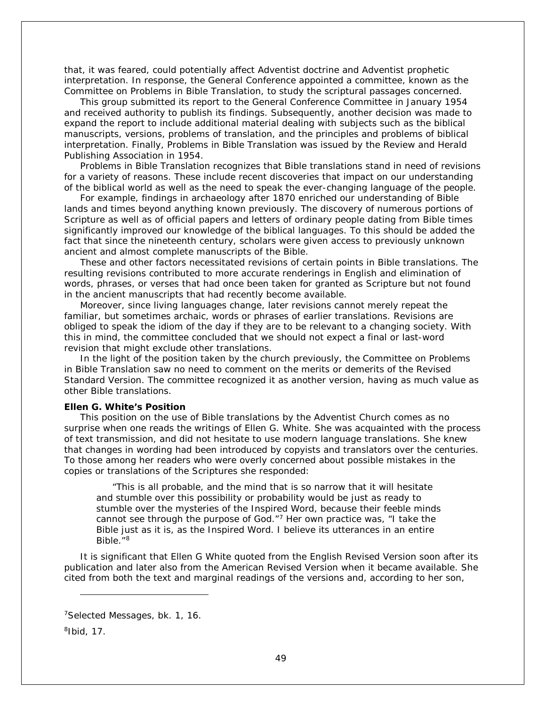that, it was feared, could potentially affect Adventist doctrine and Adventist prophetic interpretation. In response, the General Conference appointed a committee, known as the Committee on Problems in Bible Translation, to study the scriptural passages concerned.

This group submitted its report to the General Conference Committee in January 1954 and received authority to publish its findings. Subsequently, another decision was made to expand the report to include additional material dealing with subjects such as the biblical manuscripts, versions, problems of translation, and the principles and problems of biblical interpretation. Finally, *Problems in Bible Translation* was issued by the Review and Herald Publishing Association in 1954.

*Problems in Bible Translation* recognizes that Bible translations stand in need of revisions for a variety of reasons. These include recent discoveries that impact on our understanding of the biblical world as well as the need to speak the ever-changing language of the people.

For example, findings in archaeology after 1870 enriched our understanding of Bible lands and times beyond anything known previously. The discovery of numerous portions of Scripture as well as of official papers and letters of ordinary people dating from Bible times significantly improved our knowledge of the biblical languages. To this should be added the fact that since the nineteenth century, scholars were given access to previously unknown ancient and almost complete manuscripts of the Bible.

These and other factors necessitated revisions of certain points in Bible translations. The resulting revisions contributed to more accurate renderings in English and elimination of words, phrases, or verses that had once been taken for granted as Scripture but not found in the ancient manuscripts that had recently become available.

Moreover, since living languages change, later revisions cannot merely repeat the familiar, but sometimes archaic, words or phrases of earlier translations. Revisions are obliged to speak the idiom of the day if they are to be relevant to a changing society. With this in mind, the committee concluded that we should not expect a final or last-word revision that might exclude other translations.

In the light of the position taken by the church previously, the Committee on Problems in Bible Translation saw no need to comment on the merits or demerits of the Revised Standard Version. The committee recognized it as another version, having as much value as other Bible translations.

## **Ellen G. White's Position**

This position on the use of Bible translations by the Adventist Church comes as no surprise when one reads the writings of Ellen G. White. She was acquainted with the process of text transmission, and did not hesitate to use modern language translations. She knew that changes in wording had been introduced by copyists and translators over the centuries. To those among her readers who were overly concerned about possible mistakes in the copies or translations of the Scriptures she responded:

"This is all probable, and the mind that is so narrow that it will hesitate and stumble over this possibility or probability would be just as ready to stumble over the mysteries of the Inspired Word, because their feeble minds cannot see through the purpose of God."<sup>7</sup> Her own practice was, "I take the Bible just as it is, as the Inspired Word. I believe its utterances in an entire Bible."[8](#page-48-1)

It is significant that Ellen G White quoted from the English Revised Version soon after its publication and later also from the American Revised Version when it became available. She cited from both the text and marginal readings of the versions and, according to her son,

i,

<span id="page-48-0"></span><sup>7</sup>*Selected Messages*, bk. 1, 16.

<span id="page-48-1"></span><sup>8</sup>Ibid, 17.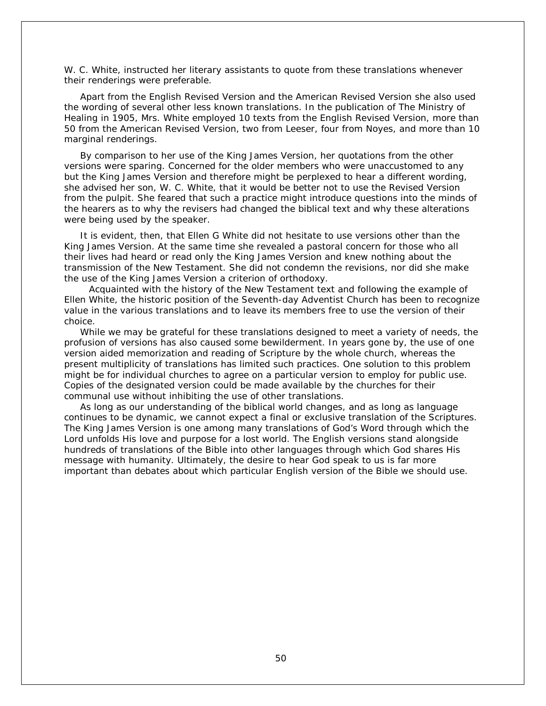W. C. White, instructed her literary assistants to quote from these translations whenever their renderings were preferable.

Apart from the English Revised Version and the American Revised Version she also used the wording of several other less known translations. In the publication of The Ministry of Healing in 1905, Mrs. White employed 10 texts from the English Revised Version, more than 50 from the American Revised Version, two from Leeser, four from Noyes, and more than 10 marginal renderings.

By comparison to her use of the King James Version, her quotations from the other versions were sparing. Concerned for the older members who were unaccustomed to any but the King James Version and therefore might be perplexed to hear a different wording, she advised her son, W. C. White, that it would be better not to use the Revised Version from the pulpit. She feared that such a practice might introduce questions into the minds of the hearers as to why the revisers had changed the biblical text and why these alterations were being used by the speaker.

It is evident, then, that Ellen G White did not hesitate to use versions other than the King James Version. At the same time she revealed a pastoral concern for those who all their lives had heard or read only the King James Version and knew nothing about the transmission of the New Testament. She did not condemn the revisions, nor did she make the use of the King James Version a criterion of orthodoxy.

 Acquainted with the history of the New Testament text and following the example of Ellen White, the historic position of the Seventh-day Adventist Church has been to recognize value in the various translations and to leave its members free to use the version of their choice.

While we may be grateful for these translations designed to meet a variety of needs, the profusion of versions has also caused some bewilderment. In years gone by, the use of one version aided memorization and reading of Scripture by the whole church, whereas the present multiplicity of translations has limited such practices. One solution to this problem might be for individual churches to agree on a particular version to employ for public use. Copies of the designated version could be made available by the churches for their communal use without inhibiting the use of other translations.

As long as our understanding of the biblical world changes, and as long as language continues to be dynamic, we cannot expect a final or exclusive translation of the Scriptures. The King James Version is one among many translations of God's Word through which the Lord unfolds His love and purpose for a lost world. The English versions stand alongside hundreds of translations of the Bible into other languages through which God shares His message with humanity. Ultimately, the desire to hear God speak to us is far more important than debates about which particular English version of the Bible we should use.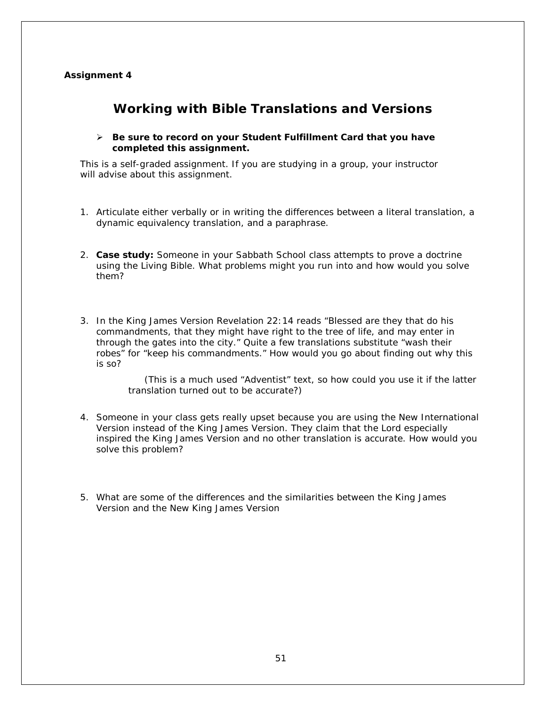# **Assignment 4**

# **Working with Bible Translations and Versions**

# *Be sure to record on your* **Student Fulfillment Card** *that you have completed this assignment.*

This is a self-graded assignment. If you are studying in a group, your instructor will advise about this assignment.

- 1. Articulate either verbally or in writing the differences between a literal translation, a dynamic equivalency translation, and a paraphrase.
- 2. **Case study:** Someone in your Sabbath School class attempts to prove a doctrine using the *Living Bible*. What problems might you run into and how would you solve them?
- 3. In the King James Version Revelation 22:14 reads "Blessed are they that do his commandments, that they might have right to the tree of life, and may enter in through the gates into the city." Quite a few translations substitute "wash their robes" for "keep his commandments." How would you go about finding out why this is so?

(This is a much used "Adventist" text, so how could you use it if the latter translation turned out to be accurate?)

- 4. Someone in your class gets really upset because you are using the New International Version instead of the King James Version. They claim that the Lord especially inspired the King James Version and no other translation is accurate. How would you solve this problem?
- 5. What are some of the differences and the similarities between the King James Version and the New King James Version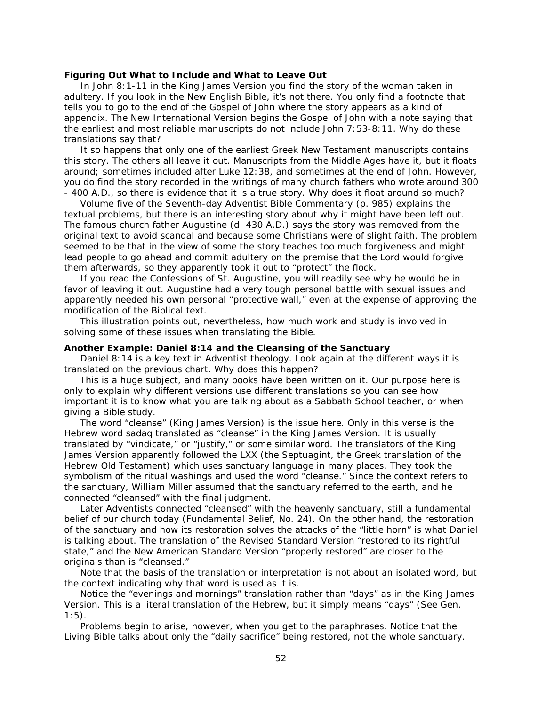### **Figuring Out What to Include and What to Leave Out**

In John 8:1-11 in the King James Version you find the story of the woman taken in adultery. If you look in the New English Bible, it's not there. You only find a footnote that tells you to go to the end of the Gospel of John where the story appears as a kind of appendix. The New International Version begins the Gospel of John with a note saying that the earliest and most reliable manuscripts do not include John 7:53-8:11. Why do these translations say that?

It so happens that only one of the earliest Greek New Testament manuscripts contains this story. The others all leave it out. Manuscripts from the Middle Ages have it, but it floats around; sometimes included after Luke 12:38, and sometimes at the end of John. However, you do find the story recorded in the writings of many church fathers who wrote around 300 - 400 A.D., so there is evidence that it is a true story. Why does it float around so much?

Volume five of the *Seventh-day Adventist Bible Commentary* (p. 985) explains the textual problems, but there is an interesting story about why it might have been left out. The famous church father Augustine (d. 430 A.D.) says the story was removed from the original text to avoid scandal and because some Christians were of slight faith. The problem seemed to be that in the view of some the story teaches too much forgiveness and might lead people to go ahead and commit adultery on the premise that the Lord would forgive them afterwards, so they apparently took it out to "protect" the flock.

If you read the *Confessions* of St. Augustine, you will readily see why he would be in favor of leaving it out. Augustine had a very tough personal battle with sexual issues and apparently needed his own personal "protective wall," even at the expense of approving the modification of the Biblical text.

This illustration points out, nevertheless, how much work and study is involved in solving some of these issues when translating the Bible.

## **Another Example: Daniel 8:14 and the Cleansing of the Sanctuary**

Daniel 8:14 is a key text in Adventist theology. Look again at the different ways it is translated on the previous chart. Why does this happen?

This is a huge subject, and many books have been written on it. Our purpose here is only to explain why different versions use different translations so you can see how important it is to know what you are talking about as a Sabbath School teacher, or when giving a Bible study.

The word "cleanse" (King James Version) is the issue here. Only in this verse is the Hebrew word *sadaq* translated as "cleanse" in the King James Version. It is usually translated by "vindicate," or "justify," or some similar word. The translators of the King James Version apparently followed the LXX (the Septuagint, the Greek translation of the Hebrew Old Testament) which uses sanctuary language in many places. They took the symbolism of the ritual washings and used the word "cleanse." Since the context refers to the sanctuary, William Miller assumed that the sanctuary referred to the earth, and he connected "cleansed" with the final judgment.

Later Adventists connected "cleansed" with the *heavenly* sanctuary, still a fundamental belief of our church today (Fundamental Belief, No. 24). On the other hand, the restoration of the sanctuary and how its restoration solves the attacks of the "little horn" is what Daniel is talking about. The translation of the Revised Standard Version "restored to its rightful state," and the New American Standard Version "properly restored" are closer to the originals than is "cleansed."

Note that the basis of the translation or interpretation is not about an isolated word, but the context indicating why that word is used as it is.

Notice the "evenings and mornings" translation rather than "days" as in the King James Version. This is a literal translation of the Hebrew, but it simply means "days" (See Gen.  $1:5$ ).

Problems begin to arise, however, when you get to the paraphrases. Notice that the *Living Bible* talks about only the "daily sacrifice" being restored, not the whole sanctuary.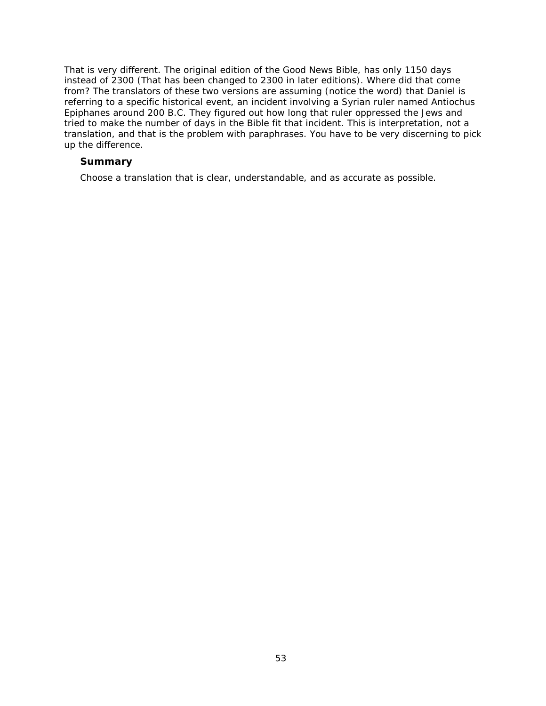That is very different. The original edition of the *Good News Bible*, has only 1150 days instead of 2300 (That has been changed to 2300 in later editions). Where did that come from? The translators of these two versions are *assuming* (notice the word) that Daniel is referring to a specific historical event, an incident involving a Syrian ruler named Antiochus Epiphanes around 200 B.C. They figured out how long that ruler oppressed the Jews and tried to make the number of days in the Bible fit that incident. *This is interpretation, not a translation*, and that is the problem with paraphrases. You have to be very discerning to pick up the difference.

# **Summary**

Choose a translation that is clear, understandable, and as accurate as possible.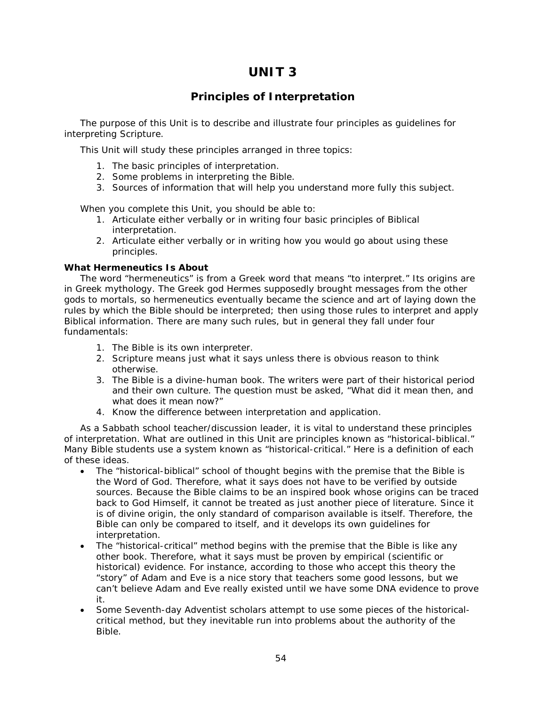# **UNIT 3**

# **Principles of Interpretation**

The purpose of this Unit is to describe and illustrate four principles as guidelines for interpreting Scripture.

This Unit will study these principles arranged in three topics:

- 1. The basic principles of interpretation.
- 2. Some problems in interpreting the Bible.
- 3. Sources of information that will help you understand more fully this subject.

When you complete this Unit, you should be able to:

- 1. Articulate either verbally or in writing four basic principles of Biblical interpretation.
- 2. Articulate either verbally or in writing how you would go about using these principles.

# **What Hermeneutics Is About**

The word "hermeneutics" is from a Greek word that means "to interpret." Its origins are in Greek mythology. The Greek god Hermes supposedly brought messages from the other gods to mortals, so *hermeneutics* eventually became the science and art of laying down the rules by which the Bible should be interpreted; then using those rules to interpret and apply Biblical information. There are many such rules, but in general they fall under four fundamentals:

- 1. The Bible is its own interpreter.
- 2. Scripture means just what it says unless there is obvious reason to think otherwise.
- 3. The Bible is a divine-human book. The writers were part of their historical period and their own culture. The question must be asked, "What did it mean then, and what does it mean now?"
- 4. Know the difference between interpretation and application.

As a Sabbath school teacher/discussion leader, it is vital to understand these principles of interpretation. What are outlined in this Unit are principles known as "historical-biblical." Many Bible students use a system known as "historical-critical." Here is a definition of each of these ideas.

- The *"historical-biblical" school of thought* begins with the premise that the Bible is the Word of God. Therefore, what it says does not have to be verified by outside sources. Because the Bible claims to be an inspired book whose origins can be traced back to God Himself, it cannot be treated as just another piece of literature. Since it is of divine origin, the only standard of comparison available is itself. Therefore, the Bible can only be compared to itself, and it develops its own guidelines for interpretation.
- The *"historical-critical" method* begins with the premise that the Bible is like any other book. Therefore, what it says must be proven by empirical (scientific or historical) evidence. For instance, according to those who accept this theory the "story" of Adam and Eve is a nice story that teachers some good lessons, but we can't believe Adam and Eve really existed until we have some DNA evidence to prove it.
- Some Seventh-day Adventist scholars attempt to use some pieces of the historicalcritical method, but they inevitable run into problems about the authority of the Bible.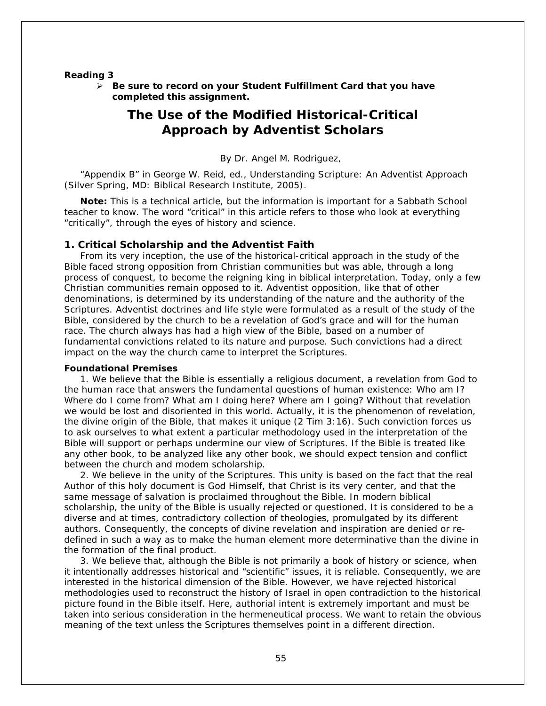#### **Reading 3**

 *Be sure to record on your* **Student Fulfillment Card** *that you have completed this assignment.*

# **The Use of the Modified Historical-Critical Approach by Adventist Scholars**

By Dr. Angel M. Rodriguez,

"Appendix B" in George W. Reid, ed., *Understanding Scripture: An Adventist Approach* (Silver Spring, MD: Biblical Research Institute, 2005).

**Note:** *This is a technical article, but the information is important for a Sabbath School teacher to know.* The word "critical" in this article refers to those who look at everything "critically", through the eyes of history and science.

# **1. Critical Scholarship and the Adventist Faith**

From its very inception, the use of the historical-critical approach in the study of the Bible faced strong opposition from Christian communities but was able, through a long process of conquest, to become the reigning king in biblical interpretation. Today, only a few Christian communities remain opposed to it. Adventist opposition, like that of other denominations, is determined by its understanding of the nature and the authority of the Scriptures. Adventist doctrines and life style were formulated as a result of the study of the Bible, considered by the church to be a revelation of God's grace and will for the human race. The church always has had a high view of the Bible, based on a number of fundamental convictions related to its nature and purpose. Such convictions had a direct impact on the way the church came to interpret the Scriptures.

#### **Foundational Premises**

1. *We believe that the Bible is essentially a religious document*, a revelation from God to the human race that answers the fundamental questions of human existence: Who am I? Where do I come from? What am I doing here? Where am I going? Without that revelation we would be lost and disoriented in this world. Actually, it is the phenomenon of revelation, the divine origin of the Bible, that makes it unique (2 Tim 3:16). Such conviction forces us to ask ourselves to what extent a particular methodology used in the interpretation of the Bible will support or perhaps undermine our view of Scriptures. If the Bible is treated like any other book, to be analyzed like any other book, we should expect tension and conflict between the church and modem scholarship.

2. *We believe in the unity of the Scriptures*. This unity is based on the fact that the real Author of this holy document is God Himself, that Christ is its very center, and that the same message of salvation is proclaimed throughout the Bible. In modern biblical scholarship, the unity of the Bible is usually rejected or questioned. It is considered to be a diverse and at times, contradictory collection of theologies, promulgated by its different authors. Consequently, the concepts of divine revelation and inspiration are denied or redefined in such a way as to make the human element more determinative than the divine in the formation of the final product.

3. *We believe that, although the Bible is not primarily a book of history or science, when it intentionally addresses historical and "scientific" issues, it is reliable.* Consequently, we are interested in the historical dimension of the Bible. However, we have rejected historical methodologies used to reconstruct the history of Israel in open contradiction to the historical picture found in the Bible itself. Here, authorial intent is extremely important and must be taken into serious consideration in the hermeneutical process. We want to retain the obvious meaning of the text unless the Scriptures themselves point in a different direction.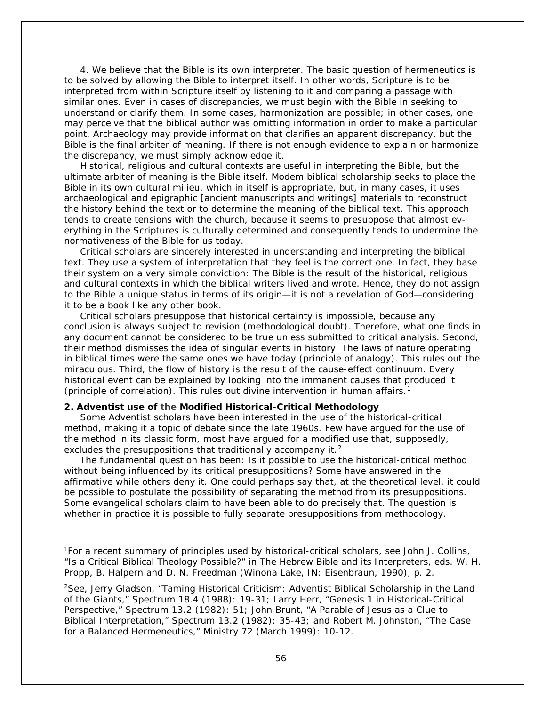4. *We believe that the Bible is its own interpreter.* The basic question of hermeneutics is to be solved by allowing the Bible to interpret itself. In other words, Scripture is to be interpreted from within Scripture itself by listening to it and comparing a passage with similar ones. Even in cases of discrepancies, we must begin with the Bible in seeking to understand or clarify them. In some cases, harmonization are possible; in other cases, one may perceive that the biblical author was omitting information in order to make a particular point. Archaeology may provide information that clarifies an apparent discrepancy, but the Bible is the final arbiter of meaning. If there is not enough evidence to explain or harmonize the discrepancy, we must simply acknowledge it.

Historical, religious and cultural contexts are useful in interpreting the Bible, but the ultimate arbiter of meaning is the Bible itself. Modem biblical scholarship seeks to place the Bible in its own cultural milieu, which in itself is appropriate, but, in many cases, it uses archaeological and epigraphic [ancient manuscripts and writings] materials to reconstruct the history behind the text or to determine the meaning of the biblical text. This approach tends to create tensions with the church, because it seems to presuppose that almost everything in the Scriptures is culturally determined and consequently tends to undermine the normativeness of the Bible for us today.

Critical scholars are sincerely interested in understanding and interpreting the biblical text. They use a system of interpretation that they feel is the correct one. In fact, they base their system on a very simple conviction: The Bible is the result of the historical, religious and cultural contexts in which the biblical writers lived and wrote. Hence, they do not assign to the Bible a unique status in terms of its origin—it is not a revelation of God—considering it to be a book like any other book.

Critical scholars presuppose that historical certainty is impossible, because any conclusion is always subject to revision (methodological doubt). Therefore, what one finds in any document cannot be considered to be true unless submitted to critical analysis. Second, their method dismisses the idea of singular events in history. The laws of nature operating in biblical times were the same ones we have today (principle of analogy). This rules out the miraculous. Third, the flow of history is the result of the cause-effect continuum. Every historical event can be explained by looking into the immanent causes that produced it (principle of correlation). This rules out divine intervention in human affairs.<sup>[1](#page-55-0)</sup>

# **2. Adventist use of the Modified Historical-Critical Methodology**

i,

Some Adventist scholars have been interested in the use of the historical-critical method, making it a topic of debate since the late 1960s. Few have argued for the use of the method in its classic form, most have argued for a modified use that, supposedly, excludes the presuppositions that traditionally accompany it.<sup>[2](#page-55-1)</sup>

The fundamental question has been: Is it possible to use the historical-critical method without being influenced by its critical presuppositions? Some have answered in the affirmative while others deny it. One could perhaps say that, at the theoretical level, it could be possible to postulate the possibility of separating the method from its presuppositions. Some evangelical scholars claim to have been able to do precisely that. The question is whether in practice it is possible to fully separate presuppositions from methodology.

<span id="page-55-0"></span><sup>1</sup>For a recent summary of principles used by historical-critical scholars, see John J. Collins, "Is a Critical Biblical Theology Possible?" in *The Hebrew Bible and its Interpreters*, eds. W. H. Propp, B. Halpern and D. N. Freedman (Winona Lake, IN: Eisenbraun, 1990), p. 2.

<span id="page-55-1"></span><sup>&</sup>lt;sup>2</sup>See, Jerry Gladson, "Taming Historical Criticism: Adventist Biblical Scholarship in the Land of the Giants," *Spectrum* 18.4 (1988): 19-31; Larry Herr, "Genesis 1 in Historical-Critical Perspective," *Spectrum* 13.2 (1982): 51; John Brunt, "A Parable of Jesus as a Clue to Biblical Interpretation," *Spectrum* 13.2 (1982): 35-43; and Robert M. Johnston, "The Case for a Balanced Hermeneutics," *Ministry* 72 (March 1999): 10-12.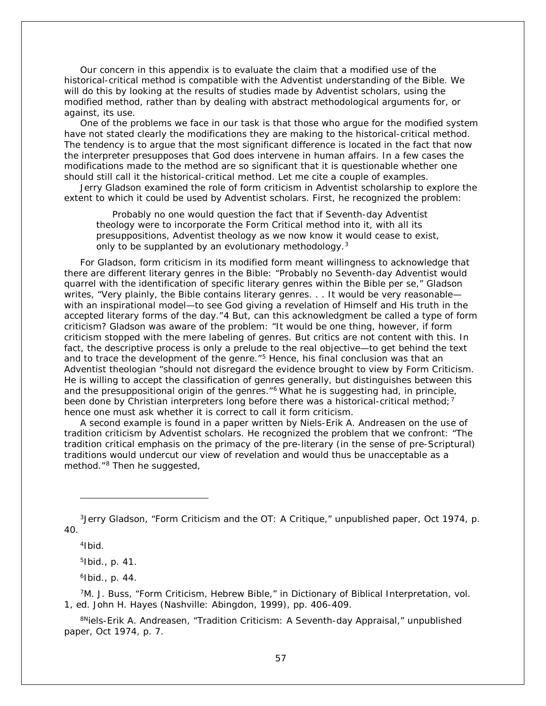Our concern in this appendix is to evaluate the claim that a modified use of the historical-critical method is compatible with the Adventist understanding of the Bible. We will do this by looking at the results of studies made by Adventist scholars, using the modified method, rather than by dealing with abstract methodological arguments for, or against, its use.

One of the problems we face in our task is that those who argue for the modified system have not stated clearly the modifications they are making to the historical-critical method. The tendency is to argue that the most significant difference is located in the fact that now the interpreter presupposes that God does intervene in human affairs. In a few cases the modifications made to the method are so significant that it is questionable whether one should still call it the historical-critical method. Let me cite a couple of examples.

Jerry Gladson examined the role of form criticism in Adventist scholarship to explore the extent to which it could be used by Adventist scholars. First, he recognized the problem:

Probably no one would question the fact that if Seventh-day Adventist theology were to incorporate the Form Critical method into it, with all its presuppositions, Adventist theology as we now know it would cease to exist, only to be supplanted by an evolutionary methodology.<sup>[3](#page-56-0)</sup>

For Gladson, form criticism in its modified form meant willingness to acknowledge that there are different literary genres in the Bible: "Probably no Seventh-day Adventist would quarrel with the identification of specific literary genres within the Bible per se," Gladson writes, "Very plainly, the Bible contains literary genres. . . It would be very reasonable with an inspirational model—to see God giving a revelation of Himself and His truth in the accepted literary forms of the day."[4](#page-56-1) But, can this acknowledgment be called a type of form criticism? Gladson was aware of the problem: "It would be one thing, however, if form criticism stopped with the mere labeling of genres. But critics are not content with this. In fact, the descriptive process is only a prelude to the real objective—to get behind the text and to trace the development of the genre."<sup>[5](#page-56-2)</sup> Hence, his final conclusion was that an Adventist theologian "should not disregard the evidence brought to view by Form Criticism. He is willing to accept the classification of genres generally, but distinguishes between this and the presuppositional origin of the genres."<sup>[6](#page-56-3)</sup> What he is suggesting had, in principle, been done by Christian interpreters long before there was a historical-critical method;  $^7$  $^7$ hence one must ask whether it is correct to call it form criticism.

A second example is found in a paper written by Niels-Erik A. Andreasen on the use of tradition criticism by Adventist scholars. He recognized the problem that we confront: "The tradition critical emphasis on the primacy of the pre-literary (in the sense of pre-Scriptural) traditions would undercut our view of revelation and would thus be unacceptable as a method."[8](#page-56-5) Then he suggested,

 $4$ Ibid.

i,

 $5$ Ibid., p. 41.

 $6$ Ibid., p. 44.

<span id="page-56-4"></span><span id="page-56-3"></span><span id="page-56-2"></span>7M. J. Buss, "Form Criticism, Hebrew Bible," in *Dictionary of Biblical Interpretation*, vol. 1, ed. John H. Hayes (Nashville: Abingdon, 1999), pp. 406-409.

<span id="page-56-5"></span><sup>8N</sup>iels-Erik A. Andreasen, "Tradition Criticism: A Seventh-day Appraisal," unpublished paper, Oct 1974, p. 7.

<span id="page-56-1"></span><span id="page-56-0"></span><sup>3</sup>Jerry Gladson, "Form Criticism and the OT: A Critique," unpublished paper, Oct 1974, p. 40.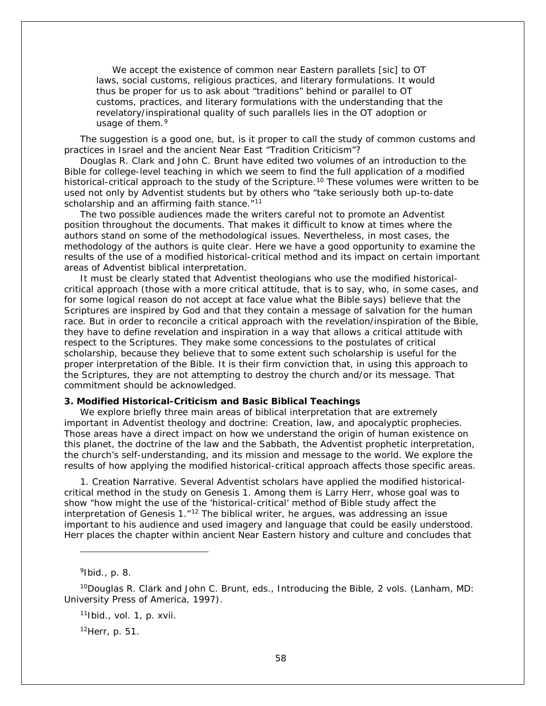We accept the existence of common near Eastern parallets [sic] to OT laws, social customs, religious practices, and literary formulations. It would thus be proper for us to ask about "traditions" behind or parallel to OT customs, practices, and literary formulations with the understanding that the revelatory/inspirational quality of such parallels lies in the OT adoption or usage of them.<sup>[9](#page-57-0)</sup>

The suggestion is a good one, but, is it proper to call the study of common customs and practices in Israel and the ancient Near East "Tradition Criticism"?

Douglas R. Clark and John C. Brunt have edited two volumes of an introduction to the Bible for college-level teaching in which we seem to find the full application of a modified historical-critical approach to the study of the Scripture.<sup>[10](#page-57-1)</sup> These volumes were written to be used not only by Adventist students but by others who "take seriously both up-to-date scholarship and an affirming faith stance."<sup>[11](#page-57-2)</sup>

The two possible audiences made the writers careful not to promote an Adventist position throughout the documents. That makes it difficult to know at times where the authors stand on some of the methodological issues. Nevertheless, in most cases, the methodology of the authors is quite clear. Here we have a good opportunity to examine the results of the use of a modified historical-critical method and its impact on certain important areas of Adventist biblical interpretation.

It must be clearly stated that Adventist theologians who use the modified historicalcritical approach (those with a more critical attitude, that is to say, who, in some cases, and for some logical reason do not accept at face value what the Bible says) believe that the Scriptures are inspired by God and that they contain a message of salvation for the human race. But in order to reconcile a critical approach with the revelation/inspiration of the Bible, they have to define revelation and inspiration in a way that allows a critical attitude with respect to the Scriptures. They make some concessions to the postulates of critical scholarship, because they believe that to some extent such scholarship is useful for the proper interpretation of the Bible. It is their firm conviction that, in using this approach to the Scriptures, they are not attempting to destroy the church and/or its message. That commitment should be acknowledged.

## **3. Modified Historical-Criticism and Basic Biblical Teachings**

We explore briefly three main areas of biblical interpretation that are extremely important in Adventist theology and doctrine: Creation, law, and apocalyptic prophecies. Those areas have a direct impact on how we understand the origin of human existence on this planet, the doctrine of the law and the Sabbath, the Adventist prophetic interpretation, the church's self-understanding, and its mission and message to the world. We explore the results of how applying the modified historical-critical approach affects those specific areas.

*1. Creation Narrative.* Several Adventist scholars have applied the modified historicalcritical method in the study on Genesis 1. Among them is Larry Herr, whose goal was to show "how might the use of the 'historical-critical' method of Bible study affect the interpretation of Genesis  $1.^{n_12}$  $1.^{n_12}$  $1.^{n_12}$  The biblical writer, he argues, was addressing an issue important to his audience and used imagery and language that could be easily understood. Herr places the chapter within ancient Near Eastern history and culture and concludes that

 $9$ Ibid., p. 8.

i,

 $11$ lbid., vol. 1, p. xvii.

 $12$ Herr, p. 51.

<span id="page-57-3"></span><span id="page-57-2"></span><span id="page-57-1"></span><span id="page-57-0"></span><sup>10</sup>Douglas R. Clark and John C. Brunt, eds., *Introducing the Bible*, 2 vols. (Lanham, MD: University Press of America, 1997).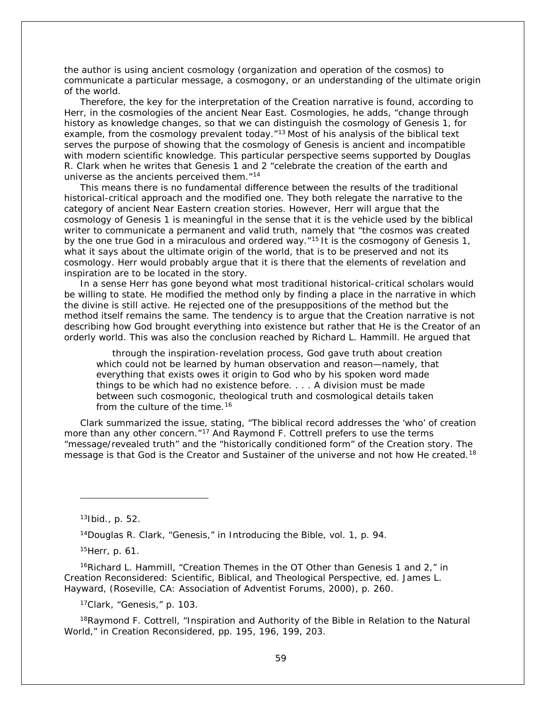the author is using ancient cosmology (organization and operation of the cosmos) to communicate a particular message, a cosmogony, or an understanding of the ultimate origin of the world.

Therefore, the key for the interpretation of the Creation narrative is found, according to Herr, in the cosmologies of the ancient Near East. Cosmologies, he adds, "change through history as knowledge changes, so that we can distinguish the cosmology of Genesis 1, for example, from the cosmology prevalent today."<sup>[13](#page-58-0)</sup> Most of his analysis of the biblical text serves the purpose of showing that the cosmology of Genesis is ancient and incompatible with modern scientific knowledge. This particular perspective seems supported by Douglas R. Clark when he writes that Genesis 1 and 2 "celebrate the creation of the earth and universe as the ancients perceived them.<sup>"[14](#page-58-1)</sup>

This means there is no fundamental difference between the results of the traditional historical-critical approach and the modified one. They both relegate the narrative to the category of ancient Near Eastern creation stories. However, Herr will argue that the cosmology of Genesis 1 is meaningful in the sense that it is the vehicle used by the biblical writer to communicate a permanent and valid truth, namely that "the cosmos was created by the one true God in a miraculous and ordered way.<sup>"[15](#page-58-2)</sup> It is the cosmogony of Genesis 1, what it says about the ultimate origin of the world, that is to be preserved and not its cosmology. Herr would probably argue that it is there that the elements of revelation and inspiration are to be located in the story.

In a sense Herr has gone beyond what most traditional historical-critical scholars would be willing to state. He modified the method only by finding a place in the narrative in which the divine is still active. He rejected one of the presuppositions of the method but the method itself remains the same. The tendency is to argue that the Creation narrative is not describing how God brought everything into existence but rather that He is the Creator of an orderly world. This was also the conclusion reached by Richard L. Hammill. He argued that

through the inspiration-revelation process, God gave truth about creation which could not be learned by human observation and reason—namely, that everything that exists owes it origin to God who by his spoken word made things to be which had no existence before. . . . A division must be made between such cosmogonic, theological truth and cosmological details taken from the culture of the time.<sup>[16](#page-58-3)</sup>

Clark summarized the issue, stating, "The biblical record addresses the 'who' of creation more than any other concern."<sup>[17](#page-58-4)</sup> And Raymond F. Cottrell prefers to use the terms "message/revealed truth" and the "historically conditioned form" of the Creation story. The message is that God is the Creator and Sustainer of the universe and not how He created.<sup>[18](#page-58-5)</sup>

i,

14Douglas R. Clark, "Genesis," in *Introducing the Bible*, vol. 1, p. 94.

15Herr, p. 61.

<span id="page-58-3"></span><span id="page-58-2"></span><span id="page-58-1"></span><sup>16</sup>Richard L. Hammill, "Creation Themes in the OT Other than Genesis 1 and 2," in *Creation Reconsidered: Scientific, Biblical, and Theological Perspective*, ed. James L. Hayward, (Roseville, CA: Association of Adventist Forums, 2000), p. 260.

17Clark, "Genesis," p. 103.

<span id="page-58-5"></span><span id="page-58-4"></span><sup>18</sup>Raymond F. Cottrell, "Inspiration and Authority of the Bible in Relation to the Natural World," in *Creation Reconsidered*, pp. 195, 196, 199, 203.

<span id="page-58-0"></span> $13$ Ibid., p. 52.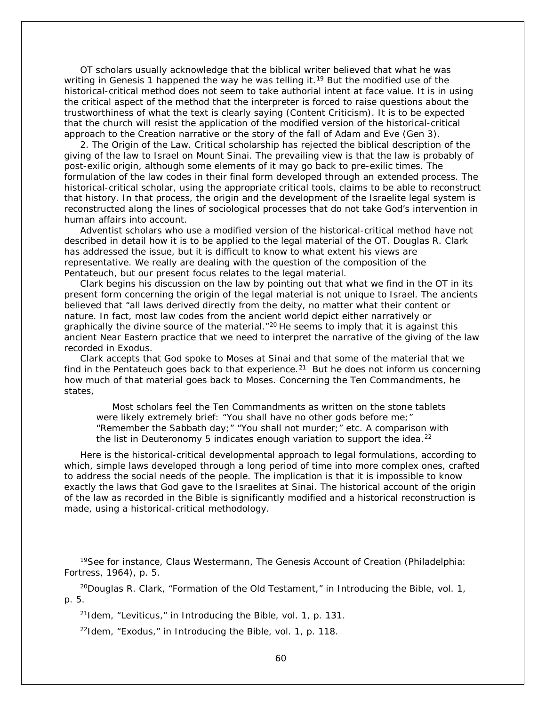OT scholars usually acknowledge that the biblical writer believed that what he was writing in Genesis 1 happened the way he was telling it.<sup>[19](#page-59-0)</sup> But the modified use of the historical-critical method does not seem to take authorial intent at face value. It is in using the critical aspect of the method that the interpreter is forced to raise questions about the trustworthiness of what the text is clearly saying (Content Criticism). It is to be expected that the church will resist the application of the modified version of the historical-critical approach to the Creation narrative or the story of the fall of Adam and Eve (Gen 3).

2. *The Origin of the Law*. Critical scholarship has rejected the biblical description of the giving of the law to Israel on Mount Sinai. The prevailing view is that the law is probably of post-exilic origin, although some elements of it may go back to pre-exilic times. The formulation of the law codes in their final form developed through an extended process. The historical-critical scholar, using the appropriate critical tools, claims to be able to reconstruct that history. In that process, the origin and the development of the Israelite legal system is reconstructed along the lines of sociological processes that do not take God's intervention in human affairs into account.

Adventist scholars who use a modified version of the historical-critical method have not described in detail how it is to be applied to the legal material of the OT. Douglas R. Clark has addressed the issue, but it is difficult to know to what extent his views are representative. We really are dealing with the question of the composition of the Pentateuch, but our present focus relates to the legal material.

Clark begins his discussion on the law by pointing out that what we find in the OT in its present form concerning the origin of the legal material is not unique to Israel. The ancients believed that "all laws derived directly from the deity, no matter what their content or nature. In fact, most law codes from the ancient world depict either narratively or graphically the divine source of the material. $\frac{n^{20}}{10}$  $\frac{n^{20}}{10}$  $\frac{n^{20}}{10}$  He seems to imply that it is against this ancient Near Eastern practice that we need to interpret the narrative of the giving of the law recorded in Exodus.

Clark accepts that God spoke to Moses at Sinai and that some of the material that we find in the Pentateuch goes back to that experience.<sup>[21](#page-59-2)</sup> But he does not inform us concerning how much of that material goes back to Moses. Concerning the Ten Commandments, he states,

Most scholars feel the Ten Commandments as written on the stone tablets were likely extremely brief: "You shall have no other gods before me;" "Remember the Sabbath day;" "You shall not murder;" etc. A comparison with the list in Deuteronomy 5 indicates enough variation to support the idea.<sup>[22](#page-59-3)</sup>

Here is the historical-critical developmental approach to legal formulations, according to which, simple laws developed through a long period of time into more complex ones, crafted to address the social needs of the people. The implication is that it is impossible to know exactly the laws that God gave to the Israelites at Sinai. The historical account of the origin of the law as recorded in the Bible is significantly modified and a historical reconstruction is made, using a historical-critical methodology.

i,

<span id="page-59-0"></span><sup>19</sup>See for instance, Claus Westermann, *The Genesis Account of Creation* (Philadelphia: Fortress, 1964), p. 5.

<span id="page-59-3"></span><span id="page-59-2"></span><span id="page-59-1"></span><sup>20</sup>Douglas R. Clark, "Formation of the Old Testament," in *Introducing the Bible*, vol. 1, p. 5.

<sup>21</sup>Idem, "Leviticus," in *Introducing the Bible*, vol. 1, p. 131.

<sup>22</sup>Idem, "Exodus," in *Introducing the Bible*, vol. 1, p. 118.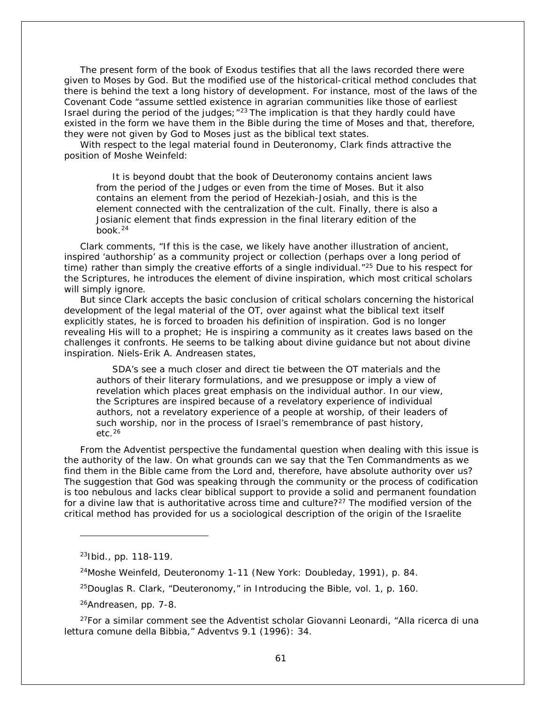The present form of the book of Exodus testifies that all the laws recorded there were given to Moses by God. But the modified use of the historical-critical method concludes that there is behind the text a long history of development. For instance, most of the laws of the Covenant Code "assume settled existence in agrarian communities like those of earliest Israel during the period of the judges;  $n^{23}$  $n^{23}$  $n^{23}$  The implication is that they hardly could have existed in the form we have them in the Bible during the time of Moses and that, therefore, they were not given by God to Moses just as the biblical text states.

With respect to the legal material found in Deuteronomy, Clark finds attractive the position of Moshe Weinfeld:

It is beyond doubt that the book of Deuteronomy contains ancient laws from the period of the Judges or even from the time of Moses. But it also contains an element from the period of Hezekiah-Josiah, and this is the element connected with the centralization of the cult. Finally, there is also a Josianic element that finds expression in the final literary edition of the book $^{24}$  $^{24}$  $^{24}$ 

Clark comments, "If this is the case, we likely have another illustration of ancient, inspired 'authorship' as a community project or collection (perhaps over a long period of time) rather than simply the creative efforts of a single individual. $125$  $125$  Due to his respect for the Scriptures, he introduces the element of divine inspiration, which most critical scholars will simply ignore.

But since Clark accepts the basic conclusion of critical scholars concerning the historical development of the legal material of the OT, over against what the biblical text itself explicitly states, he is forced to broaden his definition of inspiration. God is no longer revealing His will to a prophet; He is inspiring a community as it creates laws based on the challenges it confronts. He seems to be talking about divine guidance but not about divine inspiration. Niels-Erik A. Andreasen states,

SDA's see a much closer and direct tie between the OT materials and the authors of their literary formulations, and we presuppose or imply a view of revelation which places great emphasis on the individual author. In our view, the Scriptures are inspired because of a revelatory experience of individual authors, not a revelatory experience of a people at worship, of their leaders of such worship, nor in the process of Israel's remembrance of past history, etc.  $26$ 

From the Adventist perspective the fundamental question when dealing with this issue is the authority of the law. On what grounds can we say that the Ten Commandments as we find them in the Bible came from the Lord and, therefore, have absolute authority over us? The suggestion that God was speaking through the community or the process of codification is too nebulous and lacks clear biblical support to provide a solid and permanent foundation for a divine law that is authoritative across time and culture?<sup>[27](#page-60-4)</sup> The modified version of the critical method has provided for us a sociological description of the origin of the Israelite

i,

26Andreasen, pp. 7-8.

<span id="page-60-4"></span><span id="page-60-3"></span><span id="page-60-2"></span> $27$ For a similar comment see the Adventist scholar Giovanni Leonardi, "Alla ricerca di una lettura comune della Bibbia," *Adventvs* 9.1 (1996): 34.

<span id="page-60-0"></span> $23$ Ibid., pp. 118-119.

<span id="page-60-1"></span><sup>24</sup>Moshe Weinfeld, *Deuteronomy 1-11* (New York: Doubleday, 1991), p. 84.

<sup>25</sup>Douglas R. Clark, "Deuteronomy," in *Introducing the Bible*, vol. 1, p. 160.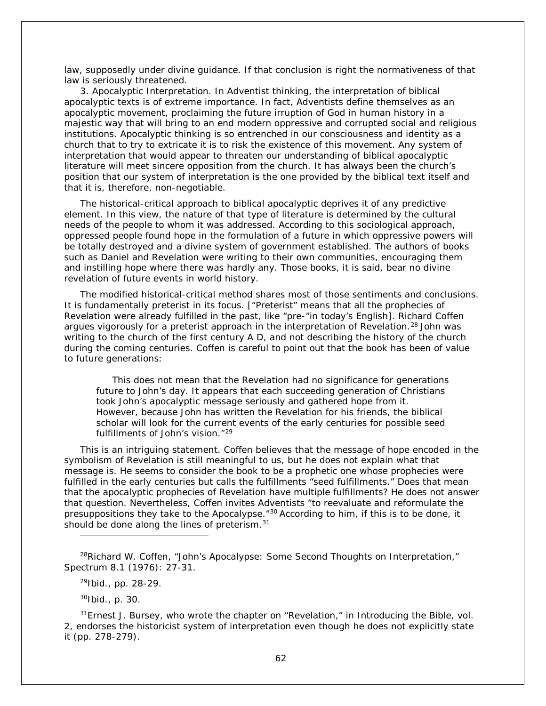law, supposedly under divine guidance. If that conclusion is right the normativeness of that law is seriously threatened.

3*. Apocalyptic Interpretation.* In Adventist thinking, the interpretation of biblical apocalyptic texts is of extreme importance. In fact, Adventists define themselves as an apocalyptic movement, proclaiming the future irruption of God in human history in a majestic way that will bring to an end modern oppressive and corrupted social and religious institutions. Apocalyptic thinking is so entrenched in our consciousness and identity as a church that to try to extricate it is to risk the existence of this movement. Any system of interpretation that would appear to threaten our understanding of biblical apocalyptic literature will meet sincere opposition from the church. It has always been the church's position that our system of interpretation is the one provided by the biblical text itself and that it is, therefore, non-negotiable.

The historical-critical approach to biblical apocalyptic deprives it of any predictive element. In this view, the nature of that type of literature is determined by the cultural needs of the people to whom it was addressed. According to this sociological approach, oppressed people found hope in the formulation of a future in which oppressive powers will be totally destroyed and a divine system of government established. The authors of books such as Daniel and Revelation were writing to their own communities, encouraging them and instilling hope where there was hardly any. Those books, it is said, bear no divine revelation of future events in world history.

The modified historical-critical method shares most of those sentiments and conclusions. It is fundamentally preterist in its focus. [*"Preterist" means that all the prophecies of Revelation were already fulfilled in the past, like "pre-"in today's English*]. Richard Coffen argues vigorously for a preterist approach in the interpretation of Revelation.<sup>[28](#page-61-0)</sup> John was writing to the church of the first century A D, and not describing the history of the church during the coming centuries. Coffen is careful to point out that the book has been of value to future generations:

This does not mean that the Revelation had no significance for generations future to John's day. It appears that each succeeding generation of Christians took John's apocalyptic message seriously and gathered hope from it. However, because John has written the Revelation for his friends, the biblical scholar will look for the current events of the early centuries for possible seed fulfillments of John's vision "[29](#page-61-1)

This is an intriguing statement. Coffen believes that the message of hope encoded in the symbolism of Revelation is still meaningful to us, but he does not explain what that message is. He seems to consider the book to be a prophetic one whose prophecies were fulfilled in the early centuries but calls the fulfillments "seed fulfillments." Does that mean that the apocalyptic prophecies of Revelation have multiple fulfillments? He does not answer that question. Nevertheless, Coffen invites Adventists "to reevaluate and reformulate the presuppositions they take to the Apocalypse."[30](#page-61-2) According to him, if this is to be done, it should be done along the lines of preterism.<sup>31</sup>

 $^{29}$ Ibid., pp. 28-29.

 $30$ Ibid., p. 30.

i,

<span id="page-61-3"></span><span id="page-61-2"></span>31Ernest J. Bursey, who wrote the chapter on "Revelation," in *Introducing the Bible*, vol. 2, endorses the historicist system of interpretation even though he does not explicitly state it (pp. 278-279).

<span id="page-61-1"></span><span id="page-61-0"></span> $^{28}$ Richard W. Coffen, "John's Apocalypse: Some Second Thoughts on Interpretation," *Spectrum* 8.1 (1976): 27-31.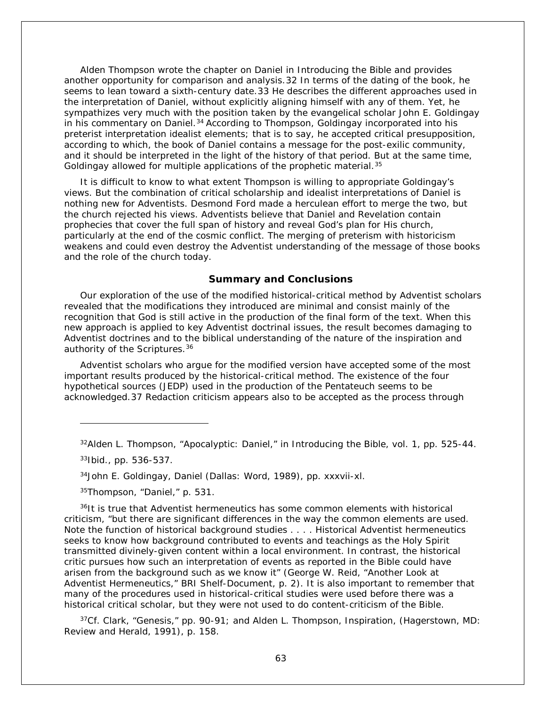Alden Thompson wrote the chapter on Daniel in *Introducing the Bible* and provides another opportunity for comparison and analysis.[32](#page-62-0) In terms of the dating of the book, he seems to lean toward a sixth-century date.[33](#page-62-1) He describes the different approaches used in the interpretation of Daniel, without explicitly aligning himself with any of them. Yet, he sympathizes very much with the position taken by the evangelical scholar John E. Goldingay in his commentary on Daniel.[34](#page-62-2) According to Thompson, Goldingay incorporated into his preterist interpretation idealist elements; that is to say, he accepted critical presupposition, according to which, the book of Daniel contains a message for the post-exilic community, and it should be interpreted in the light of the history of that period. But at the same time, Goldingay allowed for multiple applications of the prophetic material.<sup>35</sup>

It is difficult to know to what extent Thompson is willing to appropriate Goldingay's views. But the combination of critical scholarship and idealist interpretations of Daniel is nothing new for Adventists. Desmond Ford made a herculean effort to merge the two, but the church rejected his views. Adventists believe that Daniel and Revelation contain prophecies that cover the full span of history and reveal God's plan for His church, particularly at the end of the cosmic conflict. The merging of preterism with historicism weakens and could even destroy the Adventist understanding of the message of those books and the role of the church today.

# **Summary and Conclusions**

Our exploration of the use of the modified historical-critical method by Adventist scholars revealed that the modifications they introduced are minimal and consist mainly of the recognition that God is still active in the production of the final form of the text. When this new approach is applied to key Adventist doctrinal issues, the result becomes damaging to Adventist doctrines and to the biblical understanding of the nature of the inspiration and authority of the Scriptures.<sup>[36](#page-62-4)</sup>

Adventist scholars who argue for the modified version have accepted some of the most important results produced by the historical-critical method. The existence of the four hypothetical sources (JEDP) used in the production of the Pentateuch seems to be acknowledged.[37](#page-62-5) Redaction criticism appears also to be accepted as the process through

i,

35Thompson, "Daniel," p. 531.

<span id="page-62-4"></span><span id="page-62-3"></span><span id="page-62-2"></span><sup>36</sup>It is true that Adventist hermeneutics has some common elements with historical criticism, "but there are significant differences in the way the common elements are used. Note the function of historical background studies . . . . Historical Adventist hermeneutics seeks to know how background contributed to events and teachings as the Holy Spirit transmitted divinely-given content within a local environment. In contrast, the historical critic pursues how such an interpretation of events as reported in the Bible could have arisen from the background such as we know it" (George W. Reid, "Another Look at Adventist Hermeneutics," BRI Shelf-Document, p. 2). It is also important to remember that many of the procedures used in historical-critical studies were used before there was a historical critical scholar, but they were not used to do content-criticism of the Bible.

<span id="page-62-5"></span>37Cf. Clark, "Genesis," pp. 90-91; and Alden L. Thompson, *Inspiration*, (Hagerstown, MD: Review and Herald, 1991), p. 158.

<span id="page-62-0"></span><sup>32</sup>Alden L. Thompson, "Apocalyptic: Daniel," in *Introducing the Bible*, vol. 1, pp. 525-44.

<span id="page-62-1"></span><sup>33</sup>Ibid., pp. 536-537.

<sup>34</sup>John E. Goldingay, *Daniel* (Dallas: Word, 1989), pp. xxxvii-xl.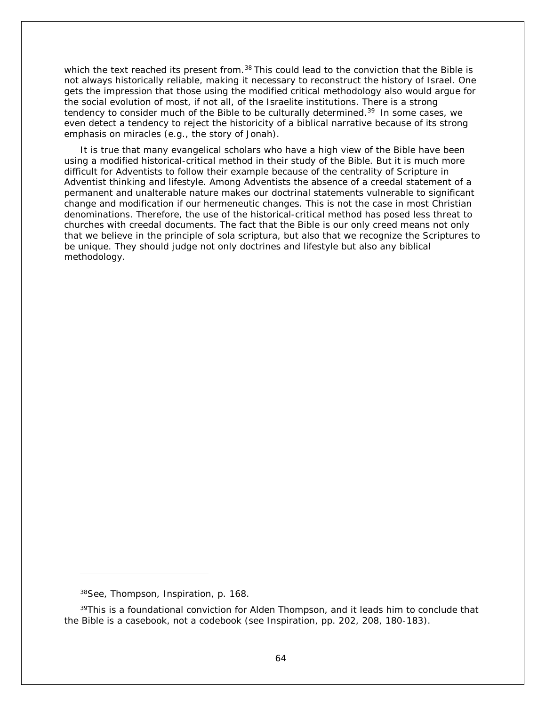which the text reached its present from.<sup>[38](#page-63-0)</sup> This could lead to the conviction that the Bible is not always historically reliable, making it necessary to reconstruct the history of Israel. One gets the impression that those using the modified critical methodology also would argue for the social evolution of most, if not all, of the Israelite institutions. There is a strong tendency to consider much of the Bible to be culturally determined.<sup>[39](#page-63-1)</sup> In some cases, we even detect a tendency to reject the historicity of a biblical narrative because of its strong emphasis on miracles (e.g., the story of Jonah).

It is true that many evangelical scholars who have a high view of the Bible have been using a modified historical-critical method in their study of the Bible. But it is much more difficult for Adventists to follow their example because of the centrality of Scripture in Adventist thinking and lifestyle. Among Adventists the absence of a creedal statement of a permanent and unalterable nature makes our doctrinal statements vulnerable to significant change and modification if our hermeneutic changes. This is not the case in most Christian denominations. Therefore, the use of the historical-critical method has posed less threat to churches with creedal documents. The fact that the Bible is our only creed means not only that we believe in the principle of *sola scriptura*, but also that we recognize the Scriptures to be unique. They should judge not only doctrines and lifestyle but also any biblical methodology.

i,

<sup>38</sup>See, Thompson, *Inspiration*, p. 168.

<span id="page-63-1"></span><span id="page-63-0"></span> $39$ This is a foundational conviction for Alden Thompson, and it leads him to conclude that the Bible is a casebook, not a codebook (see *Inspiration*, pp. 202, 208, 180-183).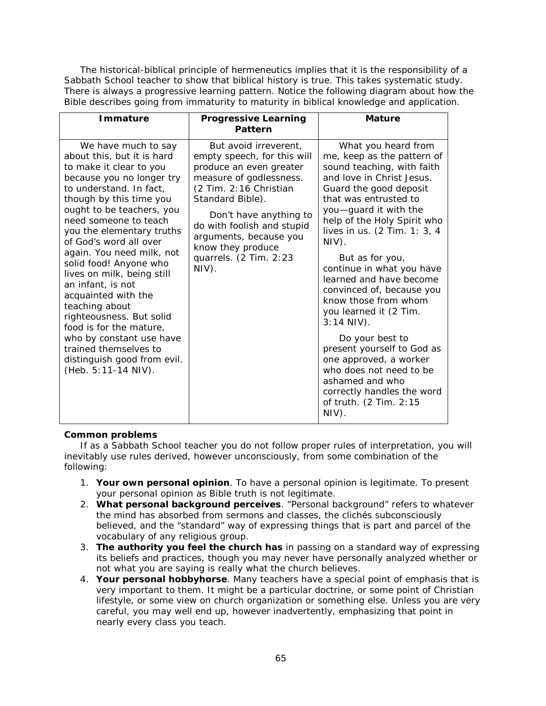The historical-biblical principle of hermeneutics implies that it is the responsibility of a Sabbath School teacher to show that biblical history is true. This takes systematic study. There is always a progressive learning pattern. Notice the following diagram about how the Bible describes going from immaturity to maturity in biblical knowledge and application.

| <b>Immature</b>                                                                                                                                                                                                                                                                                                                                                                                                                                                                                                                                                                                   | <b>Progressive Learning</b><br>Pattern                                                                                                                                                                                                                                                                | <b>Mature</b>                                                                                                                                                                                                                                                                                                                                                                                                                                                                                                                                                                                                                        |
|---------------------------------------------------------------------------------------------------------------------------------------------------------------------------------------------------------------------------------------------------------------------------------------------------------------------------------------------------------------------------------------------------------------------------------------------------------------------------------------------------------------------------------------------------------------------------------------------------|-------------------------------------------------------------------------------------------------------------------------------------------------------------------------------------------------------------------------------------------------------------------------------------------------------|--------------------------------------------------------------------------------------------------------------------------------------------------------------------------------------------------------------------------------------------------------------------------------------------------------------------------------------------------------------------------------------------------------------------------------------------------------------------------------------------------------------------------------------------------------------------------------------------------------------------------------------|
| We have much to say<br>about this, but it is hard<br>to make it clear to you<br>because you no longer try<br>to understand. In fact,<br>though by this time you<br>ought to be teachers, you<br>need someone to teach<br>you the elementary truths<br>of God's word all over<br>again. You need milk, not<br>solid food! Anyone who<br>lives on milk, being still<br>an infant, is not<br>acquainted with the<br>teaching about<br>righteousness. But solid<br>food is for the mature,<br>who by constant use have<br>trained themselves to<br>distinguish good from evil.<br>(Heb. 5:11-14 NIV). | But avoid irreverent,<br>empty speech, for this will<br>produce an even greater<br>measure of godlessness.<br>(2 Tim. 2:16 Christian<br>Standard Bible).<br>Don't have anything to<br>do with foolish and stupid<br>arguments, because you<br>know they produce<br>quarrels. (2 Tim. 2:23<br>$NIV$ ). | What you heard from<br>me, keep as the pattern of<br>sound teaching, with faith<br>and love in Christ Jesus.<br>Guard the good deposit<br>that was entrusted to<br>you-guard it with the<br>help of the Holy Spirit who<br>lives in us. (2 Tim. 1: 3, 4<br>NIV).<br>But as for you,<br>continue in what you have<br>learned and have become<br>convinced of, because you<br>know those from whom<br>you learned it (2 Tim.<br>$3:14$ NIV).<br>Do your best to<br>present yourself to God as<br>one approved, a worker<br>who does not need to be<br>ashamed and who<br>correctly handles the word<br>of truth. (2 Tim. 2:15<br>NIV). |

# **Common problems**

If as a Sabbath School teacher you do not follow proper rules of interpretation, you will inevitably use rules derived, however unconsciously, from some combination of the following:

- 1. **Your own personal opinion**. To have a personal opinion is legitimate. To present your personal opinion as Bible truth is not legitimate.
- 2. **What personal background perceives**. "Personal background" refers to whatever the mind has absorbed from sermons and classes, the clichés subconsciously believed, and the "standard" way of expressing things that is part and parcel of the vocabulary of any religious group.
- 3. **The authority you feel the church has** in passing on a standard way of expressing its beliefs and practices, though you may never have personally analyzed whether or not what you are saying is really what the church believes.
- 4. **Your personal hobbyhorse**. Many teachers have a special point of emphasis that is very important to them. It might be a particular doctrine, or some point of Christian lifestyle, or some view on church organization or something else. Unless you are very careful, you may well end up, however inadvertently, emphasizing that point in nearly every class you teach.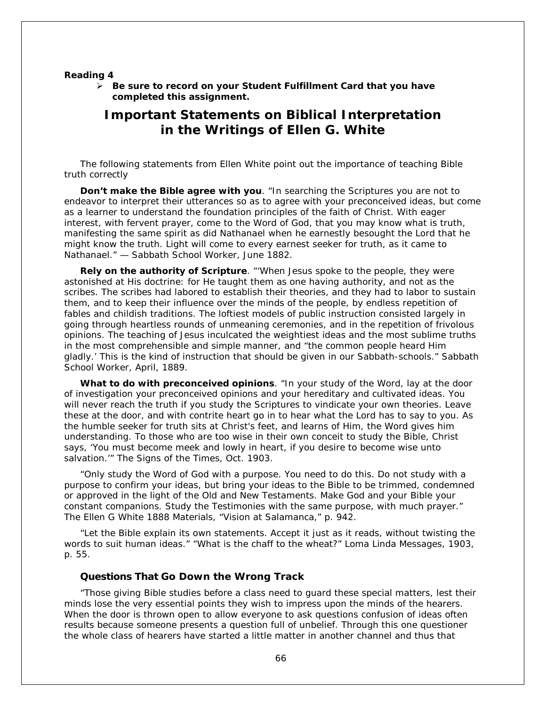#### **Reading 4**

 *Be sure to record on your* **Student Fulfillment Card** *that you have completed this assignment.*

# **Important Statements on Biblical Interpretation in the Writings of Ellen G. White**

The following statements from Ellen White point out the importance of teaching Bible truth correctly

**Don't make the Bible agree with you**. "*In searching the Scriptures you are not to endeavor to interpret their utterances so as to agree with your preconceived ideas*, but come as a learner to understand the foundation principles of the faith of Christ. With eager interest, with fervent prayer, come to the Word of God, that you may know what is truth, manifesting the same spirit as did Nathanael when he earnestly besought the Lord that he might know the truth. Light will come to every earnest seeker for truth, as it came to Nathanael." — *Sabbath School Worker*, June 1882.

**Rely on the authority of Scripture**. "'When Jesus spoke to the people, they were astonished at His doctrine: for He taught them as one having authority, and not as the scribes. The scribes had labored to establish their theories, and they had to labor to sustain them, and to keep their influence over the minds of the people, by endless repetition of fables and childish traditions. The loftiest models of public instruction consisted largely in going through heartless rounds of unmeaning ceremonies, and in the repetition of frivolous opinions. The teaching of Jesus inculcated the weightiest ideas and the most sublime truths in the most comprehensible and simple manner, and "the common people heard Him gladly.' This is the kind of instruction that should be given in our Sabbath-schools." *Sabbath School Worker*, April, 1889.

**What to do with preconceived opinions**. "In your study of the Word, *lay at the door of investigation your preconceived opinions and your hereditary and cultivated ideas*. You will never reach the truth if you study the Scriptures to vindicate your own theories. Leave these at the door, and with contrite heart go in to hear what the Lord has to say to you. As the humble seeker for truth sits at Christ's feet, and learns of Him, the Word gives him understanding. To those who are too wise in their own conceit to study the Bible, Christ says, 'You must become meek and lowly in heart, if you desire to become wise unto salvation.'" *The Signs of the Times*, Oct. 1903.

"Only study the Word of God with a purpose. You need to do this. Do not study with a purpose to confirm your ideas, but bring your ideas to the Bible to be trimmed, condemned or approved in the light of the Old and New Testaments. Make God and your Bible your constant companions. Study the *Testimonies* with the same purpose, with much prayer." *The Ellen G White 1888 Materials*, "Vision at Salamanca," p. 942.

"Let the Bible explain its own statements. Accept it just as it reads, without twisting the words to suit human ideas." "What is the chaff to the wheat?" *Loma Linda Messages*, 1903, p. 55.

### **Questions That Go Down the Wrong Track**

"Those giving Bible studies before a class need to guard these special matters, lest their minds lose the very essential points they wish to impress upon the minds of the hearers. When the door is thrown open to allow everyone to ask questions confusion of ideas often results because someone presents a question full of unbelief. Through this one questioner the whole class of hearers have started a little matter in another channel and thus that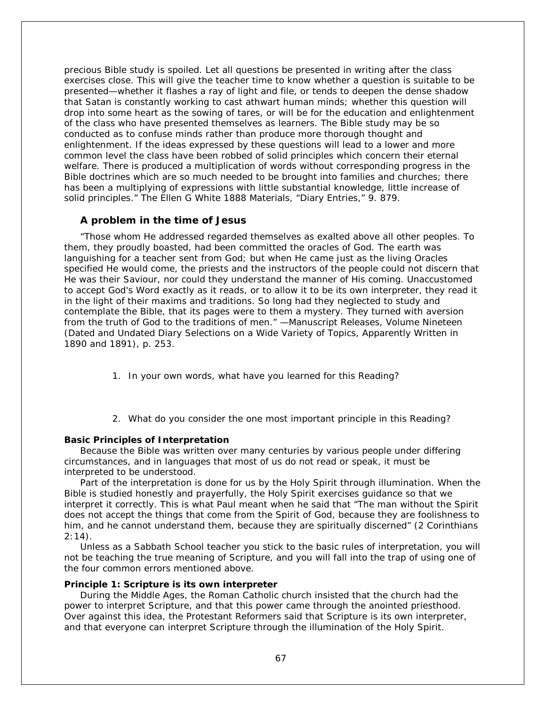precious Bible study is spoiled. Let all questions be presented in writing after the class exercises close. This will give the teacher time to know whether a question is suitable to be presented—whether it flashes a ray of light and file, or tends to deepen the dense shadow that Satan is constantly working to cast athwart human minds; whether this question will drop into some heart as the sowing of tares, or will be for the education and enlightenment of the class who have presented themselves as learners. The Bible study may be so conducted as to confuse minds rather than produce more thorough thought and enlightenment. If the ideas expressed by these questions will lead to a lower and more common level the class have been robbed of solid principles which concern their eternal welfare. There is produced a multiplication of words without corresponding progress in the Bible doctrines which are so much needed to be brought into families and churches; there has been a multiplying of expressions with little substantial knowledge, little increase of solid principles." *The Ellen G White 1888 Materials*, "Diary Entries," 9. 879.

# **A problem in the time of Jesus**

"Those whom He addressed regarded themselves as exalted above all other peoples. To them, they proudly boasted, had been committed the oracles of God. The earth was languishing for a teacher sent from God; but when He came just as the living Oracles specified He would come, the priests and the instructors of the people could not discern that He was their Saviour, nor could they understand the manner of His coming. Unaccustomed to accept God's Word exactly as it reads, or to allow it to be its own interpreter, they read it in the light of their maxims and traditions. So long had they neglected to study and contemplate the Bible, that its pages were to them a mystery. They turned with aversion from the truth of God to the traditions of men." —*Manuscript Releases*, Volume Nineteen (Dated and Undated Diary Selections on a Wide Variety of Topics, Apparently Written in 1890 and 1891), p. 253.

- 1. In your own words, what have you learned for this Reading?
- 2. What do you consider the one most important principle in this Reading?

## **Basic Principles of Interpretation**

Because the Bible was written over many centuries by various people under differing circumstances, and in languages that most of us do not read or speak, it must be interpreted to be understood.

Part of the interpretation is done for us by the Holy Spirit through illumination. When the Bible is studied honestly and prayerfully, the Holy Spirit exercises guidance so that we interpret it correctly. This is what Paul meant when he said that "The man without the Spirit does not accept the things that come from the Spirit of God, because they are foolishness to him, and he cannot understand them, because they are spiritually discerned" (2 Corinthians  $2:14$ ).

Unless as a Sabbath School teacher you stick to the basic rules of interpretation, you will not be teaching the true meaning of Scripture, and you will fall into the trap of using one of the four common errors mentioned above.

# **Principle 1: Scripture is its own interpreter**

During the Middle Ages, the Roman Catholic church insisted that the church had the power to interpret Scripture, and that this power came through the anointed priesthood. Over against this idea, the Protestant Reformers said that Scripture is its own interpreter, and that everyone can interpret Scripture through the illumination of the Holy Spirit.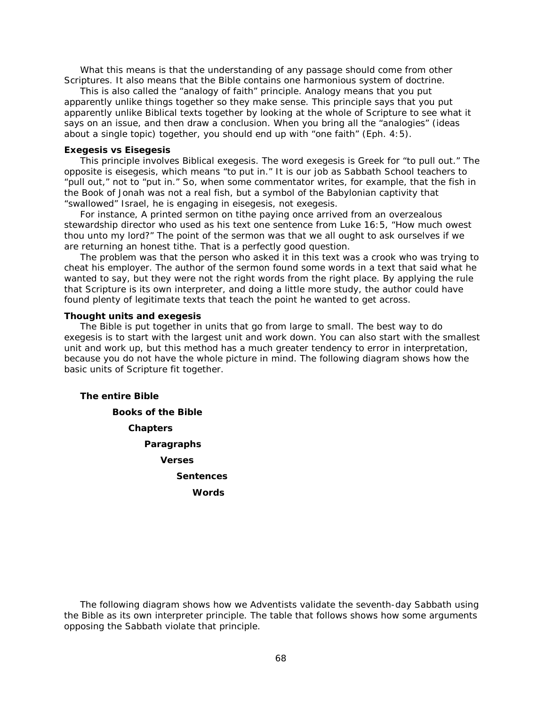What this means is that the understanding of any passage should come from other Scriptures. It also means that the Bible contains one harmonious system of doctrine.

This is also called the "analogy of faith" principle. Analogy means that you put apparently unlike things together so they make sense. This principle says that you put apparently unlike Biblical texts together by looking at the whole of Scripture to see what it says on an issue, and then draw a conclusion. When you bring all the "analogies" (ideas about a single topic) together, you should end up with "one faith" (Eph. 4:5).

## **Exegesis vs Eisegesis**

This principle involves Biblical exegesis. The word *exegesis* is Greek for "to pull out." The opposite is *eisegesis*, which means "to put in." It is our job as Sabbath School teachers to "pull out," not to "put in." So, when some commentator writes, for example, that the fish in the Book of Jonah was not a real fish, but a symbol of the Babylonian captivity that "swallowed" Israel, he is engaging in *eisegesis*, not *exegesis*.

For instance, A printed sermon on tithe paying once arrived from an overzealous stewardship director who used as his text one sentence from Luke 16:5, "How much owest thou unto my lord?" The point of the sermon was that we all ought to ask ourselves if we are returning an honest tithe. That is a perfectly good question.

The problem was that the person who asked it *in this text* was a crook who was trying to cheat his employer. The author of the sermon found some words in a text that said what he wanted to say, but they were not the right words from the right place. By applying the rule that Scripture is its own interpreter, and doing a little more study, the author could have found plenty of legitimate texts that teach the point he wanted to get across.

## **Thought units and exegesis**

The Bible is put together in units that go from large to small. The best way to do *exegesis* is to start with the largest unit and work down. You can also start with the smallest unit and work up, but this method has a much greater tendency to error in interpretation, because you do not have the whole picture in mind. The following diagram shows how the basic units of Scripture fit together.

**The entire Bible**

**Books of the Bible Chapters Paragraphs Verses Sentences Words**

The following diagram shows how we Adventists validate the seventh-day Sabbath using the Bible as its own interpreter principle. The table that follows shows how some arguments opposing the Sabbath violate that principle.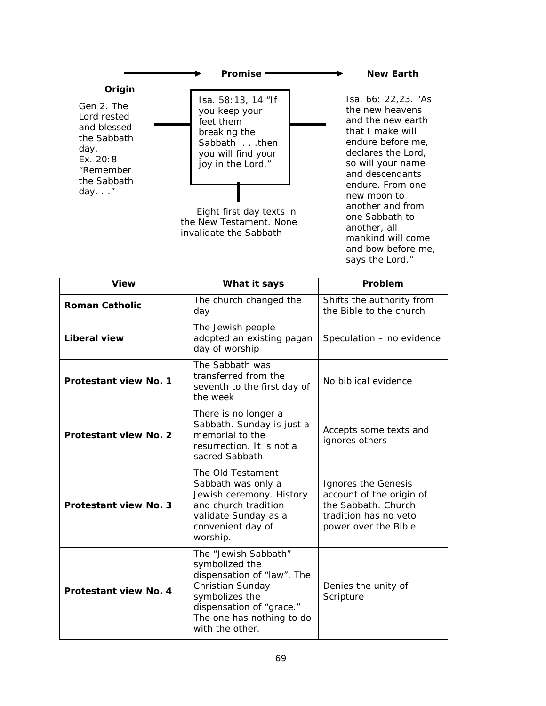

mankind will come and bow before me, says the Lord."

| <b>View</b>                  | What it says                                                                                                                                                                           | Problem                                                                                                                 |
|------------------------------|----------------------------------------------------------------------------------------------------------------------------------------------------------------------------------------|-------------------------------------------------------------------------------------------------------------------------|
| <b>Roman Catholic</b>        | The church changed the<br>day                                                                                                                                                          | Shifts the authority from<br>the Bible to the church                                                                    |
| Liberal view                 | The Jewish people<br>adopted an existing pagan<br>day of worship                                                                                                                       | Speculation - no evidence                                                                                               |
| Protestant view No. 1        | The Sabbath was<br>transferred from the<br>seventh to the first day of<br>the week                                                                                                     | No biblical evidence                                                                                                    |
| Protestant view No. 2        | There is no longer a<br>Sabbath. Sunday is just a<br>memorial to the<br>resurrection. It is not a<br>sacred Sabbath                                                                    | Accepts some texts and<br>ignores others                                                                                |
| <b>Protestant view No. 3</b> | The Old Testament<br>Sabbath was only a<br>Jewish ceremony. History<br>and church tradition<br>validate Sunday as a<br>convenient day of<br>worship.                                   | Ignores the Genesis<br>account of the origin of<br>the Sabbath. Church<br>tradition has no veto<br>power over the Bible |
| Protestant view No. 4        | The "Jewish Sabbath"<br>symbolized the<br>dispensation of "law". The<br>Christian Sunday<br>symbolizes the<br>dispensation of "grace."<br>The one has nothing to do<br>with the other. | Denies the unity of<br>Scripture                                                                                        |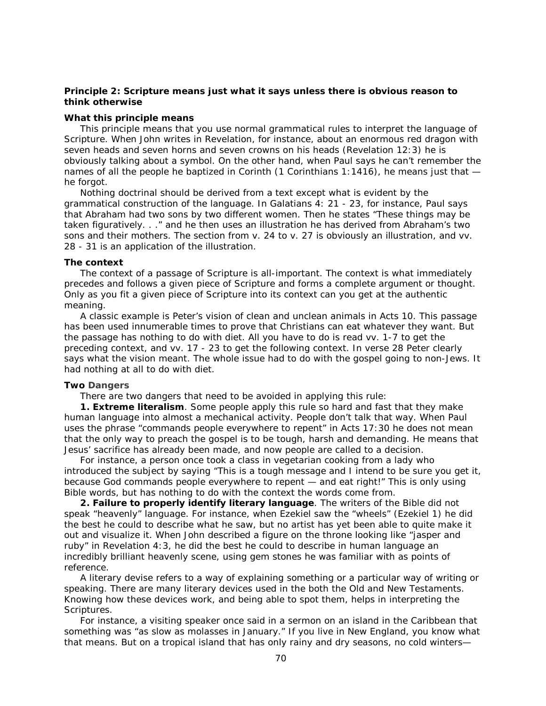# **Principle 2: Scripture means just what it says unless there is obvious reason to think otherwise**

## **What this principle means**

This principle means that you use normal grammatical rules to interpret the language of Scripture. When John writes in Revelation, for instance, about an enormous red dragon with seven heads and seven horns and seven crowns on his heads (Revelation 12:3) he is obviously talking about a symbol. On the other hand, when Paul says he can't remember the names of all the people he baptized in Corinth (1 Corinthians 1:1416), he means just that  $$ he forgot.

Nothing doctrinal should be derived from a text except what is evident by the grammatical construction of the language. In Galatians 4: 21 - 23, for instance, Paul says that Abraham had two sons by two different women. Then he states "These things may be *taken figuratively*. . ." and he then uses an illustration he has derived from Abraham's two sons and their mothers. The section from v. 24 to v. 27 is *obviously an illustration*, and vv. 28 - 31 is an application of the illustration.

### **The context**

The context of a passage of Scripture is all-important. The context is what immediately precedes and follows a given piece of Scripture and forms a complete argument or thought. Only as you fit a given piece of Scripture into its context can you get at the authentic meaning.

A classic example is Peter's vision of clean and unclean animals in Acts 10. This passage has been used innumerable times to prove that Christians can eat whatever they want. But the passage has nothing to do with diet. All you have to do is read vv. 1-7 to get the preceding context, and vv. 17 - 23 to get the following context. In verse 28 Peter clearly says what the vision meant. The whole issue had to do with the gospel going to non-Jews. It had nothing at all to do with diet.

# *Two* **Dangers**

There are two dangers that need to be avoided in applying this rule:

**1. Extreme literalism**. Some people apply this rule so hard and fast that they make human language into almost a mechanical activity. People don't talk that way. When Paul uses the phrase "commands people everywhere to repent" in Acts 17:30 he does not mean that the only way to preach the gospel is to be tough, harsh and demanding. He means that Jesus' sacrifice has already been made, and now people are called to a decision.

For instance, a person once took a class in vegetarian cooking from a lady who introduced the subject by saying "This is a tough message and I intend to be sure you get it, because God commands people everywhere to repent — and eat right!" This is only using Bible words, but has nothing to do with the context the words come from.

**2. Failure to properly identify literary language**. The writers of the Bible did not speak "heavenly" language. For instance, when Ezekiel saw the "wheels" (Ezekiel 1) he did the best he could to describe what he saw, but no artist has yet been able to quite make it out and visualize it. When John described a figure on the throne looking like "jasper and ruby" in Revelation 4:3, he did the best he could to describe in human language an incredibly brilliant heavenly scene, using gem stones he was familiar with as points of reference.

A literary devise refers to a way of explaining something or a particular way of writing or speaking. There are many literary devices used in the both the Old and New Testaments. Knowing how these devices work, and being able to spot them, helps in interpreting the Scriptures.

For instance, a visiting speaker once said in a sermon on an island in the Caribbean that something was "as slow as molasses in January." If you live in New England, you know what that means. But on a tropical island that has only rainy and dry seasons, no cold winters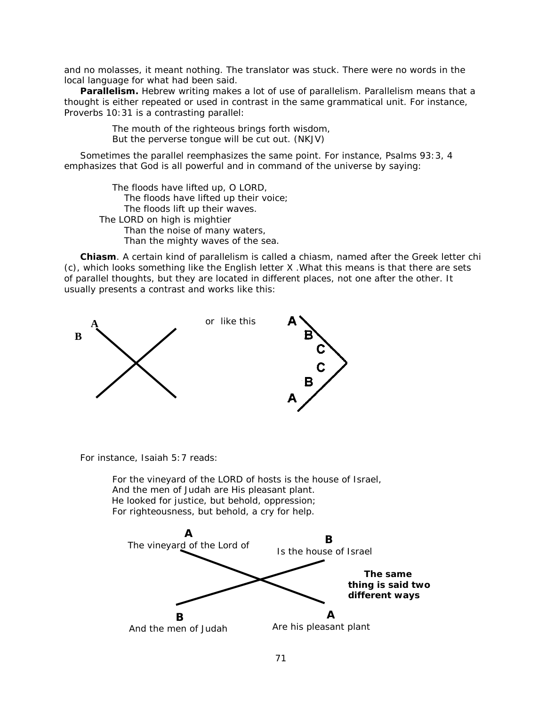and no molasses, it meant nothing. The translator was stuck. There were no words in the local language for what had been said.

**Parallelism.** Hebrew writing makes a lot of use of parallelism. Parallelism means that a thought is either repeated or used in contrast in the same grammatical unit. For instance, Proverbs 10:31 is a contrasting parallel:

> The mouth of the righteous brings forth wisdom, But the perverse tongue will be cut out. (NKJV)

Sometimes the parallel reemphasizes the same point. For instance, Psalms 93:3, 4 emphasizes that God is all powerful and in command of the universe by saying:

The floods have lifted up, O LORD, The floods have lifted up their voice; The floods lift up their waves. The LORD on high *is* mightier Than the noise of many waters, *Than* the mighty waves of the sea.

**Chiasm**. A certain kind of parallelism is called a *chiasm*, named after the Greek letter chi (c), which looks something like the English letter X .What this means is that there are sets of parallel thoughts, but they are located in different places, not one after the other. It usually presents a contrast and works like this:



For instance, Isaiah 5:7 reads:

For the vineyard of the LORD of hosts *is* the house of Israel, And the men of Judah are His pleasant plant. He looked for justice, but behold, oppression; For righteousness, but behold, *a cry for help*.

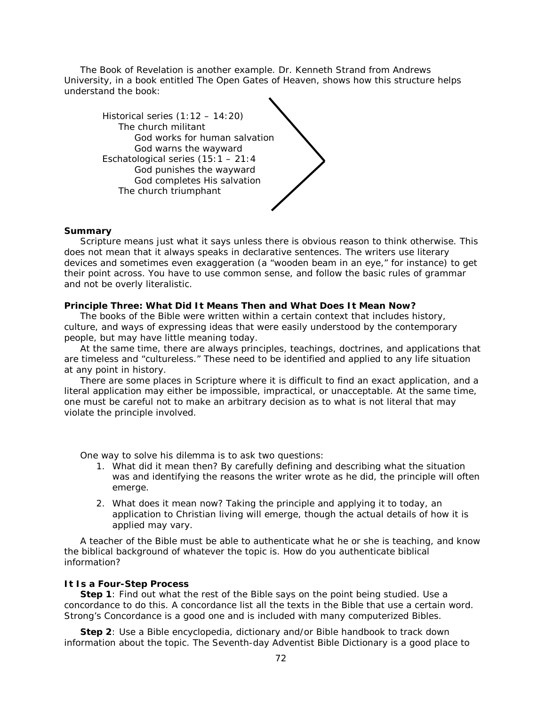The Book of Revelation is another example. Dr. Kenneth Strand from Andrews University, in a book entitled *The Open Gates of Heaven*, shows how this structure helps understand the book:



## **Summary**

Scripture means just what it says unless there is obvious reason to think otherwise. This does not mean that it always speaks in declarative sentences. The writers use literary devices and sometimes even exaggeration (a "wooden beam in an eye," for instance) to get their point across. You have to use common sense, and follow the basic rules of grammar and not be overly literalistic.

## **Principle Three: What Did It Means Then and What Does It Mean Now?**

The books of the Bible were written within a certain context that includes history, culture, and ways of expressing ideas that were easily understood by the contemporary people, but may have little meaning today.

At the same time, there are always principles, teachings, doctrines, and applications that are timeless and "cultureless." These need to be identified and applied to any life situation at any point in history.

There are some places in Scripture where it is difficult to find an exact application, and a literal application may either be impossible, impractical, or unacceptable. At the same time, one must be careful not to make an arbitrary decision as to what is not literal that may violate the principle involved.

One way to solve his dilemma is to ask two questions:

- 1. What did it mean then? By carefully defining and describing what the situation was and identifying the reasons the writer wrote as he did, the principle will often emerge.
- 2. What does it mean now? Taking the principle and applying it to today, an application to Christian living will emerge, though the actual details of how it is applied may vary.

A teacher of the Bible must be able to authenticate what he or she is teaching, and know the biblical background of whatever the topic is. How do you authenticate biblical information?

## **It Is a Four-Step Process**

**Step 1**: Find out what the rest of the Bible says on the point being studied. Use a concordance to do this. A concordance list all the texts in the Bible that use a certain word. Strong's Concordance is a good one and is included with many computerized Bibles.

**Step 2**: Use a Bible encyclopedia, dictionary and/or Bible handbook to track down information about the topic. The *Seventh-day Adventist Bible Dictionary* is a good place to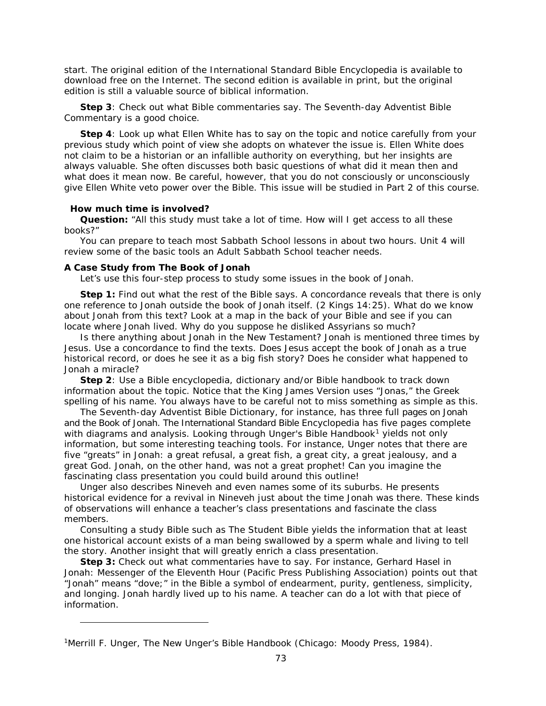start. The original edition of the *International Standard Bible Encyclopedia* is available to download free on the Internet. The second edition is available in print, but the original edition is still a valuable source of biblical information.

**Step 3**: Check out what Bible commentaries say. The *Seventh-day Adventist Bible Commentary* is a good choice.

**Step 4**: Look up what Ellen White has to say on the topic and notice carefully from your previous study which point of view she adopts on whatever the issue is. Ellen White does not claim to be a historian or an infallible authority on everything, but her insights are always valuable. She often discusses both basic questions of what did it mean then and what does it mean now. *Be careful, however, that you do not consciously or unconsciously give Ellen White veto power over the Bible*. This issue will be studied in Part 2 of this course.

#### **How much time is involved?**

l

**Question:** "All this study must take a lot of time. How will I get access to all these books?"

You can prepare to teach most Sabbath School lessons in about two hours. Unit 4 will review some of the basic tools an Adult Sabbath School teacher needs.

#### **A Case Study from The Book of Jonah**

Let's use this four-step process to study some issues in the book of Jonah.

**Step 1:** Find out what the rest of the Bible says. A concordance reveals that there is only one reference to Jonah outside the book of Jonah itself. (2 Kings 14:25). What do we know about Jonah from this text? Look at a map in the back of your Bible and see if you can locate where Jonah lived. Why do you suppose he disliked Assyrians so much?

Is there anything about Jonah in the New Testament? Jonah is mentioned three times by Jesus. Use a concordance to find the texts. Does Jesus accept the book of Jonah as a true historical record, or does he see it as a big fish story? Does he consider what happened to Jonah a miracle?

**Step 2**: Use a Bible encyclopedia, dictionary and/or Bible handbook to track down information about the topic. Notice that the King James Version uses "Jonas," the Greek spelling of his name. You always have to be careful not to miss something as simple as this.

The *Seventh-day Adventist Bible Dictionary,* for instance, has three full pages on Jonah and the Book of Jonah. The *International Standard Bible Encyclopedia* has five pages complete with diagrams and analysis. Looking through *Unger's Bible Handbook[1](#page-72-0)* yields not only information, but some interesting teaching tools. For instance, Unger notes that there are five "greats" in Jonah: a great refusal, a great fish, a great city, a great jealousy, and a great God. Jonah, on the other hand, was not a great prophet! Can you imagine the fascinating class presentation you could build around this outline!

Unger also describes Nineveh and even names some of its suburbs. He presents historical evidence for a revival in Nineveh just about the time Jonah was there. These kinds of observations will enhance a teacher's class presentations and fascinate the class members.

Consulting a study Bible such as *The Student Bible* yields the information that at least one historical account exists of a man being swallowed by a sperm whale and living to tell the story. Another insight that will greatly enrich a class presentation.

**Step 3:** Check out what commentaries have to say. For instance, Gerhard Hasel in *Jonah: Messenger of the Eleventh Hour* (Pacific Press Publishing Association) points out that "Jonah" means "dove;" in the Bible a symbol of endearment, purity, gentleness, simplicity, and longing. Jonah hardly lived up to his name. A teacher can do a lot with that piece of information.

<span id="page-72-0"></span><sup>1</sup>Merrill F. Unger, *The New Unger's Bible Handbook* (Chicago: Moody Press, 1984).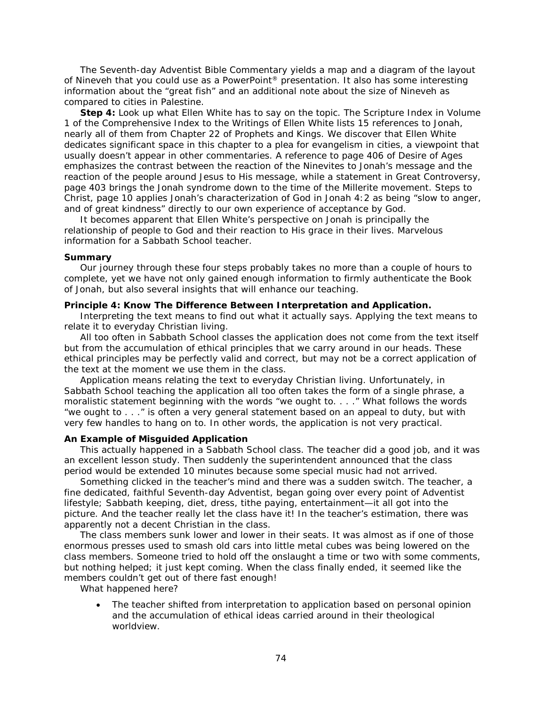The *Seventh-day Adventist Bible Commentary* yields a map and a diagram of the layout of Nineveh that you could use as a PowerPoint® presentation. It also has some interesting information about the "great fish" and an additional note about the size of Nineveh as compared to cities in Palestine.

**Step 4:** Look up what Ellen White has to say on the topic. The Scripture Index in Volume 1 of the *Comprehensive Index to the Writings of Ellen White* lists 15 references to Jonah, nearly all of them from Chapter 22 of *Prophets and Kings*. We discover that Ellen White dedicates significant space in this chapter to a plea for evangelism in cities, a viewpoint that usually doesn't appear in other commentaries. A reference to page 406 of *Desire of Ages* emphasizes the contrast between the reaction of the Ninevites to Jonah's message and the reaction of the people around Jesus to His message, while a statement in *Great Controversy*, page 403 brings the Jonah syndrome down to the time of the Millerite movement. *Steps to Christ*, page 10 applies Jonah's characterization of God in Jonah 4:2 as being "slow to anger, and of great kindness" directly to our own experience of acceptance by God.

It becomes apparent that Ellen White's perspective on Jonah is principally the relationship of people to God and their reaction to His grace in their lives. Marvelous information for a Sabbath School teacher.

#### **Summary**

Our journey through these four steps probably takes no more than a couple of hours to complete, yet we have not only gained enough information to firmly authenticate the Book of Jonah, but also several insights that will enhance our teaching.

## **Principle 4: Know The Difference Between Interpretation and Application.**

Interpreting the text means to find out what it actually says. Applying the text means to relate it to everyday Christian living.

All too often in Sabbath School classes the application does not come from the text itself but from the accumulation of ethical principles that we carry around in our heads. These ethical principles may be perfectly valid and correct, but may not be a correct application of the text at the moment we use them in the class.

*Application means relating the text to everyday Christian living*. Unfortunately, in Sabbath School teaching the application all too often takes the form of a single phrase, a moralistic statement beginning with the words "we ought to. . . ." What follows the words "we ought to . . ." is often a very general statement based on an appeal to duty, but with very few handles to hang on to. In other words, the application is not very practical.

## **An Example of Misguided Application**

This actually happened in a Sabbath School class. The teacher did a good job, and it was an excellent lesson study. Then suddenly the superintendent announced that the class period would be extended 10 minutes because some special music had not arrived.

Something clicked in the teacher's mind and there was a sudden switch. The teacher, a fine dedicated, faithful Seventh-day Adventist, began going over every point of Adventist lifestyle; Sabbath keeping, diet, dress, tithe paying, entertainment—it all got into the picture. And the teacher really let the class have it! In the teacher's estimation, there was apparently not a decent Christian in the class.

The class members sunk lower and lower in their seats. It was almost as if one of those enormous presses used to smash old cars into little metal cubes was being lowered on the class members. Someone tried to hold off the onslaught a time or two with some comments, but nothing helped; it just kept coming. When the class finally ended, it seemed like the members couldn't get out of there fast enough!

What happened here?

• The teacher shifted from interpretation to application based on personal opinion and the accumulation of ethical ideas carried around in their theological worldview.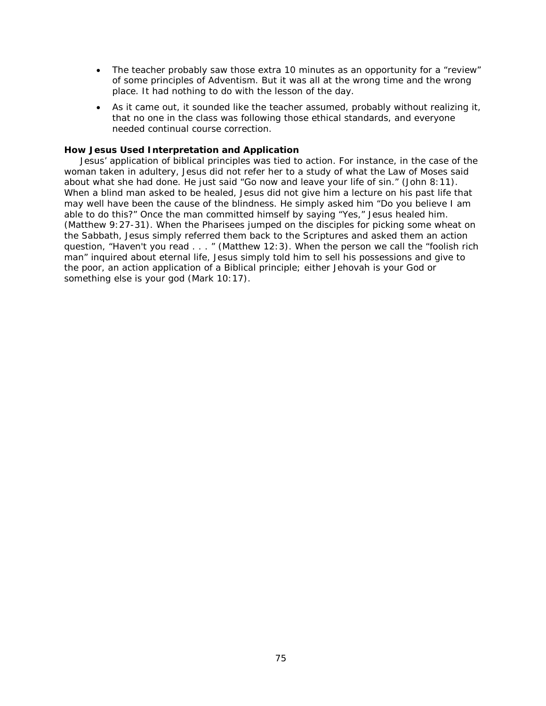- The teacher probably saw those extra 10 minutes as an opportunity for a "review" of some principles of Adventism. But it was all at the wrong time and the wrong place. It had nothing to do with the lesson of the day.
- As it came out, it sounded like the teacher assumed, probably without realizing it, that no one in the class was following those ethical standards, and everyone needed continual course correction.

## **How Jesus Used Interpretation and Application**

Jesus' application of biblical principles was tied to action. For instance, in the case of the woman taken in adultery, Jesus did not refer her to a study of what the Law of Moses said about what she had done. He just said "Go now and leave your life of sin." (John 8:11). When a blind man asked to be healed, Jesus did not give him a lecture on his past life that may well have been the cause of the blindness. He simply asked him "Do you believe I am able to do this?" Once the man committed himself by saying "Yes," Jesus healed him. (Matthew 9:27-31). When the Pharisees jumped on the disciples for picking some wheat on the Sabbath, Jesus simply referred them back to the Scriptures and asked them an action question, "Haven't you read . . . " (Matthew 12:3). When the person we call the "foolish rich man" inquired about eternal life, Jesus simply told him to sell his possessions and give to the poor, an action application of a Biblical principle; either Jehovah is your God or something else is your god (Mark 10:17).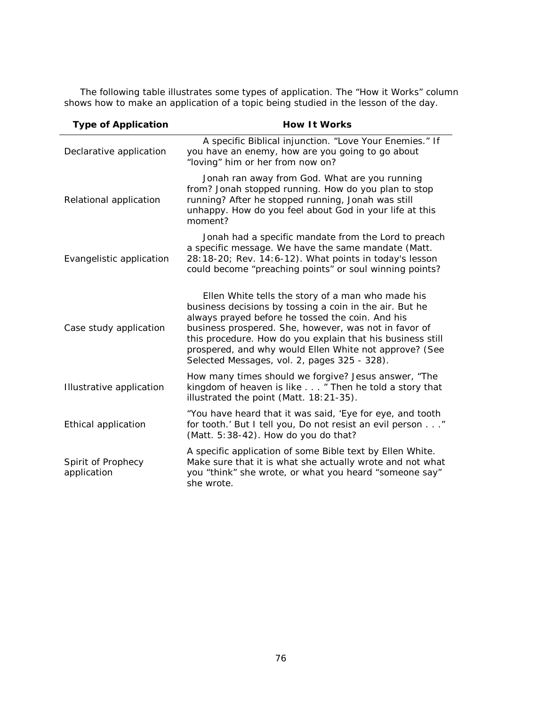The following table illustrates some types of application. The "How it Works" column shows how to make an application of a topic being studied in the lesson of the day.

| <b>Type of Application</b>        | <b>How It Works</b>                                                                                                                                                                                                                                                                                                                                                                               |
|-----------------------------------|---------------------------------------------------------------------------------------------------------------------------------------------------------------------------------------------------------------------------------------------------------------------------------------------------------------------------------------------------------------------------------------------------|
| Declarative application           | A specific Biblical injunction. "Love Your Enemies." If<br>you have an enemy, how are you going to go about<br>"loving" him or her from now on?                                                                                                                                                                                                                                                   |
| Relational application            | Jonah ran away from God. What are you running<br>from? Jonah stopped running. How do you plan to stop<br>running? After he stopped running, Jonah was still<br>unhappy. How do you feel about God in your life at this<br>moment?                                                                                                                                                                 |
| Evangelistic application          | Jonah had a specific mandate from the Lord to preach<br>a specific message. We have the same mandate (Matt.<br>28:18-20; Rev. 14:6-12). What points in today's lesson<br>could become "preaching points" or soul winning points?                                                                                                                                                                  |
| Case study application            | Ellen White tells the story of a man who made his<br>business decisions by tossing a coin in the air. But he<br>always prayed before he tossed the coin. And his<br>business prospered. She, however, was not in favor of<br>this procedure. How do you explain that his business still<br>prospered, and why would Ellen White not approve? (See<br>Selected Messages, vol. 2, pages 325 - 328). |
| Illustrative application          | How many times should we forgive? Jesus answer, "The<br>kingdom of heaven is like " Then he told a story that<br>illustrated the point (Matt. 18:21-35).                                                                                                                                                                                                                                          |
| Ethical application               | "You have heard that it was said, 'Eye for eye, and tooth<br>for tooth.' But I tell you, Do not resist an evil person"<br>(Matt. 5:38-42). How do you do that?                                                                                                                                                                                                                                    |
| Spirit of Prophecy<br>application | A specific application of some Bible text by Ellen White.<br>Make sure that it is what she actually wrote and not what<br>you "think" she wrote, or what you heard "someone say"<br>she wrote.                                                                                                                                                                                                    |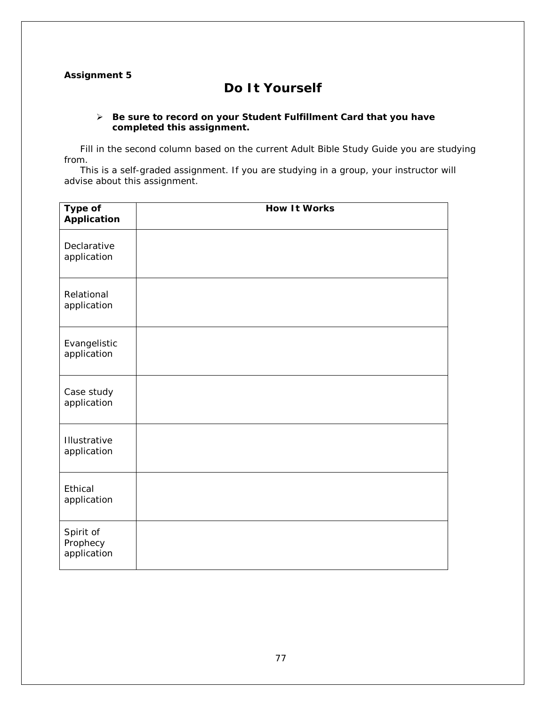## **Assignment 5**

# **Do It Yourself**

## *Be sure to record on your* **Student Fulfillment Card** *that you have completed this assignment.*

Fill in the second column based on the current *Adult Bible Study Guide* you are studying from.

This is a self-graded assignment. If you are studying in a group, your instructor will advise about this assignment.

| Type of<br><b>Application</b>        | <b>How It Works</b> |
|--------------------------------------|---------------------|
| Declarative<br>application           |                     |
| Relational<br>application            |                     |
| Evangelistic<br>application          |                     |
| Case study<br>application            |                     |
| Illustrative<br>application          |                     |
| Ethical<br>application               |                     |
| Spirit of<br>Prophecy<br>application |                     |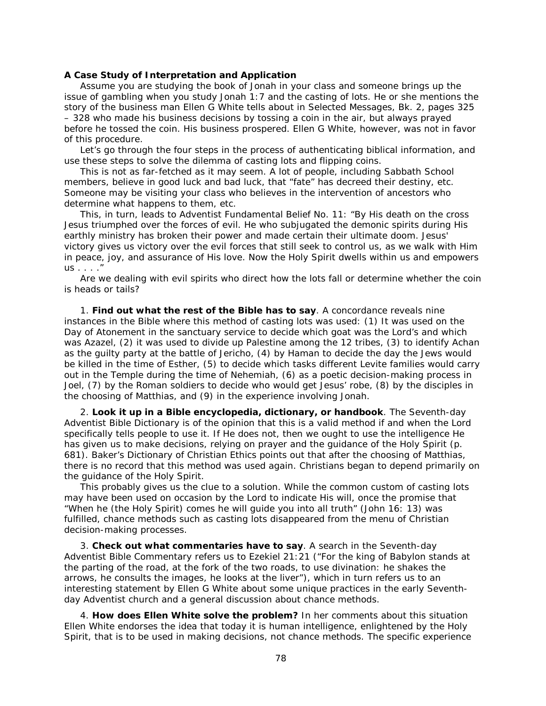#### **A Case Study of Interpretation and Application**

Assume you are studying the book of Jonah in your class and someone brings up the issue of gambling when you study Jonah 1:7 and the casting of lots. He or she mentions the story of the business man Ellen G White tells about in *Selected Messages*, Bk. 2, pages 325 – 328 who made his business decisions by tossing a coin in the air, but always prayed before he tossed the coin. His business prospered. Ellen G White, however, was not in favor of this procedure.

Let's go through the four steps in the process of authenticating biblical information, and use these steps to solve the dilemma of casting lots and flipping coins.

This is not as far-fetched as it may seem. A lot of people, including Sabbath School members, believe in good luck and bad luck, that "fate" has decreed their destiny, etc. Someone may be visiting your class who believes in the intervention of ancestors who determine what happens to them, etc.

This, in turn, leads to Adventist *Fundamental Belief* No. 11: "By His death on the cross Jesus triumphed over the forces of evil. He who subjugated the demonic spirits during His earthly ministry has broken their power and made certain their ultimate doom. Jesus' victory gives us victory over the evil forces that still seek to control us, as we walk with Him in peace, joy, and assurance of His love. Now the Holy Spirit dwells within us and empowers us . . . ."

Are we dealing with evil spirits who direct how the lots fall or determine whether the coin is heads or tails?

1. **Find out what the rest of the Bible has to say**. A concordance reveals nine instances in the Bible where this method of casting lots was used: (1) It was used on the Day of Atonement in the sanctuary service to decide which goat was the Lord's and which was Azazel, (2) it was used to divide up Palestine among the 12 tribes, (3) to identify Achan as the guilty party at the battle of Jericho, (4) by Haman to decide the day the Jews would be killed in the time of Esther, (5) to decide which tasks different Levite families would carry out in the Temple during the time of Nehemiah, (6) as a poetic decision-making process in Joel, (7) by the Roman soldiers to decide who would get Jesus' robe, (8) by the disciples in the choosing of Matthias, and (9) in the experience involving Jonah.

2. **Look it up in a Bible encyclopedia, dictionary, or handbook**. The *Seventh-day Adventist Bible Dictionary* is of the opinion that this is a valid method if and when the Lord specifically tells people to use it. If He does not, then we ought to use the intelligence He has given us to make decisions, relying on prayer and the guidance of the Holy Spirit (p. 681). *Baker's Dictionary of Christian Ethics* points out that after the choosing of Matthias, there is no record that this method was used again. Christians began to depend primarily on the guidance of the Holy Spirit.

This probably gives us the clue to a solution. While the common custom of casting lots may have been used on occasion by the Lord to indicate His will, once the promise that "When he (the Holy Spirit) comes he will guide you into all truth" (John 16: 13) was fulfilled, chance methods such as casting lots disappeared from the menu of Christian decision-making processes.

3. **Check out what commentaries have to say**. A search in the *Seventh-day Adventist Bible Commentary* refers us to Ezekiel 21:21 ("For the king of Babylon stands at the parting of the road, at the fork of the two roads, to use divination: he shakes the arrows, he consults the images, he looks at the liver"), which in turn refers us to an interesting statement by Ellen G White about some unique practices in the early Seventhday Adventist church and a general discussion about chance methods.

4. **How does Ellen White solve the problem?** In her comments about this situation Ellen White endorses the idea that today it is human intelligence, enlightened by the Holy Spirit, that is to be used in making decisions, not chance methods. The specific experience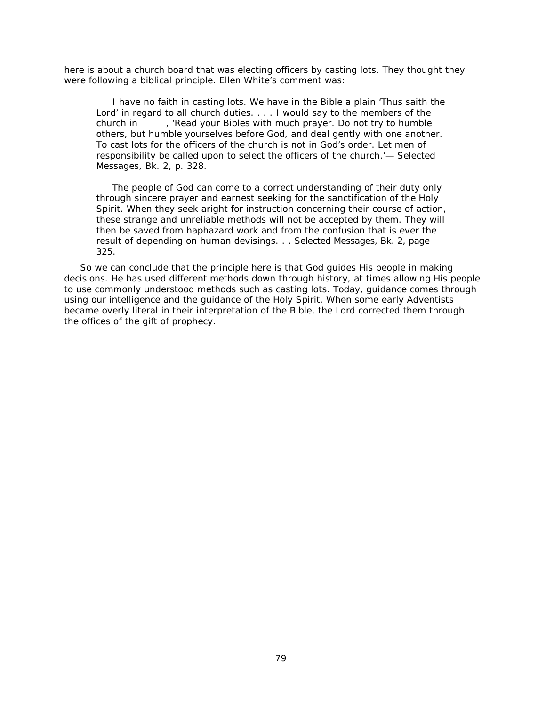here is about a church board that was electing officers by casting lots. They thought they were following a biblical principle. Ellen White's comment was:

I have no faith in casting lots. We have in the Bible a plain 'Thus saith the Lord' in regard to all church duties. . . . I would say to the members of the church in\_\_\_\_\_, 'Read your Bibles with much prayer. Do not try to humble others, but humble yourselves before God, and deal gently with one another. To cast lots for the officers of the church is not in God's order. Let men of responsibility be called upon to select the officers of the church.'— *Selected Messages*, Bk. 2, p. 328.

The people of God can come to a correct understanding of their duty only through sincere prayer and earnest seeking for the sanctification of the Holy Spirit. When they seek aright for instruction concerning their course of action, these strange and unreliable methods will not be accepted by them. They will then be saved from haphazard work and from the confusion that is ever the result *of depending on human devisings. .* . *Selected Messages*, Bk. 2, page 325.

So we can conclude that the principle here is that God guides His people in making decisions. He has used different methods down through history, at times allowing His people to use commonly understood methods such as casting lots. Today, guidance comes through using our intelligence and the guidance of the Holy Spirit. When some early Adventists became overly literal in their interpretation of the Bible, the Lord corrected them through the offices of the gift of prophecy.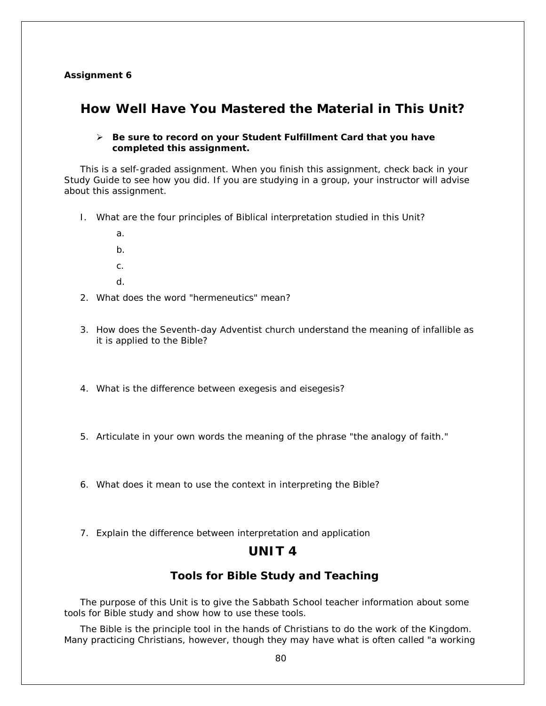## **Assignment 6**

# **How Well Have You Mastered the Material in This Unit?**

## *Be sure to record on your* **Student Fulfillment Card** *that you have completed this assignment.*

This is a self-graded assignment. When you finish this assignment, check back in your Study Guide to see how you did. If you are studying in a group, your instructor will advise about this assignment.

- I. What are the four principles of Biblical interpretation studied in this Unit?
	- a. b. c.
	- d.
- 2. What does the word "hermeneutics" mean?
- 3. How does the Seventh-day Adventist church understand the meaning of infallible as it is applied to the Bible?
- 4. What is the difference between exegesis and eisegesis?
- 5. Articulate in your own words the meaning of the phrase "the analogy of faith."

6. What does it mean to use the context in interpreting the Bible?

7. Explain the difference between interpretation and application

## **UNIT 4**

## **Tools for Bible Study and Teaching**

The purpose of this Unit is to give the Sabbath School teacher information about some tools for Bible study and show how to use these tools.

The Bible is the principle tool in the hands of Christians to do the work of the Kingdom. Many practicing Christians, however, though they may have what is often called "a working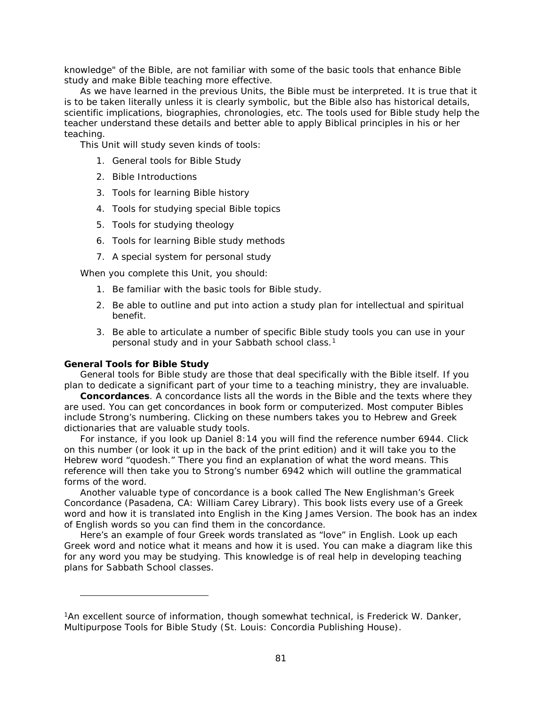knowledge" of the Bible, are not familiar with some of the basic tools that enhance Bible study and make Bible teaching more effective.

As we have learned in the previous Units, the Bible must be interpreted. It is true that it is to be taken literally unless it is clearly symbolic, but the Bible also has historical details, scientific implications, biographies, chronologies, etc. The tools used for Bible study help the teacher understand these details and better able to apply Biblical principles in his or her teaching.

This Unit will study seven kinds of tools:

- 1. General tools for Bible Study
- 2. Bible Introductions
- 3. Tools for learning Bible history
- 4. Tools for studying special Bible topics
- 5. Tools for studying theology
- 6. Tools for learning Bible study methods
- 7. A special system for personal study

When you complete this Unit, you should:

- 1. Be familiar with the basic tools for Bible study.
- 2. Be able to outline and put into action a study plan for intellectual and spiritual benefit.
- 3. Be able to articulate a number of specific Bible study tools you can use in your personal study and in your Sabbath school class.<sup>[1](#page-80-0)</sup>

#### **General Tools for Bible Study**

l

General tools for Bible study are those that deal specifically with the Bible itself. If you plan to dedicate a significant part of your time to a teaching ministry, they are invaluable.

**Concordances**. A concordance lists all the words in the Bible and the texts where they are used. You can get concordances in book form or computerized. Most computer Bibles include Strong's numbering. Clicking on these numbers takes you to Hebrew and Greek dictionaries that are valuable study tools.

For instance, if you look up Daniel 8:14 you will find the reference number 6944. Click on this number (or look it up in the back of the print edition) and it will take you to the Hebrew word "*quodesh*." There you find an explanation of what the word means. This reference will then take you to Strong's number 6942 which will outline the grammatical forms of the word.

Another valuable type of concordance is a book called *The New Englishman's Greek Concordance* (Pasadena, CA: William Carey Library). This book lists every use of a Greek word and how it is translated into English in the King James Version. The book has an index of English words so you can find them in the concordance.

Here's an example of four Greek words translated as "love" in English. Look up each Greek word and notice what it means and how it is used. You can make a diagram like this for any word you may be studying. This knowledge is of real help in developing teaching plans for Sabbath School classes.

<span id="page-80-0"></span><sup>1</sup>An excellent source of information, though somewhat technical, is Frederick W. Danker, *Multipurpose Tools for Bible Study* (St. Louis: Concordia Publishing House).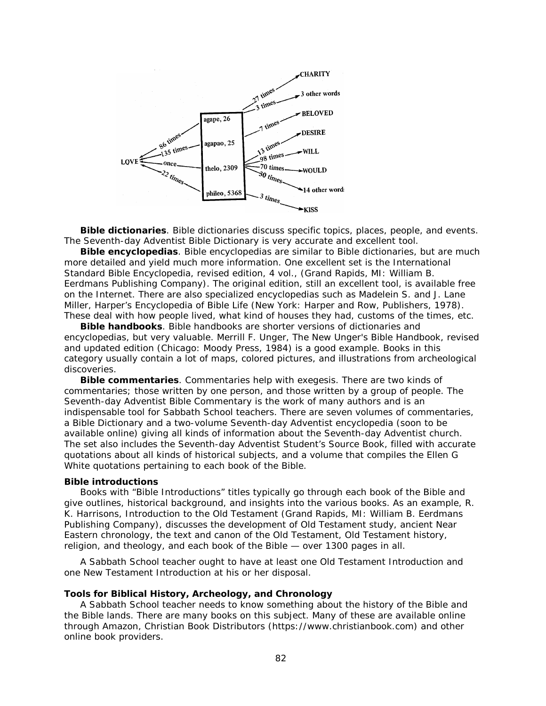

**Bible dictionaries**. Bible dictionaries discuss specific topics, places, people, and events. The *Seventh-day Adventist Bible Dictionary* is very accurate and excellent tool.

**Bible encyclopedias**. Bible encyclopedias are similar to Bible dictionaries, but are much more detailed and yield much more information. One excellent set is the *International Standard Bible Encyclopedia,* revised edition*,* 4 vol., (Grand Rapids, MI: William B. Eerdmans Publishing Company). The original edition, still an excellent tool, is available free on the Internet. There are also specialized encyclopedias such as Madelein S. and J. Lane Miller, *Harper's Encyclopedia of Bible Life* (New York: Harper and Row, Publishers, 1978). These deal with how people lived, what kind of houses they had, customs of the times, etc.

**Bible handbooks**. Bible handbooks are shorter versions of dictionaries and encyclopedias, but very valuable. Merrill F. Unger, *The New Unger's Bible Handbook*, revised and updated edition (Chicago: Moody Press, 1984) is a good example. Books in this category usually contain a lot of maps, colored pictures, and illustrations from archeological discoveries.

**Bible commentaries**. Commentaries help with exegesis. There are two kinds of commentaries; those written by one person, and those written by a group of people. The *Seventh-day Adventist Bible Commentary* is the work of many authors and is an indispensable tool for Sabbath School teachers. There are seven volumes of commentaries, a Bible Dictionary and a two-volume Seventh-day Adventist encyclopedia (soon to be available online) giving all kinds of information about the Seventh-day Adventist church. The set also includes the *Seventh-day Adventist Student's Source* Book, filled with accurate quotations about all kinds of historical subjects, and a volume that compiles the Ellen G White quotations pertaining to each book of the Bible.

#### **Bible introductions**

Books with "Bible Introductions" titles typically go through each book of the Bible and give outlines, historical background, and insights into the various books. As an example, R. K. Harrisons, *Introduction to the Old Testament* (Grand Rapids, MI: William B. Eerdmans Publishing Company), discusses the development of Old Testament study, ancient Near Eastern chronology, the text and canon of the Old Testament, Old Testament history, religion, and theology, and each book of the Bible — over 1300 pages in all.

A Sabbath School teacher ought to have at least one Old Testament Introduction and one New Testament Introduction at his or her disposal.

## **Tools for Biblical History, Archeology, and Chronology**

A Sabbath School teacher needs to know something about the history of the Bible and the Bible lands. There are many books on this subject. Many of these are available online through Amazon, Christian Book Distributors (*https://www.christianbook.com*) and other online book providers.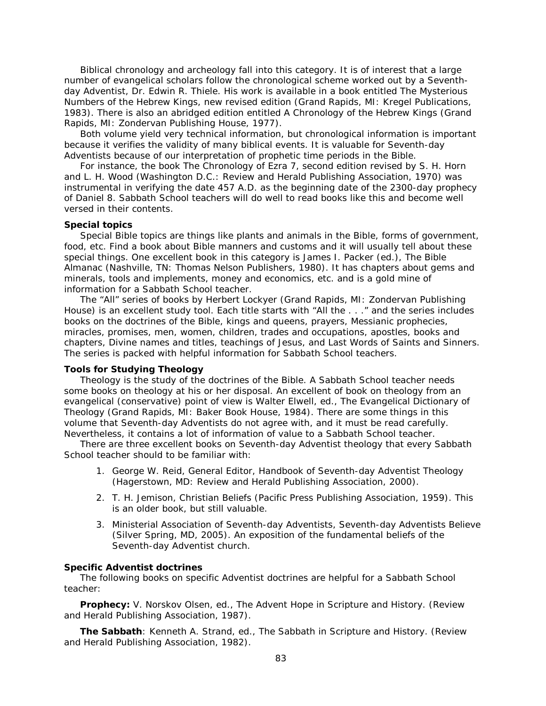Biblical chronology and archeology fall into this category. It is of interest that a large number of evangelical scholars follow the chronological scheme worked out by a Seventhday Adventist, Dr. Edwin R. Thiele. His work is available in a book entitled *The Mysterious Numbers of the Hebrew Kings*, new revised edition (Grand Rapids, MI: Kregel Publications, 1983). There is also an abridged edition entitled *A Chronology of the Hebrew Kings* (Grand Rapids, MI: Zondervan Publishing House, 1977).

Both volume yield very technical information, but chronological information is important because it verifies the validity of many biblical events. It is valuable for Seventh-day Adventists because of our interpretation of prophetic time periods in the Bible.

For instance, the book *The Chronology of Ezra 7*, second edition revised by S. H. Horn and L. H. Wood (Washington D.C.: Review and Herald Publishing Association, 1970) was instrumental in verifying the date 457 A.D. as the beginning date of the 2300-day prophecy of Daniel 8. Sabbath School teachers will do well to read books like this and become well versed in their contents.

## **Special topics**

Special Bible topics are things like plants and animals in the Bible, forms of government, food, etc. Find a book about Bible manners and customs and it will usually tell about these special things. One excellent book in this category is James I. Packer (ed.), *The Bible Almanac* (Nashville, TN: Thomas Nelson Publishers, 1980). It has chapters about gems and minerals, tools and implements, money and economics, etc. and is a gold mine of information for a Sabbath School teacher.

The "All" series of books by Herbert Lockyer (Grand Rapids, MI: Zondervan Publishing House) is an excellent study tool. Each title starts with "All the . . ." and the series includes books on the doctrines of the Bible, kings and queens, prayers, Messianic prophecies, miracles, promises, men, women, children, trades and occupations, apostles, books and chapters, Divine names and titles, teachings of Jesus, and Last Words of Saints and Sinners. The series is packed with helpful information for Sabbath School teachers.

#### **Tools for Studying Theology**

Theology is the study of the doctrines of the Bible. A Sabbath School teacher needs some books on theology at his or her disposal. An excellent of book on theology from an evangelical (conservative) point of view is Walter Elwell, ed., *The Evangelical Dictionary of Theology* (Grand Rapids, MI: Baker Book House, 1984). There are some things in this volume that Seventh-day Adventists do not agree with, and it must be read carefully. Nevertheless, it contains a lot of information of value to a Sabbath School teacher.

There are three excellent books on Seventh-day Adventist theology that every Sabbath School teacher should to be familiar with:

- 1. George W. Reid, General Editor, *Handbook of Seventh-day Adventist Theology*  (Hagerstown, MD: Review and Herald Publishing Association, 2000).
- 2. T. H. Jemison, *Christian Beliefs* (Pacific Press Publishing Association, 1959). This is an older book, but still valuable.
- 3. Ministerial Association of Seventh-day Adventists, *Seventh-day Adventists Believe* (Silver Spring, MD, 2005). An exposition of the fundamental beliefs of the Seventh-day Adventist church.

#### **Specific Adventist doctrines**

The following books on specific Adventist doctrines are helpful for a Sabbath School teacher:

**Prophecy:** V. Norskov Olsen, ed., *The Advent Hope in Scripture and History*. (Review and Herald Publishing Association, 1987).

**The Sabbath**: Kenneth A. Strand, ed., *The Sabbath in Scripture and History*. (Review and Herald Publishing Association, 1982).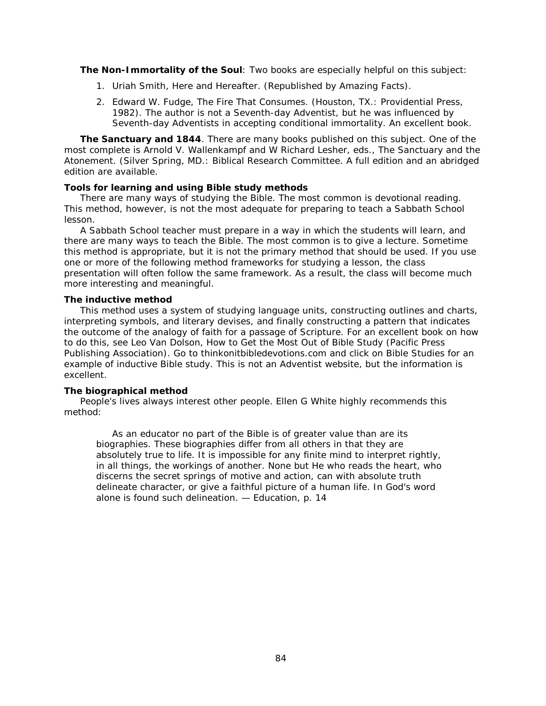**The Non-Immortality of the Soul**: Two books are especially helpful on this subject:

- 1. Uriah Smith, *Here and Hereafter*. (Republished by Amazing Facts).
- 2. Edward W. Fudge, *The Fire That Consumes*. (Houston, TX.: Providential Press, 1982). The author is not a Seventh-day Adventist, but he was influenced by Seventh-day Adventists in accepting conditional immortality. An excellent book.

**The Sanctuary and 1844**. There are many books published on this subject. One of the most complete is Arnold V. Wallenkampf and W Richard Lesher, eds., *The Sanctuary and the Atonement*. (Silver Spring, MD.: Biblical Research Committee. A full edition and an abridged edition are available.

## **Tools for learning and using Bible study methods**

There are many ways of studying the Bible. The most common is devotional reading. This method, however, is not the most adequate for preparing to teach a Sabbath School lesson.

A Sabbath School teacher must prepare in a way in which the students will learn, and there are many ways to teach the Bible. The most common is to give a lecture. Sometime this method is appropriate, but it is not the primary method that should be used. If you use one or more of the following method frameworks for studying a lesson, the class presentation will often follow the same framework. As a result, the class will become much more interesting and meaningful.

## **The inductive method**

This method uses a system of studying language units, constructing outlines and charts, interpreting symbols, and literary devises, and finally constructing a pattern that indicates the outcome of the analogy of faith for a passage of Scripture. For an excellent book on how to do this, see Leo Van Dolson, *How to Get the Most Out of Bible Study* (Pacific Press Publishing Association). Go to *thinkonitbibledevotions.com* and click on Bible Studies for an example of inductive Bible study. This is not an Adventist website, but the information is excellent.

## **The biographical method**

People's lives always interest other people. Ellen G White highly recommends this method:

As an educator no part of the Bible is of greater value than are its biographies. These biographies differ from all others in that they are absolutely true to life. It is impossible for any finite mind to interpret rightly, in all things, the workings of another. None but He who reads the heart, who discerns the secret springs of motive and action, can with absolute truth delineate character, or give a faithful picture of a human life. In God's word alone is found such delineation. — *Education*, p. 14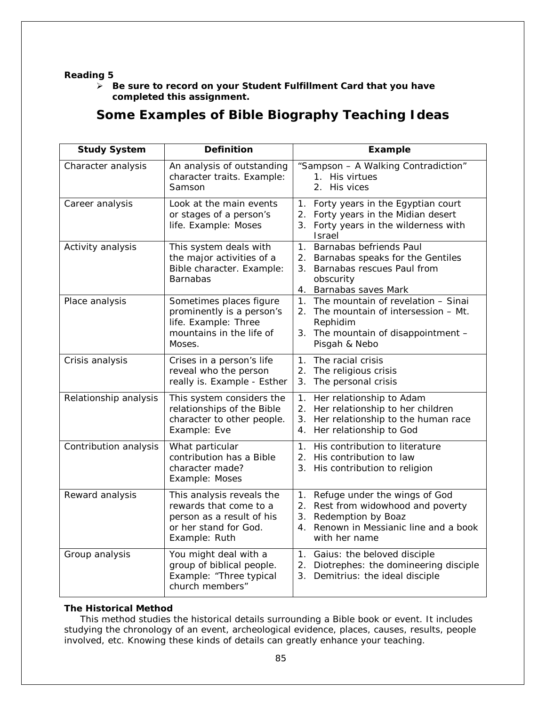## **Reading 5**

 *Be sure to record on your* **Student Fulfillment Card** *that you have completed this assignment.*

# **Some Examples of Bible Biography Teaching Ideas**

| <b>Study System</b>   | <b>Definition</b>                                                                                                          | <b>Example</b>                                                                                                                                                   |  |
|-----------------------|----------------------------------------------------------------------------------------------------------------------------|------------------------------------------------------------------------------------------------------------------------------------------------------------------|--|
| Character analysis    | An analysis of outstanding<br>character traits. Example:<br>Samson                                                         | "Sampson - A Walking Contradiction"<br>1. His virtues<br>2. His vices                                                                                            |  |
| Career analysis       | Look at the main events<br>or stages of a person's<br>life. Example: Moses                                                 | Forty years in the Egyptian court<br>1.<br>2. Forty years in the Midian desert<br>3. Forty years in the wilderness with<br>Israel                                |  |
| Activity analysis     | This system deals with<br>the major activities of a<br>Bible character. Example:<br><b>Barnabas</b>                        | 1. Barnabas befriends Paul<br>2. Barnabas speaks for the Gentiles<br>3. Barnabas rescues Paul from<br>obscurity<br>4. Barnabas saves Mark                        |  |
| Place analysis        | Sometimes places figure<br>prominently is a person's<br>life. Example: Three<br>mountains in the life of<br>Moses.         | The mountain of revelation - Sinai<br>$1_{\cdot}$<br>2. The mountain of intersession - Mt.<br>Rephidim<br>3. The mountain of disappointment -<br>Pisgah & Nebo   |  |
| Crisis analysis       | Crises in a person's life<br>reveal who the person<br>really is. Example - Esther                                          | The racial crisis<br>$1_{\cdot}$<br>2. The religious crisis<br>3. The personal crisis                                                                            |  |
| Relationship analysis | This system considers the<br>relationships of the Bible<br>character to other people.<br>Example: Eve                      | 1.<br>Her relationship to Adam<br>2. Her relationship to her children<br>Her relationship to the human race<br>3.<br>4. Her relationship to God                  |  |
| Contribution analysis | What particular<br>contribution has a Bible<br>character made?<br>Example: Moses                                           | 1. His contribution to literature<br>2. His contribution to law<br>3.<br>His contribution to religion                                                            |  |
| Reward analysis       | This analysis reveals the<br>rewards that come to a<br>person as a result of his<br>or her stand for God.<br>Example: Ruth | Refuge under the wings of God<br>1.<br>2. Rest from widowhood and poverty<br>3. Redemption by Boaz<br>Renown in Messianic line and a book<br>4.<br>with her name |  |
| Group analysis        | You might deal with a<br>group of biblical people.<br>Example: "Three typical<br>church members"                           | 1. Gaius: the beloved disciple<br>2. Diotrephes: the domineering disciple<br>Demitrius: the ideal disciple<br>3.                                                 |  |

## **The Historical Method**

This method studies the historical details surrounding a Bible book or event. It includes studying the chronology of an event, archeological evidence, places, causes, results, people involved, etc. Knowing these kinds of details can greatly enhance your teaching.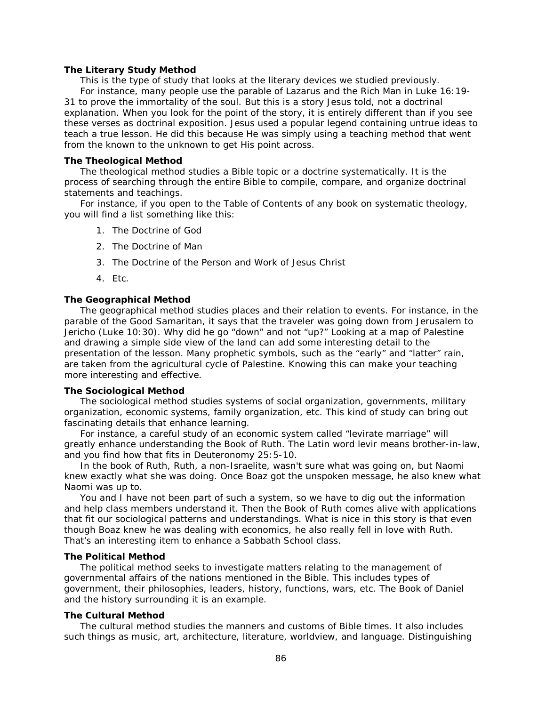#### **The Literary Study Method**

This is the type of study that looks at the literary devices we studied previously. For instance, many people use the parable of Lazarus and the Rich Man in Luke 16:19- 31 to prove the immortality of the soul. But this is a story Jesus told, not a doctrinal explanation. When you look for the point of the story, it is entirely different than if you see these verses as doctrinal exposition. Jesus used a popular legend containing untrue ideas to teach a true lesson. He did this because He was simply using a teaching method that went from the known to the unknown to get His point across.

#### **The Theological Method**

The theological method studies a Bible topic or a doctrine systematically. It is the process of searching through the entire Bible to compile, compare, and organize doctrinal statements and teachings.

For instance, if you open to the Table of Contents of any book on systematic theology, you will find a list something like this:

- 1. The Doctrine of God
- 2. The Doctrine of Man
- 3. The Doctrine of the Person and Work of Jesus Christ
- 4. Etc.

### **The Geographical Method**

The geographical method studies places and their relation to events. For instance, in the parable of the Good Samaritan, it says that the traveler was going *down* from Jerusalem to Jericho (Luke 10:30). Why did he go "down" and not "up?" Looking at a map of Palestine and drawing a simple side view of the land can add some interesting detail to the presentation of the lesson. Many prophetic symbols, such as the "early" and "latter" rain, are taken from the agricultural cycle of Palestine. Knowing this can make your teaching more interesting and effective.

#### **The Sociological Method**

The sociological method studies systems of social organization, governments, military organization, economic systems, family organization, etc. This kind of study can bring out fascinating details that enhance learning.

For instance, a careful study of an economic system called "levirate marriage" will greatly enhance understanding the Book of Ruth. The Latin word *levir* means brother-in-law, and you find how that fits in Deuteronomy 25:5-10.

In the book of Ruth, Ruth, a non-Israelite, wasn't sure what was going on, but Naomi knew exactly what she was doing. Once Boaz got the unspoken message, he also knew what Naomi was up to.

You and I have not been part of such a system, so we have to dig out the information and help class members understand it. Then the Book of Ruth comes alive with applications that fit our sociological patterns and understandings. What is nice in this story is that even though Boaz knew he was dealing with economics, he also really fell in love with Ruth. That's an interesting item to enhance a Sabbath School class.

#### **The Political Method**

The political method seeks to investigate matters relating to the management of governmental affairs of the nations mentioned in the Bible. This includes types of government, their philosophies, leaders, history, functions, wars, etc. The Book of Daniel and the history surrounding it is an example.

#### **The Cultural Method**

The cultural method studies the manners and customs of Bible times. It also includes such things as music, art, architecture, literature, worldview, and language. Distinguishing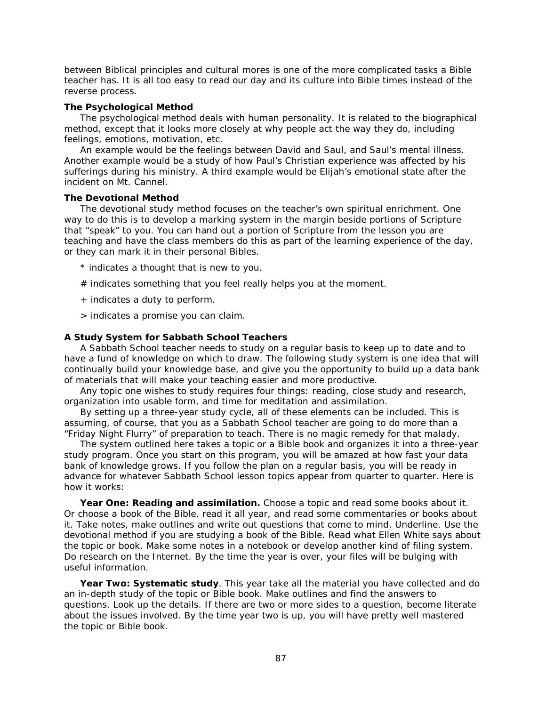between Biblical principles and cultural mores is one of the more complicated tasks a Bible teacher has. It is all too easy to read our day and its culture into Bible times instead of the reverse process.

## **The Psychological Method**

The psychological method deals with human personality. It is related to the biographical method, except that it looks more closely at why people act the way they do, including feelings, emotions, motivation, etc.

An example would be the feelings between David and Saul, and Saul's mental illness. Another example would be a study of how Paul's Christian experience was affected by his sufferings during his ministry. A third example would be Elijah's emotional state after the incident on Mt. Cannel.

### **The Devotional Method**

The devotional study method focuses on the teacher's own spiritual enrichment. One way to do this is to develop a marking system in the margin beside portions of Scripture that "speak" to you. You can hand out a portion of Scripture from the lesson you are teaching and have the class members do this as part of the learning experience of the day, or they can mark it in their personal Bibles.

- \* indicates a thought that is new to you.
- $#$  indicates something that you feel really helps you at the moment.
- + indicates a duty to perform.
- > indicates a promise you can claim.

### **A Study System for Sabbath School Teachers**

A Sabbath School teacher needs to study on a regular basis to keep up to date and to have a fund of knowledge on which to draw. The following study system is one idea that will continually build your knowledge base, and give you the opportunity to build up a data bank of materials that will make your teaching easier and more productive.

Any topic one wishes to study requires four things: reading, close study and research, organization into usable form, and time for meditation and assimilation.

By setting up a three-year study cycle, all of these elements can be included. This is assuming, of course, that you as a Sabbath School teacher are going to do more than a "Friday Night Flurry" of preparation to teach. There is no magic remedy for that malady.

The system outlined here takes a topic or a Bible book and organizes it into a three-year study program. Once you start on this program, you will be amazed at how fast your data bank of knowledge grows. If you follow the plan on a regular basis, you will be ready in advance for whatever Sabbath School lesson topics appear from quarter to quarter. Here is how it works:

**Year One: Reading and assimilation.** Choose a topic and read some books about it. Or choose a book of the Bible, read it all year, and read some commentaries or books about it. Take notes, make outlines and write out questions that come to mind. Underline. Use the devotional method if you are studying a book of the Bible. Read what Ellen White says about the topic or book. Make some notes in a notebook or develop another kind of filing system. Do research on the Internet. By the time the year is over, your files will be bulging with useful information.

**Year Two: Systematic study**. This year take all the material you have collected and do an in-depth study of the topic or Bible book. Make outlines and find the answers to questions. Look up the details. If there are two or more sides to a question, become literate about the issues involved. By the time year two is up, you will have pretty well mastered the topic or Bible book.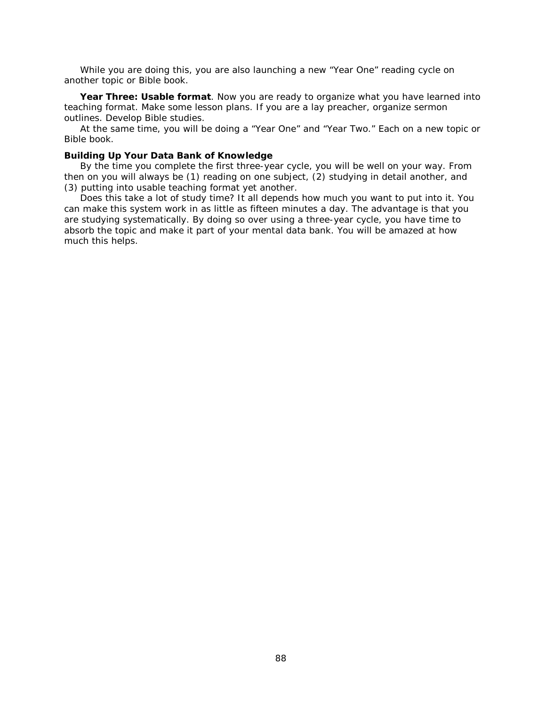While you are doing this, you are also launching a new "Year One" reading cycle on another topic or Bible book.

**Year Three: Usable format**. Now you are ready to organize what you have learned into teaching format. Make some lesson plans. If you are a lay preacher, organize sermon outlines. Develop Bible studies.

At the same time, you will be doing a "Year One" and "Year Two." Each on a new topic or Bible book.

#### **Building Up Your Data Bank of Knowledge**

By the time you complete the first three-year cycle, you will be well on your way. From then on you will always be (1) reading on one subject, (2) studying in detail another, and (3) putting into usable teaching format yet another.

Does this take a lot of study time? It all depends how much you want to put into it. You can make this system work in as little as fifteen minutes a day. *The advantage is that you are studying systematically*. By doing so over using a three-year cycle, you have time to absorb the topic and make it part of your mental data bank. You will be amazed at how much this helps.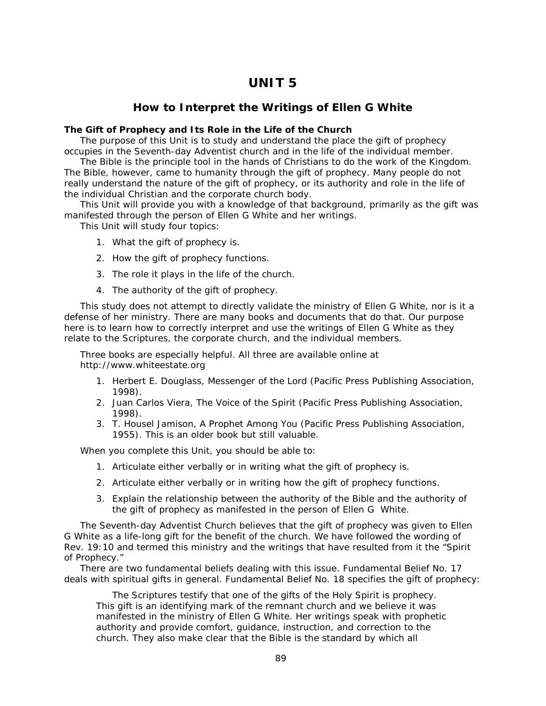# **UNIT 5**

## **How to Interpret the Writings of Ellen G White**

## **The Gift of Prophecy and Its Role in the Life of the Church**

The purpose of this Unit is to study and understand the place the gift of prophecy occupies in the Seventh-day Adventist church and in the life of the individual member.

The Bible is the principle tool in the hands of Christians to do the work of the Kingdom. The Bible, however, came to humanity through the gift of prophecy. Many people do not really understand the nature of the gift of prophecy, or its authority and role in the life of the individual Christian and the corporate church body.

This Unit will provide you with a knowledge of that background, primarily as the gift was manifested through the person of Ellen G White and her writings.

This Unit will study four topics:

- 1. What the gift of prophecy is.
- 2. How the gift of prophecy functions.
- 3. The role it plays in the life of the church.
- 4. The authority of the gift of prophecy.

This study does not attempt to directly validate the ministry of Ellen G White, nor is it a defense of her ministry. There are many books and documents that do that. Our purpose here is to learn how to correctly interpret and use the writings of Ellen G White as they relate to the Scriptures, the corporate church, and the individual members.

Three books are especially helpful. All three are available online at *http://www.whiteestate.org*

- 1. Herbert E. Douglass, *Messenger of the Lord* (Pacific Press Publishing Association, 1998).
- 2. Juan Carlos Viera, *The Voice of the Spirit* (Pacific Press Publishing Association, 1998).
- 3. T. Housel Jamison, *A Prophet Among You* (Pacific Press Publishing Association, 1955). This is an older book but still valuable.

When you complete this Unit, you should be able to:

- 1. Articulate either verbally or in writing what the gift of prophecy is.
- 2. Articulate either verbally or in writing how the gift of prophecy functions.
- 3. Explain the relationship between the authority of the Bible and the authority of the gift of prophecy as manifested in the person of Ellen G White.

The Seventh-day Adventist Church believes that the gift of prophecy was given to Ellen G White as a life-long gift for the benefit of the church. We have followed the wording of Rev. 19:10 and termed this ministry and the writings that have resulted from it the "Spirit of Prophecy."

There are two fundamental beliefs dealing with this issue. Fundamental Belief No. 17 deals with spiritual gifts in general. Fundamental Belief No. 18 specifies the gift of prophecy:

The Scriptures testify that one of the gifts of the Holy Spirit is prophecy. This gift is an identifying mark of the remnant church and we believe it was manifested in the ministry of Ellen G White. Her writings speak with prophetic authority and provide comfort, guidance, instruction, and correction to the church. They also make clear that the Bible is the standard by which all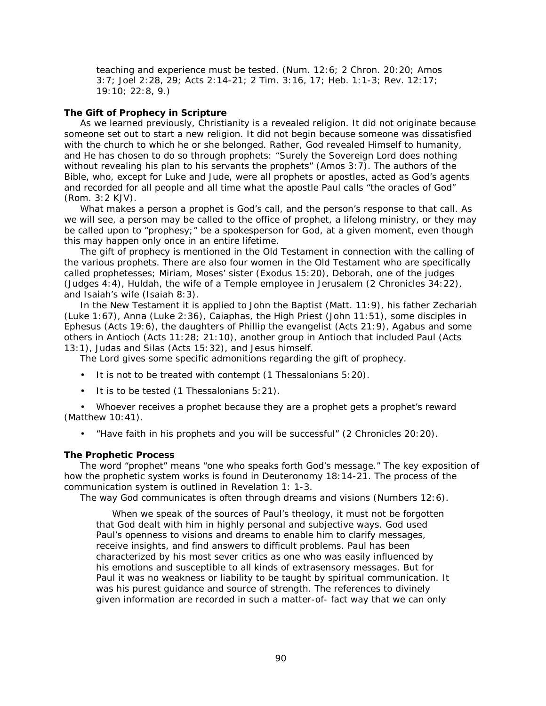teaching and experience must be tested. (Num. 12:6; 2 Chron. 20:20; Amos 3:7; Joel 2:28, 29; Acts 2:14-21; 2 Tim. 3:16, 17; Heb. 1:1-3; Rev. 12:17; 19:10; 22:8, 9.)

## **The Gift of Prophecy in Scripture**

As we learned previously, Christianity is a revealed religion. It did not originate because someone set out to start a new religion. It did not begin because someone was dissatisfied with the church to which he or she belonged. Rather, God revealed Himself to humanity, and He has chosen to do so through prophets: "Surely the Sovereign Lord does nothing without revealing his plan to his servants the prophets" (Amos 3:7). The authors of the Bible, who, except for Luke and Jude, were all prophets or apostles, acted as God's agents and recorded for all people and all time what the apostle Paul calls "the oracles of God" (Rom. 3:2 KJV).

What makes a person a prophet is God's call, and the person's response to that call. As we will see, a person may be called to the office of prophet, a lifelong ministry, or they may be called upon to "prophesy;" be a spokesperson for God, at a given moment, even though this may happen only once in an entire lifetime.

The gift of prophecy is mentioned in the Old Testament in connection with the calling of the various prophets. There are also four women in the Old Testament who are specifically called prophetesses; Miriam, Moses' sister (Exodus 15:20), Deborah, one of the judges (Judges 4:4), Huldah, the wife of a Temple employee in Jerusalem (2 Chronicles 34:22), and Isaiah's wife (Isaiah 8:3).

In the New Testament it is applied to John the Baptist (Matt. 11:9), his father Zechariah (Luke 1:67), Anna (Luke 2:36), Caiaphas, the High Priest (John 11:51), some disciples in Ephesus (Acts 19:6), the daughters of Phillip the evangelist (Acts 21:9), Agabus and some others in Antioch (Acts 11:28; 21:10), another group in Antioch that included Paul (Acts 13:1), Judas and Silas (Acts 15:32), and Jesus himself.

The Lord gives some specific admonitions regarding the gift of prophecy.

- It is not to be treated with contempt (1 Thessalonians 5:20).
- It is to be tested (1 Thessalonians 5:21).

• Whoever receives a prophet because they are a prophet gets a prophet's reward (Matthew 10:41).

• "Have faith in his prophets and you will be successful" (2 Chronicles 20:20).

### **The Prophetic Process**

The word "prophet" means "one who speaks forth God's message." The key exposition of how the prophetic system works is found in Deuteronomy 18:14-21. The process of the communication system is outlined in Revelation 1: 1-3.

The way God communicates is often through dreams and visions (Numbers 12:6).

When we speak of the sources of Paul's theology, it must not be forgotten that God dealt with him in highly personal and subjective ways. God used Paul's openness to visions and dreams to enable him to clarify messages, receive insights, and find answers to difficult problems. Paul has been characterized by his most sever critics as one who was easily influenced by his emotions and susceptible to all kinds of extrasensory messages. But for Paul it was no weakness or liability to be taught by spiritual communication. It was his purest guidance and source of strength. The references to divinely given information are recorded in such a matter-of- fact way that we can only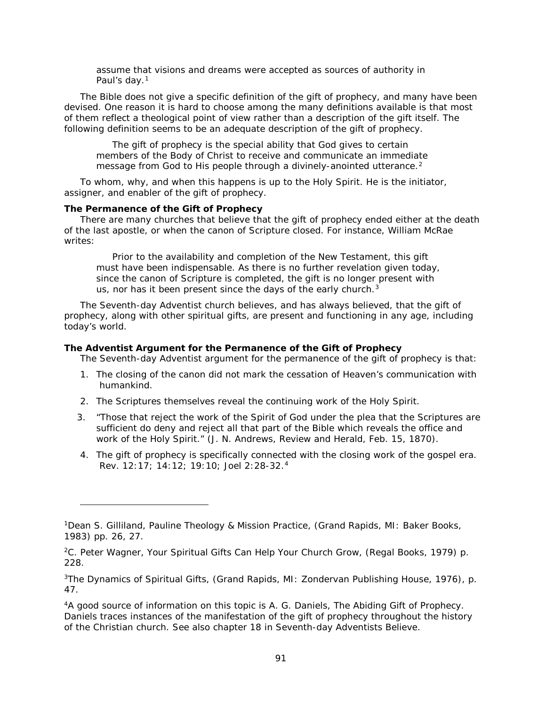assume that visions and dreams were accepted as sources of authority in Paul's day.<sup>[1](#page-90-0)</sup>

The Bible does not give a specific definition of the gift of prophecy, and many have been devised. One reason it is hard to choose among the many definitions available is that most of them reflect a theological point of view rather than a description of the gift itself. The following definition seems to be an adequate description of the gift of prophecy.

The gift of prophecy is the special ability that God gives to certain members of the Body of Christ to receive and communicate an immediate message from God to His people through a divinely-anointed utterance.<sup>[2](#page-90-1)</sup>

To whom, why, and when this happens is up to the Holy Spirit. He is the initiator, assigner, and enabler of the gift of prophecy.

## **The Permanence of the Gift of Prophecy**

l

There are many churches that believe that the gift of prophecy ended either at the death of the last apostle, or when the canon of Scripture closed. For instance, William McRae writes:

Prior to the availability and completion of the New Testament, this gift must have been indispensable. As there is no further revelation given today, since the canon of Scripture is completed, the gift is no longer present with us, nor has it been present since the days of the early church.<sup>[3](#page-90-2)</sup>

The Seventh-day Adventist church believes, and has always believed, that the gift of prophecy, along with other spiritual gifts, are present and functioning in any age, including today's world.

### **The Adventist Argument for the Permanence of the Gift of Prophecy**

The Seventh-day Adventist argument for the permanence of the gift of prophecy is that:

- 1. The closing of the canon did not mark the cessation of Heaven's communication with humankind.
- 2. The Scriptures themselves reveal the continuing work of the Holy Spirit.
- 3. "Those that reject the work of the Spirit of God under the plea that the Scriptures are sufficient do deny and reject all that part of the Bible which reveals the office and work of the Holy Spirit." (J. N. Andrews, *Review and Herald*, Feb. 15, 1870).
- 4. The gift of prophecy is specifically connected with the closing work of the gospel era. Rev. 12:17; 14:12; 19:10; Joel 2:28-32.[4](#page-90-3)

<span id="page-90-0"></span><sup>1</sup>Dean S. Gilliland, *Pauline Theology & Mission Practice*, (Grand Rapids, MI: Baker Books, 1983) pp. 26, 27.

<span id="page-90-1"></span><sup>2</sup>C. Peter Wagner, *Your Spiritual Gifts Can Help Your Church Grow*, (Regal Books, 1979) p. 228.

<span id="page-90-2"></span><sup>3</sup>*The Dynamics of Spiritual Gifts*, (Grand Rapids, MI: Zondervan Publishing House, 1976), p. 47.

<span id="page-90-3"></span><sup>4</sup>A good source of information on this topic is A. G. Daniels, *The Abiding Gift of Prophecy*. Daniels traces instances of the manifestation of the gift of prophecy throughout the history of the Christian church. See also chapter 18 in *Seventh-day Adventists Believe.*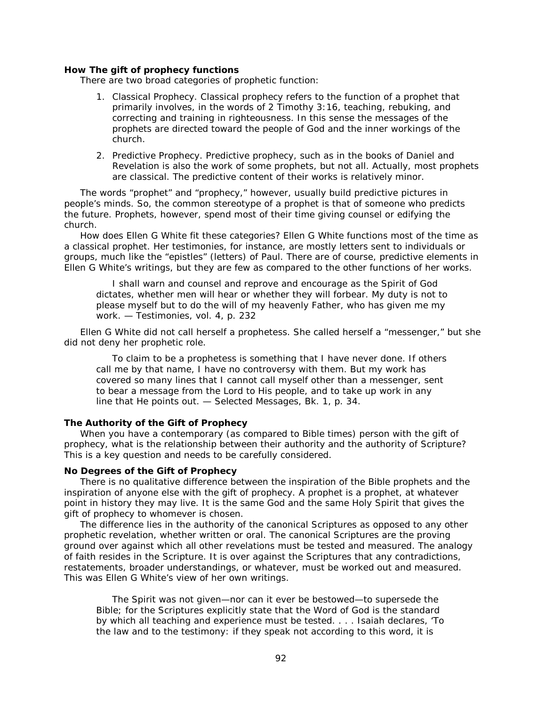#### **How The gift of prophecy functions**

There are two broad categories of prophetic function:

- 1. *Classical Prophecy*. Classical prophecy refers to the function of a prophet that primarily involves, in the words of 2 Timothy 3:16, teaching, rebuking, and correcting and training in righteousness. In this sense the messages of the prophets are directed toward the people of God and the inner workings of the church.
- 2. *Predictive Prophecy*. Predictive prophecy, such as in the books of Daniel and Revelation is also the work of some prophets, but not all. Actually, most prophets are classical. The predictive content of their works is relatively minor.

The words "prophet" and "prophecy," however, usually build predictive pictures in people's minds. So, the common stereotype of a prophet is that of someone who predicts the future. Prophets, however, spend most of their time giving counsel or edifying the church.

How does Ellen G White fit these categories? Ellen G White functions most of the time as a classical prophet. Her testimonies, for instance, are mostly letters sent to individuals or groups, much like the "epistles" (letters) of Paul. There are of course, predictive elements in Ellen G White's writings, but they are few as compared to the other functions of her works.

I shall warn and counsel and reprove and encourage as the Spirit of God dictates, whether men will hear or whether they will forbear. My duty is not to please myself but to do the will of my heavenly Father, who has given me my work. — *Testimonies*, vol. 4, p. 232

Ellen G White did not call herself a prophetess. She called herself a "messenger," but she did not deny her prophetic role.

To claim to be a prophetess is something that I have never done. If others call me by that name, I have no controversy with them. But my work has covered so many lines that I cannot call myself other than a messenger, sent to bear a message from the Lord to His people, and to take up work in any line that He points out. — *Selected Messages*, Bk. 1, p. 34.

## **The Authority of the Gift of Prophecy**

When you have a contemporary (as compared to Bible times) person with the gift of prophecy, what is the relationship between their authority and the authority of Scripture? This is a key question and needs to be carefully considered.

#### **No Degrees of the Gift of Prophecy**

There is no qualitative difference between the inspiration of the Bible prophets and the inspiration of anyone else with the gift of prophecy. A prophet is a prophet, at whatever point in history they may live. It is the same God and the same Holy Spirit that gives the gift of prophecy to whomever is chosen.

The difference lies in the authority of the canonical Scriptures as opposed to any other prophetic revelation, whether written or oral. *The canonical Scriptures are the proving ground over against which all other revelations must be tested and measured*. The analogy of faith resides in the Scripture. It is over against the Scriptures that any contradictions, restatements, broader understandings, or whatever, must be worked out and measured. This was Ellen G White's view of her own writings.

The Spirit was not given—nor can it ever be bestowed—to supersede the Bible; for the Scriptures explicitly state that the Word of God is the standard by which all teaching and experience must be tested. . . . Isaiah declares, 'To the law and to the testimony: if they speak not according to this word, it is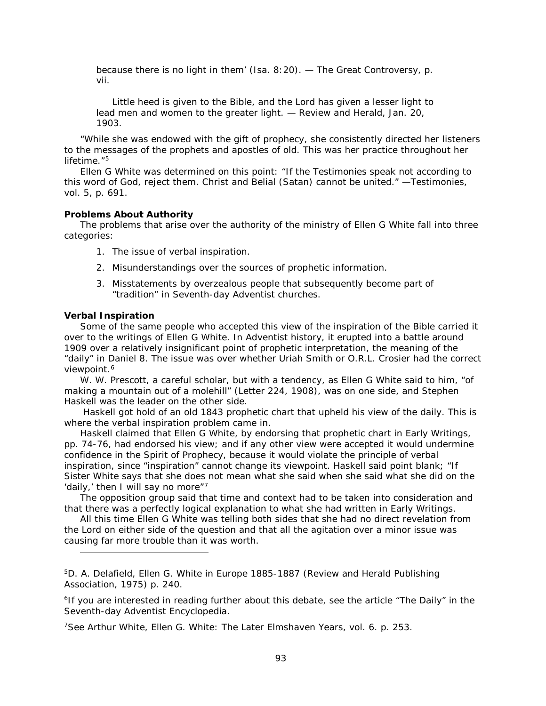because there is no light in them' (Isa. 8:20). — *The Great Controversy*, p. vii.

Little heed is given to the Bible, and the Lord has given a lesser light to lead men and women to the greater light. — *Review and Herald*, Jan. 20, 1903.

"While she was endowed with the gift of prophecy, she consistently directed her listeners to the messages of the prophets and apostles of old. This was her practice throughout her lifetime $15$  $15$ 

Ellen G White was determined on this point: "If the Testimonies speak not according to this word of God, reject them. Christ and Belial (Satan) cannot be united." —*Testimonies*, vol. 5, p. 691.

#### **Problems About Authority**

The problems that arise over the authority of the ministry of Ellen G White fall into three categories:

- 1. The issue of verbal inspiration.
- 2. Misunderstandings over the sources of prophetic information.
- 3. Misstatements by overzealous people that subsequently become part of "tradition" in Seventh-day Adventist churches.

## **Verbal Inspiration**

l

Some of the same people who accepted this view of the inspiration of the Bible carried it over to the writings of Ellen G White. In Adventist history, it erupted into a battle around 1909 over a relatively insignificant point of prophetic interpretation, the meaning of the "daily" in Daniel 8. The issue was over whether Uriah Smith or O.R.L. Crosier had the correct viewpoint.<sup>[6](#page-92-1)</sup>

W. W. Prescott, a careful scholar, but with a tendency, as Ellen G White said to him, "of making a mountain out of a molehill" (Letter 224, 1908), was on one side, and Stephen Haskell was the leader on the other side.

Haskell got hold of an old 1843 prophetic chart that upheld his view of the daily. This is where the verbal inspiration problem came in.

Haskell claimed that Ellen G White, by endorsing that prophetic chart in *Early Writings,* pp. 74-76, had endorsed his view; and if any other view were accepted it would undermine confidence in the Spirit of Prophecy, because it would violate the principle of verbal inspiration, since "inspiration" cannot change its viewpoint. Haskell said point blank; "If Sister White says that she does not mean what she said when she said what she did on the 'daily,' then I will say no more"<sup>[7](#page-92-2)</sup>

The opposition group said that time and context had to be taken into consideration and that there was a perfectly logical explanation to what she had written in *Early Writings*.

All this time Ellen G White was telling both sides that she had no direct revelation from the Lord on either side of the question and that all the agitation over a minor issue was causing far more trouble than it was worth.

<span id="page-92-2"></span>7See Arthur White, *Ellen G. White: The Later Elmshaven Years*, vol. 6. p. 253.

<span id="page-92-0"></span><sup>5</sup>D. A. Delafield, *Ellen G. White in Europe 1885-1887* (Review and Herald Publishing Association, 1975) p. 240.

<span id="page-92-1"></span><sup>6</sup>If you are interested in reading further about this debate, see the article "The Daily" *in the Seventh-day Adventist Encyclopedia*.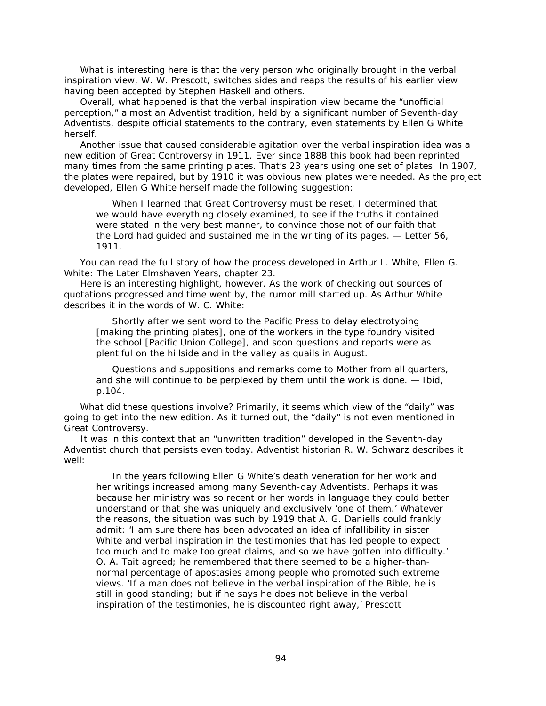What is interesting here is that the very person who originally brought in the verbal inspiration view, W. W. Prescott, switches sides and reaps the results of his earlier view having been accepted by Stephen Haskell and others.

Overall, what happened is that the verbal inspiration view became the "unofficial perception," almost an Adventist tradition, held by a significant number of Seventh-day Adventists, despite official statements to the contrary, even statements by Ellen G White herself.

Another issue that caused considerable agitation over the verbal inspiration idea was a new edition of *Great Controversy* in 1911. Ever since 1888 this book had been reprinted many times from the same printing plates. That's 23 years using one set of plates. In 1907, the plates were repaired, but by 1910 it was obvious new plates were needed. As the project developed, Ellen G White herself made the following suggestion:

When I learned that *Great Controversy* must be reset, I determined that we would have everything closely examined, to see if the truths it contained were stated in the very best manner, to convince those not of our faith that the Lord had guided and sustained me in the writing of its pages. — Letter 56, 1911.

You can read the full story of how the process developed in Arthur L. White, *Ellen G. White: The Later Elmshaven Years*, chapter 23.

Here is an interesting highlight, however. As the work of checking out sources of quotations progressed and time went by, the rumor mill started up. As Arthur White describes it in the words of W. C. White:

Shortly after we sent word to the Pacific Press to delay electrotyping [making the printing plates], one of the workers in the type foundry visited the school [Pacific Union College], and soon questions and reports were as plentiful on the hillside and in the valley as quails in August.

Questions and suppositions and remarks come to Mother from all quarters, and she will continue to be perplexed by them until the work is done. — Ibid, p.104.

What did these questions involve? Primarily, it seems which view of the "daily" was going to get into the new edition. As it turned out, the "daily" is not even mentioned in *Great Controversy*.

It was in this context that an "unwritten tradition" developed in the Seventh-day Adventist church that persists even today. Adventist historian R. W. Schwarz describes it well:

In the years following Ellen G White's death veneration for her work and her writings increased among many Seventh-day Adventists. Perhaps it was because her ministry was so recent or her words in language they could better understand or that she was uniquely and exclusively 'one of them.' Whatever the reasons, the situation was such by 1919 that A. G. Daniells could frankly admit: 'I am sure there has been advocated an idea of infallibility in sister White and verbal inspiration in the testimonies that has led people to expect too much and to make too great claims, and so we have gotten into difficulty.' O. A. Tait agreed; he remembered that there seemed to be a higher-thannormal percentage of apostasies among people who promoted such extreme views. 'If a man does not believe in the verbal inspiration of the Bible, he is still in good standing; but if he says he does not believe in the verbal inspiration of the testimonies, he is discounted right away,' Prescott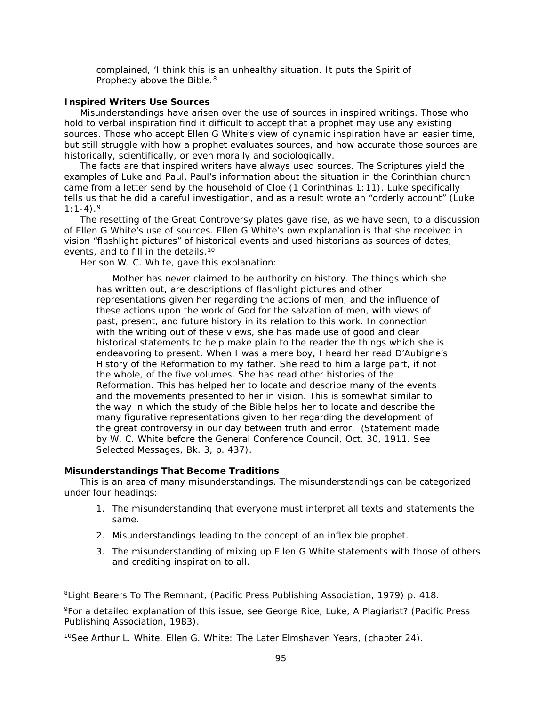complained, 'I think this is an unhealthy situation. It puts the Spirit of Prophecy above the Bible.<sup>[8](#page-94-0)</sup>

## **Inspired Writers Use Sources**

Misunderstandings have arisen over the use of sources in inspired writings. Those who hold to verbal inspiration find it difficult to accept that a prophet may use any existing sources. Those who accept Ellen G White's view of dynamic inspiration have an easier time, but still struggle with how a prophet evaluates sources, and how accurate those sources are historically, scientifically, or even morally and sociologically.

The facts are that inspired writers have always used sources. The Scriptures yield the examples of Luke and Paul. Paul's information about the situation in the Corinthian church came from a letter send by the household of Cloe (1 Corinthinas 1:11). Luke specifically tells us that he did a careful investigation, and as a result wrote an "orderly account" (Luke  $1:1-4$ ).<sup>[9](#page-94-1)</sup>

The resetting of the *Great Controversy* plates gave rise, as we have seen, to a discussion of Ellen G White's use of sources. Ellen G White's own explanation is that she received in vision "flashlight pictures" of historical events and used historians as sources of dates, events, and to fill in the details.<sup>[10](#page-94-2)</sup>

Her son W. C. White, gave this explanation:

Mother has never claimed to be authority on history. The things which she has written out, are descriptions of flashlight pictures and other representations given her regarding the actions of men, and the influence of these actions upon the work of God for the salvation of men, with views of past, present, and future history in its relation to this work. In connection with the writing out of these views, she has made use of good and clear historical statements to help make plain to the reader the things which she is endeavoring to present. When I was a mere boy, I heard her read D'Aubigne's *History of the Reformation* to my father. She read to him a large part, if not the whole, of the five volumes. She has read other histories of the Reformation. This has helped her to locate and describe many of the events and the movements presented to her in vision. This is somewhat similar to the way in which the study of the Bible helps her to locate and describe the many figurative representations given to her regarding the development of the great controversy in our day between truth and error. (Statement made by W. C. White before the General Conference Council, Oct. 30, 1911. See *Selected Messages*, Bk. 3, p. 437).

## **Misunderstandings That Become Traditions**

l

This is an area of many misunderstandings. The misunderstandings can be categorized under four headings:

- 1. The misunderstanding that everyone must interpret all texts and statements the same.
- 2. Misunderstandings leading to the concept of an inflexible prophet.
- 3. The misunderstanding of mixing up Ellen G White statements with those of others and crediting inspiration to all.

<span id="page-94-0"></span><sup>8</sup>*Light Bearers To The Remnant*, (Pacific Press Publishing Association, 1979) p. 418.

<span id="page-94-1"></span><sup>9</sup>For a detailed explanation of this issue, see George Rice, *Luke, A Plagiarist?* (Pacific Press Publishing Association, 1983).

<span id="page-94-2"></span><sup>10</sup>See Arthur L. White, *Ellen G. White: The Later Elmshaven Years*, (chapter 24).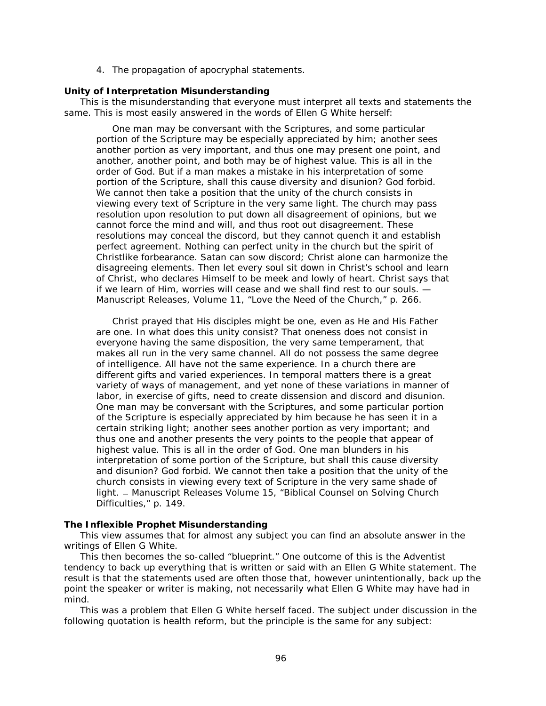4. The propagation of apocryphal statements.

## **Unity of Interpretation Misunderstanding**

This is the misunderstanding that everyone must interpret all texts and statements the same. This is most easily answered in the words of Ellen G White herself:

One man may be conversant with the Scriptures, and some particular portion of the Scripture may be especially appreciated by him; another sees another portion as very important, and thus one may present one point, and another, another point, and both may be of highest value. This is all in the order of God. But if a man makes a mistake in his interpretation of some portion of the Scripture, shall this cause diversity and disunion? God forbid. We cannot then take a position that the unity of the church consists in viewing every text of Scripture in the very same light. The church may pass resolution upon resolution to put down all disagreement of opinions, but we cannot force the mind and will, and thus root out disagreement. These resolutions may conceal the discord, but they cannot quench it and establish perfect agreement. Nothing can perfect unity in the church but the spirit of Christlike forbearance. Satan can sow discord; Christ alone can harmonize the disagreeing elements. Then let every soul sit down in Christ's school and learn of Christ, who declares Himself to be meek and lowly of heart. Christ says that if we learn of Him, worries will cease and we shall find rest to our souls. — *Manuscript Releases*, Volume 11, "Love the Need of the Church," p. 266.

Christ prayed that His disciples might be one, even as He and His Father are one. In what does this unity consist? That oneness does not consist in everyone having the same disposition, the very same temperament, that makes all run in the very same channel. All do not possess the same degree of intelligence. All have not the same experience. In a church there are different gifts and varied experiences. In temporal matters there is a great variety of ways of management, and yet none of these variations in manner of labor, in exercise of gifts, need to create dissension and discord and disunion. One man may be conversant with the Scriptures, and some particular portion of the Scripture is especially appreciated by him because he has seen it in a certain striking light; another sees another portion as very important; and thus one and another presents the very points to the people that appear of highest value. This is all in the order of God. One man blunders in his interpretation of some portion of the Scripture, but shall this cause diversity and disunion? God forbid. We cannot then take a position that the unity of the church consists in viewing every text of Scripture in the very same shade of light. ̶ *Manuscript Releases* Volume 15, "Biblical Counsel on Solving Church Difficulties," p. 149.

## **The Inflexible Prophet Misunderstanding**

This view assumes that for almost any subject you can find an absolute answer in the writings of Ellen G White.

This then becomes the so-called "blueprint." One outcome of this is the Adventist tendency to back up everything that is written or said with an Ellen G White statement. The result is that the statements used are often those that, however unintentionally, back up the point the speaker or writer is making, not necessarily what Ellen G White may have had in mind.

This was a problem that Ellen G White herself faced. The subject under discussion in the following quotation is health reform, but the principle is the same for any subject: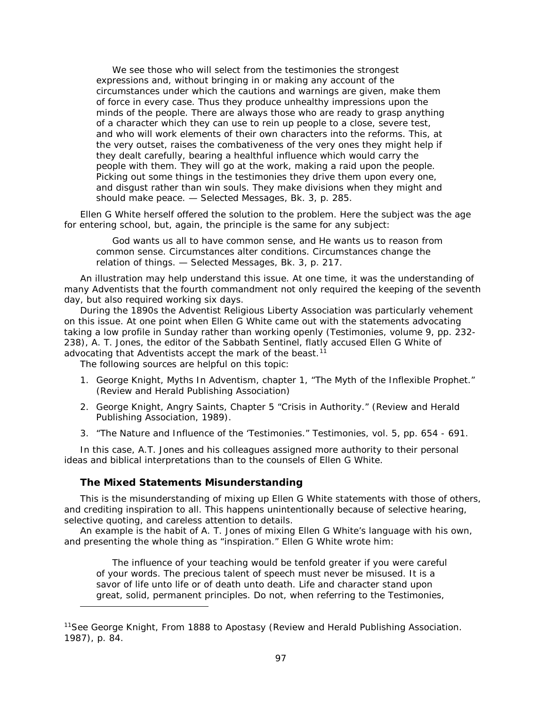We see those who will select from the testimonies the strongest expressions and, without bringing in or making any account of the circumstances under which the cautions and warnings are given, make them of force in every case. Thus they produce unhealthy impressions upon the minds of the people. There are always those who are ready to grasp anything of a character which they can use to rein up people to a close, severe test, and who will work elements of their own characters into the reforms. This, at the very outset, raises the combativeness of the very ones they might help if they dealt carefully, bearing a healthful influence which would carry the people with them. They will go at the work, making a raid upon the people. Picking out some things in the testimonies they drive them upon every one, and disgust rather than win souls. They make divisions when they might and should make peace. — *Selected Messages*, Bk. 3, p. 285.

Ellen G White herself offered the solution to the problem. Here the subject was the age for entering school, but, again, the principle is the same for any subject:

God wants us all to have common sense, and He wants us to reason from common sense. Circumstances alter conditions. Circumstances change the relation of things. — *Selected Messages*, Bk. 3, p. 217.

An illustration may help understand this issue. At one time, it was the understanding of many Adventists that the fourth commandment not only required the keeping of the seventh day, but also required working six days.

During the 1890s the Adventist Religious Liberty Association was particularly vehement on this issue. At one point when Ellen G White came out with the statements advocating taking a low profile in Sunday rather than working openly (*Testimonies*, volume 9, pp. 232- 238), A. T. Jones, the editor of the *Sabbath Sentinel*, flatly accused Ellen G White of advocating that Adventists accept the mark of the beast.<sup>[11](#page-96-0)</sup>

The following sources are helpful on this topic:

- 1. George Knight, *Myths In Adventism*, chapter 1, "The Myth of the Inflexible Prophet." (Review and Herald Publishing Association)
- 2. George Knight, *Angry Saints*, Chapter 5 "Crisis in Authority." (Review and Herald Publishing Association, 1989).
- 3. "The Nature and Influence of the 'Testimonies." *Testimonies*, vol. 5, pp. 654 691.

In this case, A.T. Jones and his colleagues assigned more authority to their personal ideas and biblical interpretations than to the counsels of Ellen G White.

## **The Mixed Statements Misunderstanding**

l

This is the misunderstanding of mixing up Ellen G White statements with those of others, and crediting inspiration to all. This happens unintentionally because of selective hearing, selective quoting, and careless attention to details.

An example is the habit of A. T. Jones of mixing Ellen G White's language with his own, and presenting the whole thing as "inspiration." Ellen G White wrote him:

The influence of your teaching would be tenfold greater if you were careful of your words. The precious talent of speech must never be misused. It is a savor of life unto life or of death unto death. Life and character stand upon great, solid, permanent principles. Do not, when referring to the *Testimonies*,

<span id="page-96-0"></span><sup>11</sup>See George Knight, *From 1888 to Apostasy* (Review and Herald Publishing Association. 1987), p. 84.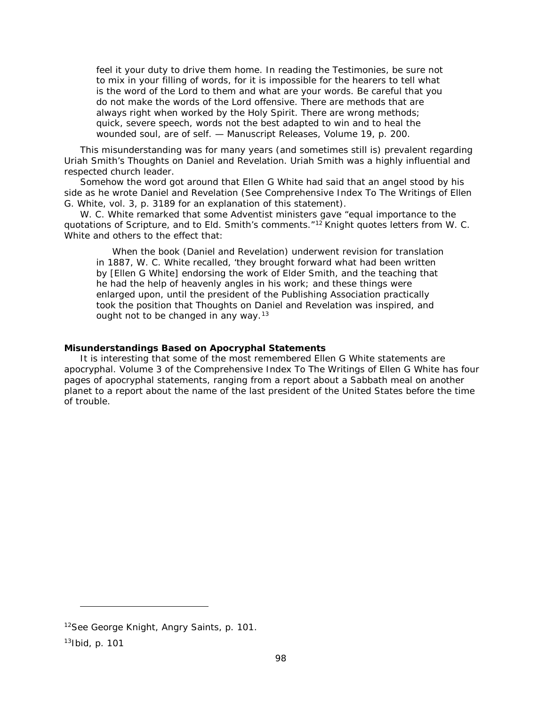feel it your duty to drive them home. In reading the *Testimonies*, be sure not to mix in your filling of words, for it is impossible for the hearers to tell what is the word of the Lord to them and what are your words. Be careful that you do not make the words of the Lord offensive. There are methods that are always right when worked by the Holy Spirit. There are wrong methods; quick, severe speech, words not the best adapted to win and to heal the wounded soul, are of self. — *Manuscript Releases*, Volume 19, p. 200.

This misunderstanding was for many years (and sometimes still is) prevalent regarding Uriah Smith's *Thoughts on Daniel and Revelation*. Uriah Smith was a highly influential and respected church leader.

Somehow the word got around that Ellen G White had said that an angel stood by his side as he wrote *Daniel and Revelation* (See *Comprehensive Index To The Writings of Ellen G. White*, vol. 3, p. 3189 for an explanation of this statement).

W. C. White remarked that some Adventist ministers gave "equal importance to the quotations of Scripture, and to Eld. Smith's comments."<sup>[12](#page-97-0)</sup> Knight quotes letters from W. C. White and others to the effect that:

When the book (*Daniel and Revelation*) underwent revision for translation in 1887, W. C. White recalled, 'they brought forward what had been written by [Ellen G White] endorsing the work of Elder Smith, and the teaching that he had the help of heavenly angles in his work; and these things were enlarged upon, until the president of the Publishing Association practically took the position that *Thoughts on Daniel and Revelation* was inspired, and ought not to be changed in any way.<sup>[13](#page-97-1)</sup>

## **Misunderstandings Based on Apocryphal Statements**

It is interesting that some of the most remembered Ellen G White statements are apocryphal. Volume 3 of the *Comprehensive Index To The Writings of Ellen G White* has four pages of apocryphal statements, ranging from a report about a Sabbath meal on another planet to a report about the name of the last president of the United States before the time of trouble.

l

<span id="page-97-0"></span><sup>12</sup>See George Knight, *Angry Saints*, p. 101.

<span id="page-97-1"></span><sup>13</sup>Ibid, p. 101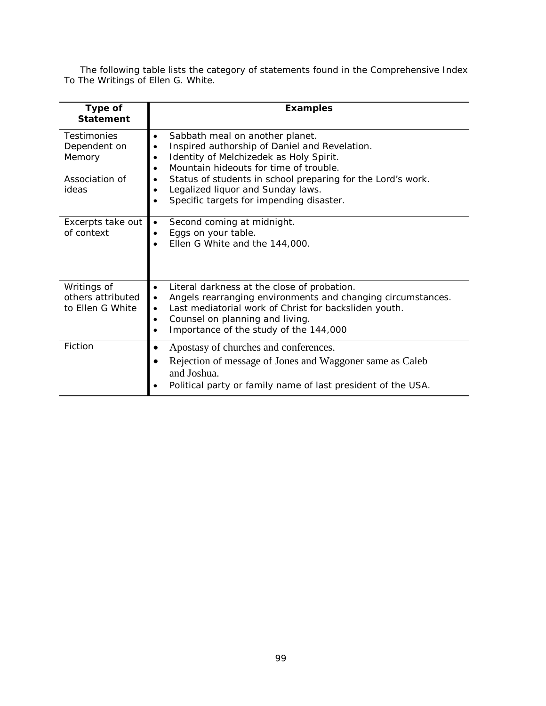The following table lists the category of statements found in the *Comprehensive Index To The Writings of Ellen G. White*.

| Type of<br><b>Statement</b>                          | <b>Examples</b>                                                                                                                                                                                                                                                                              |
|------------------------------------------------------|----------------------------------------------------------------------------------------------------------------------------------------------------------------------------------------------------------------------------------------------------------------------------------------------|
| <b>Testimonies</b><br>Dependent on<br>Memory         | Sabbath meal on another planet.<br>$\bullet$<br>Inspired authorship of Daniel and Revelation.<br>Identity of Melchizedek as Holy Spirit.<br>Mountain hideouts for time of trouble.                                                                                                           |
| Association of<br>ideas                              | Status of students in school preparing for the Lord's work.<br>$\bullet$<br>Legalized liquor and Sunday laws.<br>Specific targets for impending disaster.                                                                                                                                    |
| Excerpts take out<br>of context                      | Second coming at midnight.<br>$\bullet$<br>Eggs on your table.<br>Ellen G White and the 144,000.                                                                                                                                                                                             |
| Writings of<br>others attributed<br>to Ellen G White | Literal darkness at the close of probation.<br>$\bullet$<br>Angels rearranging environments and changing circumstances.<br>$\bullet$<br>Last mediatorial work of Christ for backsliden youth.<br>$\bullet$<br>Counsel on planning and living.<br>٠<br>Importance of the study of the 144,000 |
| Fiction                                              | Apostasy of churches and conferences.<br>$\bullet$<br>Rejection of message of Jones and Waggoner same as Caleb<br>and Joshua.<br>Political party or family name of last president of the USA.                                                                                                |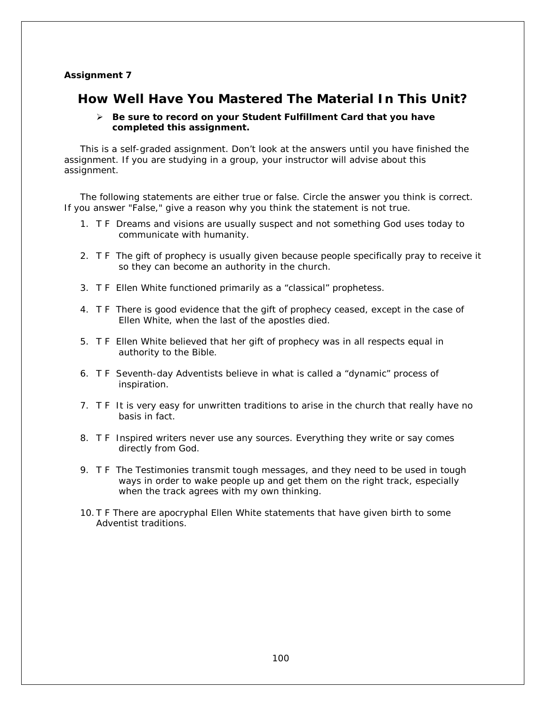## **Assignment 7**

# **How Well Have You Mastered The Material In This Unit?**

## *Be sure to record on your* **Student Fulfillment Card** *that you have completed this assignment.*

This is a self-graded assignment. Don't look at the answers until you have finished the assignment. If you are studying in a group, your instructor will advise about this assignment.

The following statements are either true or false. Circle the answer you think is correct. If you answer "False," give a reason why you think the statement is not true.

- 1. T F Dreams and visions are usually suspect and not something God uses today to communicate with humanity.
- 2. T F The gift of prophecy is usually given because people specifically pray to receive it so they can become an authority in the church.
- 3. T F Ellen White functioned primarily as a "classical" prophetess.
- 4. T F There is good evidence that the gift of prophecy ceased, except in the case of Ellen White, when the last of the apostles died.
- 5. T F Ellen White believed that her gift of prophecy was in all respects equal in authority to the Bible.
- 6. T F Seventh-day Adventists believe in what is called a "dynamic" process of inspiration.
- 7. T F It is very easy for unwritten traditions to arise in the church that really have no basis in fact.
- 8. T F Inspired writers never use any sources. Everything they write or say comes directly from God.
- 9. T F The *Testimonies* transmit tough messages, and they need to be used in tough ways in order to wake people up and get them on the right track, especially when the track agrees with my own thinking.
- 10. T F There are apocryphal Ellen White statements that have given birth to some Adventist traditions.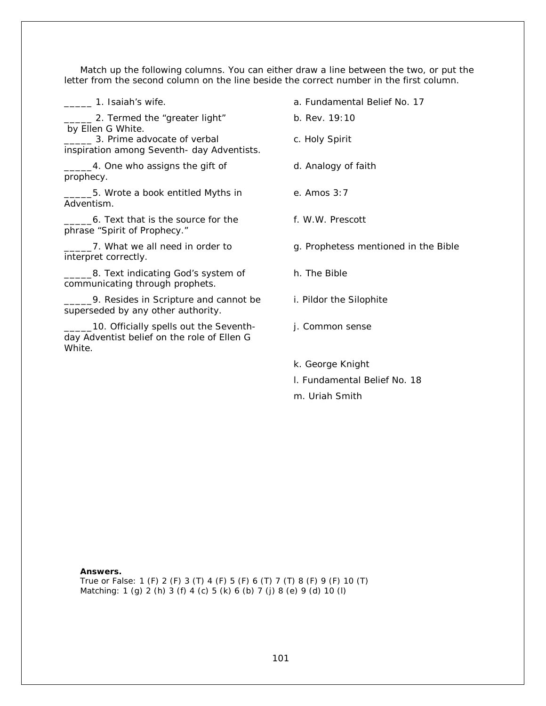Match up the following columns. You can either draw a line between the two, or put the letter from the second column on the line beside the correct number in the first column.

\_\_\_\_\_ 1. Isaiah's wife. a. Fundamental Belief No. 17 **2.** Termed the "greater light" by Ellen G White. b. Rev. 19:10 \_\_\_\_\_ 3. Prime advocate of verbal inspiration among Seventh- day Adventists. c. Holy Spirit 1. One who assigns the gift of prophecy. d. Analogy of faith \_\_\_\_\_5. Wrote a book entitled *Myths in Adventism.* e. Amos 3:7 \_\_\_\_\_6. Text that is the source for the phrase "Spirit of Prophecy." f. W.W. Prescott 7. What we all need in order to interpret correctly. 8. Text indicating God's system of communicating through prophets. h. The Bible

\_\_\_\_\_9. Resides in Scripture and cannot be superseded by any other authority.

10. Officially spells out the Seventhday Adventist belief on the role of Ellen G White.

- g. Prophetess mentioned in the Bible
- i. Pildor the Silophite
- j. Common sense
- k. George Knight
- l. Fundamental Belief No. 18
- m. Uriah Smith

#### **Answers.**

True or False: 1 (F) 2 (F) 3 (T) 4 (F) 5 (F) 6 (T) 7 (T) 8 (F) 9 (F) 10 (T) Matching: 1 (g) 2 (h) 3 (f) 4 (c) 5 (k) 6 (b) 7 (j) 8 (e) 9 (d) 10 (l)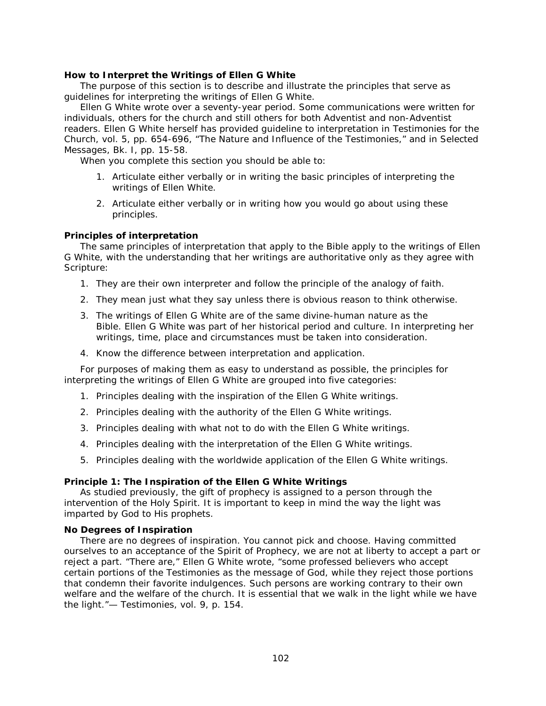## **How to Interpret the Writings of Ellen G White**

The purpose of this section is to describe and illustrate the principles that serve as guidelines for interpreting the writings of Ellen G White.

Ellen G White wrote over a seventy-year period. Some communications were written for individuals, others for the church and still others for both Adventist and non-Adventist readers. Ellen G White herself has provided guideline to interpretation in *Testimonies for the Church*, vol. 5, pp. 654-696, "The Nature and Influence of the Testimonies," and in *Selected Messages*, Bk. I, pp. 15-58.

When you complete this section you should be able to:

- 1. Articulate either verbally or in writing the basic principles of interpreting the writings of Ellen White.
- 2. Articulate either verbally or in writing how you would go about using these principles.

## **Principles of interpretation**

The same principles of interpretation that apply to the Bible apply to the writings of Ellen G White, with the understanding that her writings are authoritative only as they agree with Scripture:

- 1. They are their own interpreter and follow the principle of the analogy of faith.
- 2. They mean just what they say unless there is obvious reason to think otherwise.
- 3. The writings of Ellen G White are of the same divine-human nature as the Bible. Ellen G White was part of her historical period and culture. In interpreting her writings, time, place and circumstances must be taken into consideration.
- 4. Know the difference between interpretation and application.

For purposes of making them as easy to understand as possible, the principles for interpreting the writings of Ellen G White are grouped into five categories:

- 1. Principles dealing with the inspiration of the Ellen G White writings.
- 2. Principles dealing with the authority of the Ellen G White writings.
- 3. Principles dealing with what not to do with the Ellen G White writings.
- 4. Principles dealing with the interpretation of the Ellen G White writings.
- 5. Principles dealing with the worldwide application of the Ellen G White writings.

#### **Principle 1: The Inspiration of the Ellen G White Writings**

As studied previously, the gift of prophecy is assigned to a person through the intervention of the Holy Spirit. It is important to keep in mind the way the light was imparted by God to His prophets.

#### **No Degrees of Inspiration**

There are no degrees of inspiration. You cannot pick and choose. Having committed ourselves to an acceptance of the Spirit of Prophecy, we are not at liberty to accept a part or reject a part. "There are," Ellen G White wrote, "some professed believers who accept certain portions of the *Testimonies* as the message of God, while they reject those portions that condemn their favorite indulgences. Such persons are working contrary to their own welfare and the welfare of the church. It is essential that we walk in the light while we have the light."— *Testimonies*, vol. 9, p. 154.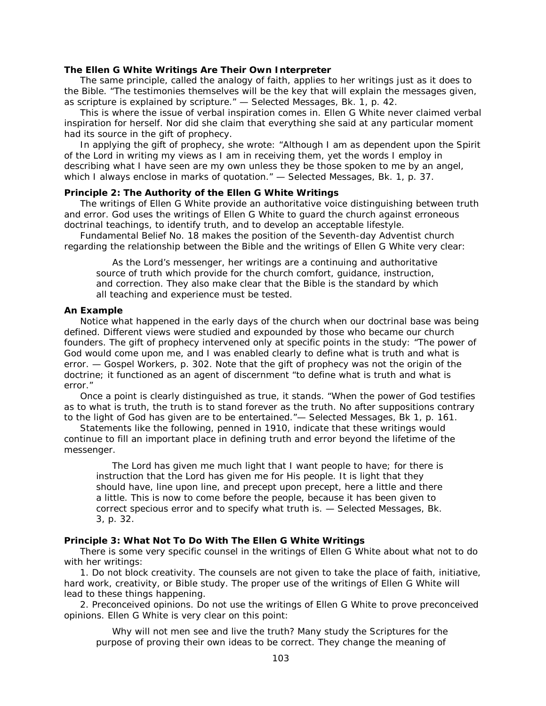### **The Ellen G White Writings Are Their Own Interpreter**

The same principle, called the analogy of faith, applies to her writings just as it does to the Bible. "The testimonies themselves will be the key that will explain the messages given, as scripture is explained by scripture." — *Selected Messages*, Bk. 1, p. 42.

This is where the issue of verbal inspiration comes in. Ellen G White never claimed verbal inspiration for herself. Nor did she claim that everything she said at any particular moment had its source in the gift of prophecy.

In applying the gift of prophecy, she wrote: "Although I am as dependent upon the Spirit of the Lord in writing my views as I am in receiving them, yet the words I employ in describing what I have seen are my own unless they be those spoken to me by an angel, which I always enclose in marks of quotation." — *Selected Messages*, Bk. 1, p. 37.

## **Principle 2: The Authority of the Ellen G White Writings**

The writings of Ellen G White provide an authoritative voice distinguishing between truth and error. God uses the writings of Ellen G White to guard the church against erroneous doctrinal teachings, to identify truth, and to develop an acceptable lifestyle.

*Fundamental Belief* No. 18 makes the position of the Seventh-day Adventist church regarding the relationship between the Bible and the writings of Ellen G White very clear:

As the Lord's messenger, her writings are a continuing and authoritative source of truth which provide for the church comfort, guidance, instruction, and correction. They also make clear that the Bible is the standard by which all teaching and experience must be tested.

#### **An Example**

Notice what happened in the early days of the church when our doctrinal base was being defined. Different views were studied and expounded by those who became our church founders. The gift of prophecy intervened only at specific points in the study: "The power of God would come upon me, and I was enabled clearly to define what is truth and what is error. — *Gospel Workers*, p. 302. Note that the gift of prophecy was not the *origin* of the doctrine; it functioned as an agent of discernment "to define what is truth and what is error."

Once a point is clearly distinguished as true, it stands. "When the power of God testifies as to what is truth, the truth is to stand forever as the truth. No after suppositions contrary to the light of God has given are to be entertained."— *Selected Messages*, Bk 1, p. 161.

Statements like the following, penned in 1910, indicate that these writings would continue to fill an important place in defining truth and error beyond the lifetime of the messenger.

The Lord has given me much light that I want people to have; for there is instruction that the Lord has given me for His people. It is light that they should have, line upon line, and precept upon precept, here a little and there a little. This is now to come before the people, because it has been given to correct specious error and to specify what truth is. — *Selected Messages*, Bk. 3, p. 32.

## **Principle 3: What** *Not To Do* **With The Ellen G White Writings**

There is some very specific counsel in the writings of Ellen G White about what *not to do* with her writings:

1*. Do not block creativity*. The counsels are not given to take the place of faith, initiative, hard work, creativity, or Bible study. The proper use of the writings of Ellen G White will lead to these things happening.

2. *Preconceived opinions*. Do not use the writings of Ellen G White to prove preconceived opinions. Ellen G White is very clear on this point:

Why will not men see and live the truth? Many study the Scriptures for the purpose of proving their own ideas to be correct. They change the meaning of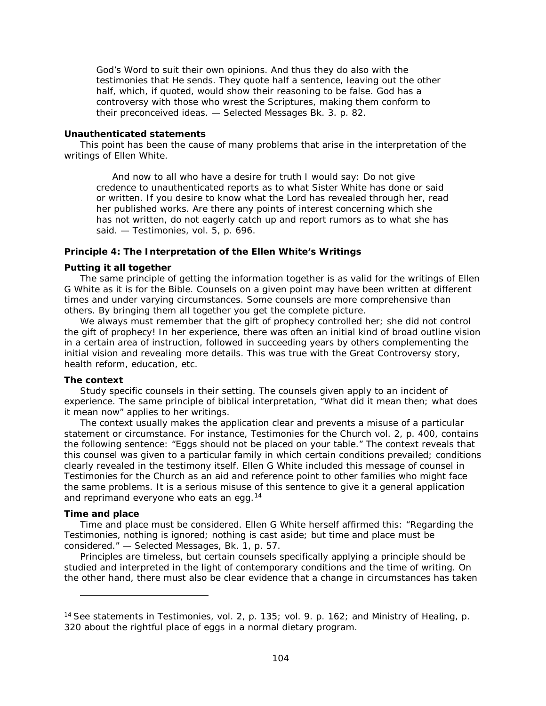God's Word to suit their own opinions. And thus they do also with the testimonies that He sends. They quote half a sentence, leaving out the other half, which, if quoted, would show their reasoning to be false. God has a controversy with those who wrest the Scriptures, making them conform to their preconceived ideas. — *Selected Messages* Bk. 3. p. 82.

#### **Unauthenticated statements**

This point has been the cause of many problems that arise in the interpretation of the writings of Ellen White.

And now to all who have a desire for truth I would say: Do not give credence to unauthenticated reports as to what Sister White has done or said or written. If you desire to know what the Lord has revealed through her, read her published works. Are there any points of interest concerning which she has not written, do not eagerly catch up and report rumors as to what she has said. — *Testimonies*, vol. 5, p. 696.

### **Principle 4: The Interpretation of the Ellen White's Writings**

### **Putting it all together**

The same principle of getting the information together is as valid for the writings of Ellen G White as it is for the Bible. Counsels on a given point may have been written at different times and under varying circumstances. Some counsels are more comprehensive than others. By bringing them all together you get the complete picture.

We always must remember that the gift of prophecy controlled her; she did not control the gift of prophecy! In her experience, there was often an initial kind of broad outline vision in a certain area of instruction, followed in succeeding years by others complementing the initial vision and revealing more details. This was true with the Great Controversy story, health reform, education, etc.

#### **The context**

Study specific counsels in their setting. The counsels given apply to an incident of experience. The same principle of biblical interpretation, "What did it mean then; what does it mean now" applies to her writings.

The context usually makes the application clear and prevents a misuse of a particular statement or circumstance. For instance, *Testimonies for the Church* vol. 2, p. 400, contains the following sentence: "Eggs should not be placed on your table." The context reveals that this counsel was given to a particular family in which certain conditions prevailed; conditions clearly revealed in the testimony itself. Ellen G White included this message of counsel in *Testimonies for the Church* as an aid and reference point to other families who might face the same problems. It is a serious misuse of this sentence to give it a general application and reprimand everyone who eats an egg.  $14$ 

## **Time and place**

l

Time and place must be considered. Ellen G White herself affirmed this: "Regarding the *Testimonies*, nothing is ignored; nothing is cast aside; but time and place must be considered." — *Selected Messages*, Bk. 1, p. 57.

Principles are timeless, but certain counsels specifically applying a principle should be studied and interpreted in the light of contemporary conditions and the time of writing. On the other hand, there must also be clear evidence that a change in circumstances has taken

<span id="page-103-0"></span><sup>14</sup> See statements in *Testimonies*, vol. 2, p. 135; vol. 9. p. 162; and *Ministry of Healing*, p. 320 about the rightful place of eggs in a normal dietary program.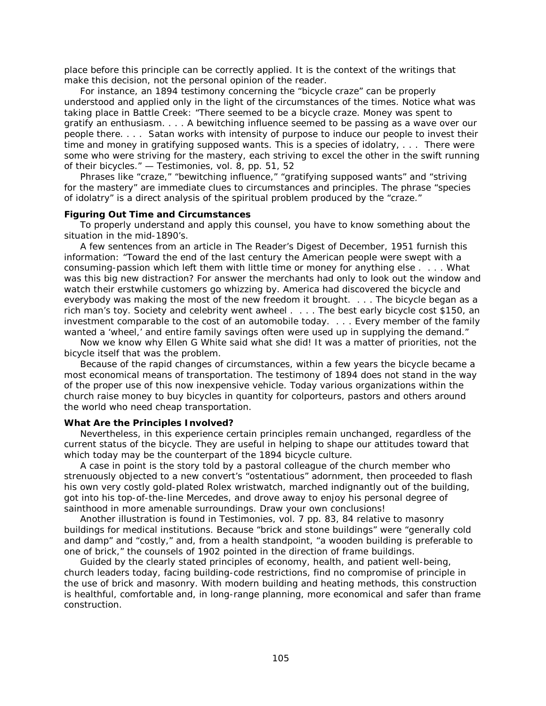place before this principle can be correctly applied. It is the context of the writings that make this decision, not the personal opinion of the reader.

For instance, an 1894 testimony concerning the "bicycle craze" can be properly understood and applied only in the light of the circumstances of the times. Notice what was taking place in Battle Creek: "There seemed to be a bicycle craze. Money was spent to gratify an enthusiasm. . . . A bewitching influence seemed to be passing as a wave over our people there. . . . *Satan works with intensity of purpose to induce our people to invest their time and money in gratifying supposed wants*. This is a species of idolatry, . . . There were some who were striving for the mastery, each striving to excel the other in the swift running of their bicycles." — *Testimonies*, vol. 8, pp. 51, 52

Phrases like "craze," "bewitching influence," "gratifying supposed wants" and "striving for the mastery" are immediate clues to circumstances and principles. The phrase "species of idolatry" is a direct analysis of the spiritual problem produced by the "craze."

## **Figuring Out Time and Circumstances**

To properly understand and apply this counsel, you have to know something about the situation in the mid-1890's.

A few sentences from an article in *The Reader's Digest* of December, 1951 furnish this information: "Toward the end of the last century the American people were swept with a consuming-passion which left them with little time or money for anything else . . . . What was this big new distraction? For answer the merchants had only to look out the window and watch their erstwhile customers go whizzing by. America had discovered the bicycle and everybody was making the most of the new freedom it brought. . . . The bicycle began as a rich man's toy. Society and celebrity went awheel . . . . The best early bicycle cost \$150, an investment comparable to the cost of an automobile today. . . . Every member of the family wanted a 'wheel,' and entire family savings often were used up in supplying the demand."

Now we know why Ellen G White said what she did! It was a matter of priorities, not the bicycle itself that was the problem.

Because of the rapid changes of circumstances, within a few years the bicycle became a most economical means of transportation. The testimony of 1894 does not stand in the way of the proper use of this now inexpensive vehicle. Today various organizations within the church raise money to buy bicycles in quantity for colporteurs, pastors and others around the world who need cheap transportation.

#### **What Are the Principles Involved?**

Nevertheless, in this experience certain principles remain unchanged, regardless of the current status of the bicycle. They are useful in helping to shape our attitudes toward that which today may be the counterpart of the 1894 bicycle culture.

A case in point is the story told by a pastoral colleague of the church member who strenuously objected to a new convert's "ostentatious" adornment, then proceeded to flash his own very costly gold-plated Rolex wristwatch, marched indignantly out of the building, got into his top-of-the-line Mercedes, and drove away to enjoy his personal degree of sainthood in more amenable surroundings. Draw your own conclusions!

Another illustration is found in *Testimonies*, vol. 7 pp. 83, 84 relative to masonry buildings for medical institutions. Because "brick and stone buildings" were "generally cold and damp" and "costly," and, from a health standpoint, "a wooden building is preferable to one of brick," the counsels of 1902 pointed in the direction of frame buildings.

Guided by the clearly stated principles of economy, health, and patient well-being, church leaders today, facing building-code restrictions, find no compromise of principle in the use of brick and masonry. With modern building and heating methods, this construction is healthful, comfortable and, in long-range planning, more economical and safer than frame construction.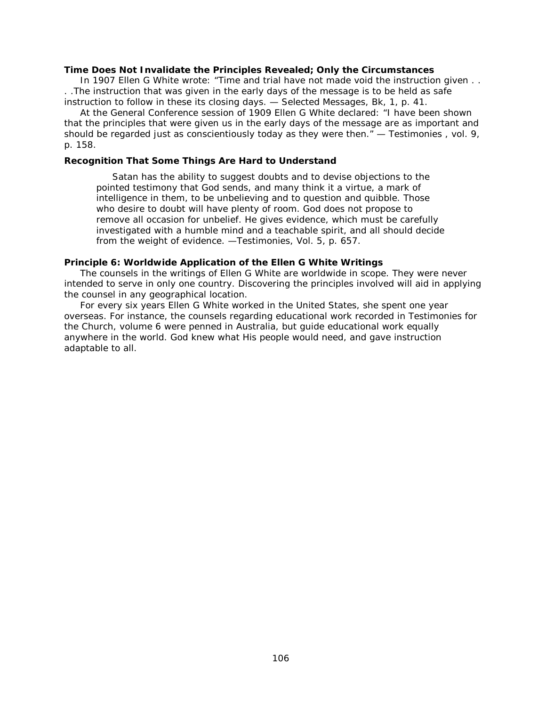#### **Time Does Not Invalidate the Principles Revealed; Only the Circumstances**

In 1907 Ellen G White wrote: "Time and trial have not made void the instruction given . . . .The instruction that was given in the early days of the message is to be held as safe instruction to follow in these its closing days. — *Selected Messages*, Bk, 1, p. 41.

At the General Conference session of 1909 Ellen G White declared: "I have been shown that the principles that were given us in the early days of the message are as important and should be regarded just as conscientiously today as they were then." — *Testimonies* , vol. 9, p. 158.

#### **Recognition That Some Things Are Hard to Understand**

Satan has the ability to suggest doubts and to devise objections to the pointed testimony that God sends, and many think it a virtue, a mark of intelligence in them, to be unbelieving and to question and quibble. Those who desire to doubt will have plenty of room. God does not propose to remove all occasion for unbelief. He gives evidence, which must be carefully investigated with a humble mind and a teachable spirit, and all should decide from the weight of evidence. —*Testimonies*, Vol. 5, p. 657.

## **Principle 6: Worldwide Application of the Ellen G White Writings**

The counsels in the writings of Ellen G White are worldwide in scope. They were never intended to serve in only one country. Discovering the principles involved will aid in applying the counsel in any geographical location.

For every six years Ellen G White worked in the United States, she spent one year overseas. For instance, the counsels regarding educational work recorded in *Testimonies for the Church*, volume 6 were penned in Australia, but guide educational work equally anywhere in the world. God knew what His people would need, and gave instruction adaptable to all.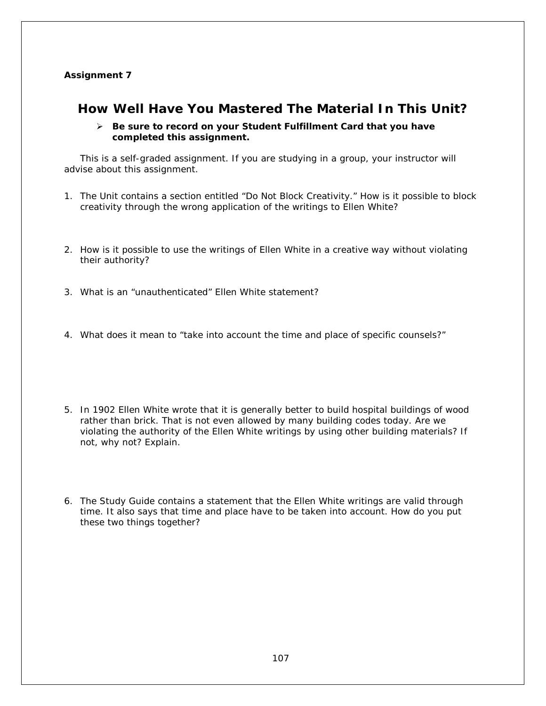## **Assignment 7**

# **How Well Have You Mastered The Material In This Unit?**

 *Be sure to record on your* **Student Fulfillment Card** *that you have completed this assignment.*

This is a self-graded assignment. If you are studying in a group, your instructor will advise about this assignment.

- 1. The Unit contains a section entitled "Do Not Block Creativity." How is it possible to block creativity through the wrong application of the writings to Ellen White?
- 2. How is it possible to use the writings of Ellen White in a creative way without violating their authority?
- 3. What is an "unauthenticated" Ellen White statement?
- 4. What does it mean to "take into account the time and place of specific counsels?"
- 5. In 1902 Ellen White wrote that it is generally better to build hospital buildings of wood rather than brick. That is not even allowed by many building codes today. Are we violating the authority of the Ellen White writings by using other building materials? If not, why not? Explain.
- 6. The Study Guide contains a statement that the Ellen White writings are valid through time. It also says that time and place have to be taken into account. How do you put these two things together?